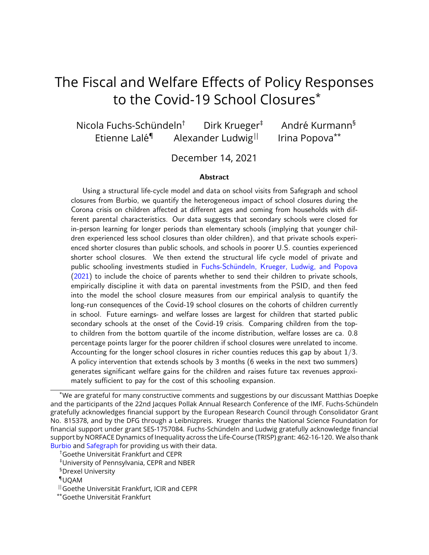# <span id="page-0-0"></span>The Fiscal and Welfare Effects of Policy Responses to the Covid-19 School Closures\*

Nicola Fuchs-Schündeln<sup>†</sup> Dirk Krueger<sup>‡</sup> André Kurmann<sup>§</sup> Etienne Lalé<sup>¶</sup> Alexander Ludwig<sup>||</sup> Irina Popova<sup>\*\*</sup>

December 14, 2021

#### Abstract

Using a structural life-cycle model and data on school visits from Safegraph and school closures from Burbio, we quantify the heterogeneous impact of school closures during the Corona crisis on children affected at different ages and coming from households with different parental characteristics. Our data suggests that secondary schools were closed for in-person learning for longer periods than elementary schools (implying that younger children experienced less school closures than older children), and that private schools experienced shorter closures than public schools, and schools in poorer U.S. counties experienced shorter school closures. We then extend the structural life cycle model of private and public schooling investments studied in Fuchs-Schündeln, Krueger, Ludwig, and Popova [\(2021\)](#page-56-0) to include the choice of parents whether to send their children to private schools, empirically discipline it with data on parental investments from the PSID, and then feed into the model the school closure measures from our empirical analysis to quantify the long-run consequences of the Covid-19 school closures on the cohorts of children currently in school. Future earnings- and welfare losses are largest for children that started public secondary schools at the onset of the Covid-19 crisis. Comparing children from the topto children from the bottom quartile of the income distribution, welfare losses are ca. 0.8 percentage points larger for the poorer children if school closures were unrelated to income. Accounting for the longer school closures in richer counties reduces this gap by about  $1/3$ . A policy intervention that extends schools by 3 months (6 weeks in the next two summers) generates significant welfare gains for the children and raises future tax revenues approximately sufficient to pay for the cost of this schooling expansion.

<sup>\*</sup>We are grateful for many constructive comments and suggestions by our discussant Matthias Doepke and the participants of the 22nd Jacques Pollak Annual Research Conference of the IMF. Fuchs-Schündeln gratefully acknowledges financial support by the European Research Council through Consolidator Grant No. 815378, and by the DFG through a Leibnizpreis. Krueger thanks the National Science Foundation for financial support under grant SES-1757084. Fuchs-Schündeln and Ludwig gratefully acknowledge financial support by NORFACE Dynamics of Inequality across the Life-Course (TRISP) grant: 462-16-120. We also thank [Burbio](www.burbio.com) and [Safegraph](www.SafeGraph.com) for providing us with their data.

<sup>&</sup>lt;sup>†</sup>Goethe Universität Frankfurt and CEPR

<sup>‡</sup>University of Pennsylvania, CEPR and NBER

<sup>§</sup>Drexel University

<sup>¶</sup>UQAM

 $\parallel$  Goethe Universität Frankfurt, ICIR and CEPR

<sup>\*\*</sup>Goethe Universität Frankfurt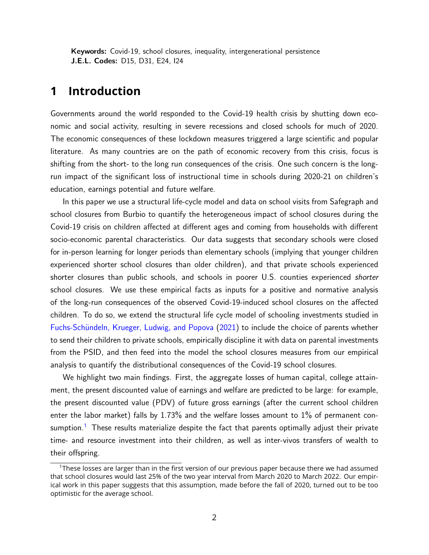Keywords: Covid-19, school closures, inequality, intergenerational persistence J.E.L. Codes: D15, D31, E24, I24

# **1 Introduction**

Governments around the world responded to the Covid-19 health crisis by shutting down economic and social activity, resulting in severe recessions and closed schools for much of 2020. The economic consequences of these lockdown measures triggered a large scientific and popular literature. As many countries are on the path of economic recovery from this crisis, focus is shifting from the short- to the long run consequences of the crisis. One such concern is the longrun impact of the significant loss of instructional time in schools during 2020-21 on children's education, earnings potential and future welfare.

In this paper we use a structural life-cycle model and data on school visits from Safegraph and school closures from Burbio to quantify the heterogeneous impact of school closures during the Covid-19 crisis on children affected at different ages and coming from households with different socio-economic parental characteristics. Our data suggests that secondary schools were closed for in-person learning for longer periods than elementary schools (implying that younger children experienced shorter school closures than older children), and that private schools experienced shorter closures than public schools, and schools in poorer U.S. counties experienced shorter school closures. We use these empirical facts as inputs for a positive and normative analysis of the long-run consequences of the observed Covid-19-induced school closures on the affected children. To do so, we extend the structural life cycle model of schooling investments studied in Fuchs-Schündeln, Krueger, Ludwig, and Popova [\(2021\)](#page-56-0) to include the choice of parents whether to send their children to private schools, empirically discipline it with data on parental investments from the PSID, and then feed into the model the school closures measures from our empirical analysis to quantify the distributional consequences of the Covid-19 school closures.

We highlight two main findings. First, the aggregate losses of human capital, college attainment, the present discounted value of earnings and welfare are predicted to be large: for example, the present discounted value (PDV) of future gross earnings (after the current school children enter the labor market) falls by 1.73% and the welfare losses amount to 1% of permanent con-sumption.<sup>[1](#page-1-0)</sup> These results materialize despite the fact that parents optimally adjust their private time- and resource investment into their children, as well as inter-vivos transfers of wealth to their offspring.

<span id="page-1-0"></span><sup>1</sup>These losses are larger than in the first version of our previous paper because there we had assumed that school closures would last 25% of the two year interval from March 2020 to March 2022. Our empirical work in this paper suggests that this assumption, made before the fall of 2020, turned out to be too optimistic for the average school.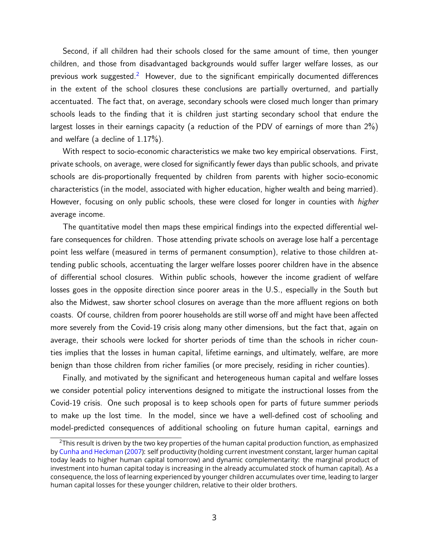Second, if all children had their schools closed for the same amount of time, then younger children, and those from disadvantaged backgrounds would suffer larger welfare losses, as our previous work suggested.<sup>[2](#page-2-0)</sup> However, due to the significant empirically documented differences in the extent of the school closures these conclusions are partially overturned, and partially accentuated. The fact that, on average, secondary schools were closed much longer than primary schools leads to the finding that it is children just starting secondary school that endure the largest losses in their earnings capacity (a reduction of the PDV of earnings of more than 2%) and welfare (a decline of 1.17%).

With respect to socio-economic characteristics we make two key empirical observations. First, private schools, on average, were closed for significantly fewer days than public schools, and private schools are dis-proportionally frequented by children from parents with higher socio-economic characteristics (in the model, associated with higher education, higher wealth and being married). However, focusing on only public schools, these were closed for longer in counties with higher average income.

The quantitative model then maps these empirical findings into the expected differential welfare consequences for children. Those attending private schools on average lose half a percentage point less welfare (measured in terms of permanent consumption), relative to those children attending public schools, accentuating the larger welfare losses poorer children have in the absence of differential school closures. Within public schools, however the income gradient of welfare losses goes in the opposite direction since poorer areas in the U.S., especially in the South but also the Midwest, saw shorter school closures on average than the more affluent regions on both coasts. Of course, children from poorer households are still worse off and might have been affected more severely from the Covid-19 crisis along many other dimensions, but the fact that, again on average, their schools were locked for shorter periods of time than the schools in richer counties implies that the losses in human capital, lifetime earnings, and ultimately, welfare, are more benign than those children from richer families (or more precisely, residing in richer counties).

Finally, and motivated by the significant and heterogeneous human capital and welfare losses we consider potential policy interventions designed to mitigate the instructional losses from the Covid-19 crisis. One such proposal is to keep schools open for parts of future summer periods to make up the lost time. In the model, since we have a well-defined cost of schooling and model-predicted consequences of additional schooling on future human capital, earnings and

<span id="page-2-0"></span><sup>&</sup>lt;sup>2</sup>This result is driven by the two key properties of the human capital production function, as emphasized by [Cunha and Heckman](#page-56-1) [\(2007\)](#page-56-1): self productivity (holding current investment constant, larger human capital today leads to higher human capital tomorrow) and dynamic complementarity: the marginal product of investment into human capital today is increasing in the already accumulated stock of human capital). As a consequence, the loss of learning experienced by younger children accumulates over time, leading to larger human capital losses for these younger children, relative to their older brothers.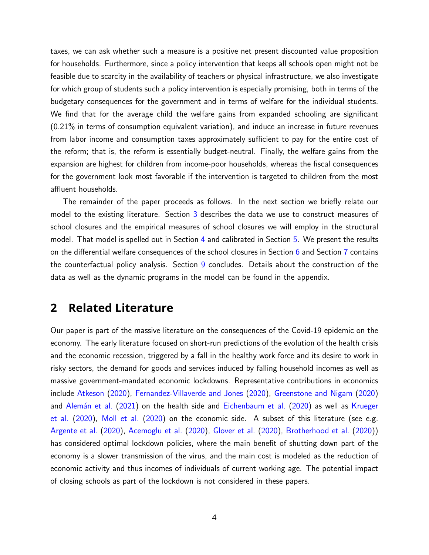taxes, we can ask whether such a measure is a positive net present discounted value proposition for households. Furthermore, since a policy intervention that keeps all schools open might not be feasible due to scarcity in the availability of teachers or physical infrastructure, we also investigate for which group of students such a policy intervention is especially promising, both in terms of the budgetary consequences for the government and in terms of welfare for the individual students. We find that for the average child the welfare gains from expanded schooling are significant (0.21% in terms of consumption equivalent variation), and induce an increase in future revenues from labor income and consumption taxes approximately sufficient to pay for the entire cost of the reform; that is, the reform is essentially budget-neutral. Finally, the welfare gains from the expansion are highest for children from income-poor households, whereas the fiscal consequences for the government look most favorable if the intervention is targeted to children from the most affluent households.

The remainder of the paper proceeds as follows. In the next section we briefly relate our model to the existing literature. Section [3](#page-5-0) describes the data we use to construct measures of school closures and the empirical measures of school closures we will employ in the structural model. That model is spelled out in Section [4](#page-16-0) and calibrated in Section [5.](#page-29-0) We present the results on the differential welfare consequences of the school closures in Section [6](#page-42-0) and Section [7](#page-45-0) contains the counterfactual policy analysis. Section [9](#page-53-0) concludes. Details about the construction of the data as well as the dynamic programs in the model can be found in the appendix.

## **2 Related Literature**

Our paper is part of the massive literature on the consequences of the Covid-19 epidemic on the economy. The early literature focused on short-run predictions of the evolution of the health crisis and the economic recession, triggered by a fall in the healthy work force and its desire to work in risky sectors, the demand for goods and services induced by falling household incomes as well as massive government-mandated economic lockdowns. Representative contributions in economics include [Atkeson](#page-55-0) [\(2020\)](#page-55-0), [Fernandez-Villaverde and Jones](#page-56-2) [\(2020\)](#page-56-2), [Greenstone and Nigam](#page-57-0) [\(2020\)](#page-57-0) and Alemán et al. [\(2021\)](#page-55-1) on the health side and [Eichenbaum et al.](#page-56-3) [\(2020\)](#page-56-3) as well as [Krueger](#page-57-1) [et al.](#page-57-1) [\(2020\)](#page-57-1), [Moll et al.](#page-58-0) [\(2020\)](#page-58-0) on the economic side. A subset of this literature (see e.g. [Argente et al.](#page-55-2) [\(2020\)](#page-55-2), [Acemoglu et al.](#page-54-0) [\(2020\)](#page-54-0), [Glover et al.](#page-56-4) [\(2020\)](#page-56-4), [Brotherhood et al.](#page-55-3) [\(2020\)](#page-55-3)) has considered optimal lockdown policies, where the main benefit of shutting down part of the economy is a slower transmission of the virus, and the main cost is modeled as the reduction of economic activity and thus incomes of individuals of current working age. The potential impact of closing schools as part of the lockdown is not considered in these papers.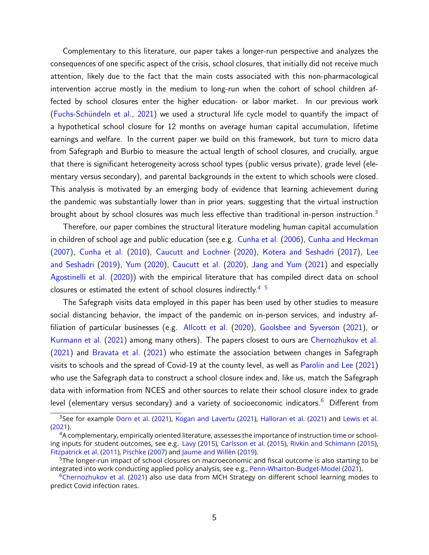Complementary to this literature, our paper takes a longer-run perspective and analyzes the consequences of one specific aspect of the crisis, school closures, that initially did not receive much attention, likely due to the fact that the main costs associated with this non-pharmacological intervention accrue mostly in the medium to long-run when the cohort of school children affected by school closures enter the higher education- or labor market. In our previous work (Fuchs-Schündeln et al., [2021\)](#page-56-0) we used a structural life cycle model to quantify the impact of a hypothetical school closure for 12 months on average human capital accumulation, lifetime earnings and welfare. In the current paper we build on this framework, but turn to micro data from Safegraph and Burbio to measure the actual length of school closures, and crucially, argue that there is significant heterogeneity across school types (public versus private), grade level (elementary versus secondary), and parental backgrounds in the extent to which schools were closed. This analysis is motivated by an emerging body of evidence that learning achievement during the pandemic was substantially lower than in prior years, suggesting that the virtual instruction brought about by school closures was much less effective than traditional in-person instruction.<sup>[3](#page-4-0)</sup>

Therefore, our paper combines the structural literature modeling human capital accumulation in children of school age and public education (see e.g. [Cunha et al.](#page-56-5) [\(2006\)](#page-56-5), [Cunha and Heckman](#page-56-1) [\(2007\)](#page-56-1), [Cunha et al.](#page-56-6) [\(2010\)](#page-56-6), [Caucutt and Lochner](#page-55-4) [\(2020\)](#page-55-4), [Kotera and Seshadri](#page-57-2) [\(2017\)](#page-57-2), [Lee](#page-58-1) [and Seshadri](#page-58-1) [\(2019\)](#page-58-1), [Yum](#page-58-2) [\(2020\)](#page-58-2), [Caucutt et al.](#page-56-7) [\(2020\)](#page-56-7), [Jang and Yum](#page-57-3) [\(2021\)](#page-57-3) and especially [Agostinelli et al.](#page-55-5) [\(2020\)](#page-55-5)) with the empirical literature that has compiled direct data on school closures or estimated the extent of school closures indirectly.<sup>[4](#page-4-1)5</sup>

The Safegraph visits data employed in this paper has been used by other studies to measure social distancing behavior, the impact of the pandemic on in-person services, and industry affiliation of particular businesses (e.g. [Allcott et al.](#page-55-6) [\(2020\)](#page-55-6), [Goolsbee and Syverson](#page-56-8) [\(2021\)](#page-56-8), or [Kurmann et al.](#page-57-4) [\(2021\)](#page-57-4) among many others). The papers closest to ours are [Chernozhukov et al.](#page-56-9) [\(2021\)](#page-56-9) and [Bravata et al.](#page-55-7) [\(2021\)](#page-55-7) who estimate the association between changes in Safegraph visits to schools and the spread of Covid-19 at the county level, as well as [Parolin and Lee](#page-58-3) [\(2021\)](#page-58-3) who use the Safegraph data to construct a school closure index and, like us, match the Safegraph data with information from NCES and other sources to relate their school closure index to grade level (elementary versus secondary) and a variety of socioeconomic indicators.<sup>[6](#page-4-3)</sup> Different from

<span id="page-4-0"></span><sup>&</sup>lt;sup>3</sup>See for example [Dorn et al.](#page-56-10) [\(2021\)](#page-57-6), [Kogan and Lavertu](#page-57-5) (2021), [Halloran et al.](#page-57-6) (2021) and [Lewis et al.](#page-58-4) [\(2021\)](#page-58-4).

<span id="page-4-1"></span><sup>&</sup>lt;sup>4</sup>A complementary, empirically oriented literature, assesses the importance of instruction time or schooling inputs for student outcomes, see e.g. [Lavy](#page-58-5) [\(2015\)](#page-58-5), [Carlsson et al.](#page-55-8) [\(2015\)](#page-55-8), [Rivkin and Schimann](#page-58-6) [\(2015\)](#page-58-6), [Fitzpatrick et al.](#page-56-11) [\(2011\)](#page-56-11), [Pischke](#page-58-7) [\(2007\)](#page-58-7) and Jaume and Willén [\(2019\)](#page-57-7).

<span id="page-4-2"></span><sup>&</sup>lt;sup>5</sup>The longer-run impact of school closures on macroeconomic and fiscal outcome is also starting to be integrated into work conducting applied policy analysis, see e.g., [Penn-Wharton-Budget-Model](#page-58-8) [\(2021\)](#page-58-8).

<span id="page-4-3"></span> $6$ [Chernozhukov et al.](#page-56-9) [\(2021\)](#page-56-9) also use data from MCH Strategy on different school learning modes to predict Covid infection rates.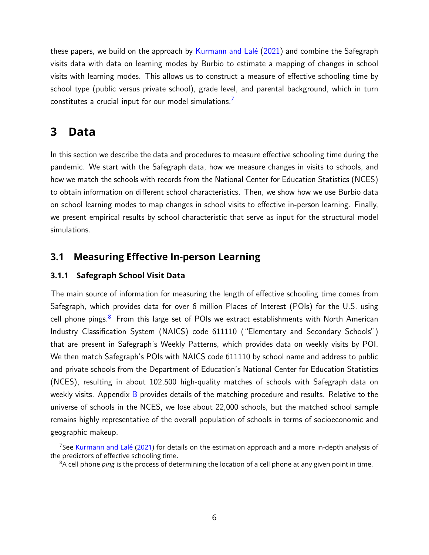these papers, we build on the approach by Kurmann and Lalé  $(2021)$  and combine the Safegraph visits data with data on learning modes by Burbio to estimate a mapping of changes in school visits with learning modes. This allows us to construct a measure of effective schooling time by school type (public versus private school), grade level, and parental background, which in turn constitutes a crucial input for our model simulations.

# <span id="page-5-0"></span>**3 Data**

In this section we describe the data and procedures to measure effective schooling time during the pandemic. We start with the Safegraph data, how we measure changes in visits to schools, and how we match the schools with records from the National Center for Education Statistics (NCES) to obtain information on different school characteristics. Then, we show how we use Burbio data on school learning modes to map changes in school visits to effective in-person learning. Finally, we present empirical results by school characteristic that serve as input for the structural model simulations.

## **3.1 Measuring Effective In-person Learning**

## **3.1.1 Safegraph School Visit Data**

The main source of information for measuring the length of effective schooling time comes from Safegraph, which provides data for over 6 million Places of Interest (POIs) for the U.S. using cell phone pings. $8$  From this large set of POIs we extract establishments with North American Industry Classification System (NAICS) code 611110 ("Elementary and Secondary Schools") that are present in Safegraph's Weekly Patterns, which provides data on weekly visits by POI. We then match Safegraph's POIs with NAICS code 611110 by school name and address to public and private schools from the Department of Education's National Center for Education Statistics (NCES), resulting in about 102,500 high-quality matches of schools with Safegraph data on weekly visits. Appendix [B](#page-62-0) provides details of the matching procedure and results. Relative to the universe of schools in the NCES, we lose about 22,000 schools, but the matched school sample remains highly representative of the overall population of schools in terms of socioeconomic and geographic makeup.

<span id="page-5-1"></span> $7$ See Kurmann and Lalé [\(2021\)](#page-57-8) for details on the estimation approach and a more in-depth analysis of the predictors of effective schooling time.

<span id="page-5-2"></span><sup>8</sup>A cell phone *ping* is the process of determining the location of a cell phone at any given point in time.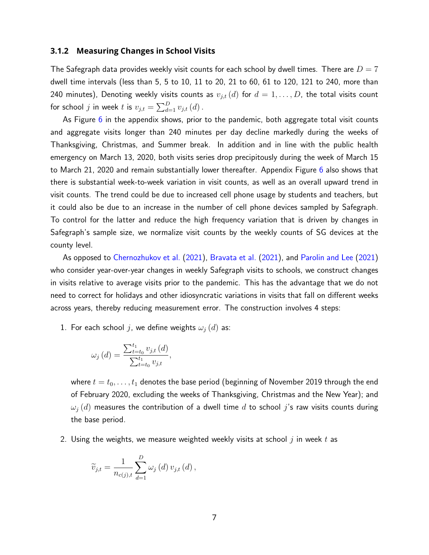#### **3.1.2 Measuring Changes in School Visits**

The Safegraph data provides weekly visit counts for each school by dwell times. There are  $D = 7$ dwell time intervals (less than 5, 5 to 10, 11 to 20, 21 to 60, 61 to 120, 121 to 240, more than 240 minutes), Denoting weekly visits counts as  $v_{j,t} (d)$  for  $d = 1, \ldots, D$ , the total visits count for school  $j$  in week  $t$  is  $v_{j,t} = \sum_{d=1}^{D} v_{j,t}\left(d\right)$ .

As Figure  $6$  in the appendix shows, prior to the pandemic, both aggregate total visit counts and aggregate visits longer than 240 minutes per day decline markedly during the weeks of Thanksgiving, Christmas, and Summer break. In addition and in line with the public health emergency on March 13, 2020, both visits series drop precipitously during the week of March 15 to March 21, 2020 and remain substantially lower thereafter. Appendix Figure [6](#page-64-0) also shows that there is substantial week-to-week variation in visit counts, as well as an overall upward trend in visit counts. The trend could be due to increased cell phone usage by students and teachers, but it could also be due to an increase in the number of cell phone devices sampled by Safegraph. To control for the latter and reduce the high frequency variation that is driven by changes in Safegraph's sample size, we normalize visit counts by the weekly counts of SG devices at the county level.

As opposed to [Chernozhukov et al.](#page-56-9) [\(2021\)](#page-56-9), [Bravata et al.](#page-55-7) [\(2021\)](#page-55-7), and [Parolin and Lee](#page-58-3) [\(2021\)](#page-58-3) who consider year-over-year changes in weekly Safegraph visits to schools, we construct changes in visits relative to average visits prior to the pandemic. This has the advantage that we do not need to correct for holidays and other idiosyncratic variations in visits that fall on different weeks across years, thereby reducing measurement error. The construction involves 4 steps:

1. For each school j, we define weights  $\omega_i(d)$  as:

$$
\omega_{j}\left(d\right) = \frac{\sum_{t=t_{0}}^{t_{1}} v_{j,t}\left(d\right)}{\sum_{t=t_{0}}^{t_{1}} v_{j,t}},
$$

where  $t = t_0, \ldots, t_1$  denotes the base period (beginning of November 2019 through the end of February 2020, excluding the weeks of Thanksgiving, Christmas and the New Year); and  $\omega_i(d)$  measures the contribution of a dwell time d to school j's raw visits counts during the base period.

2. Using the weights, we measure weighted weekly visits at school  $j$  in week  $t$  as

$$
\widetilde{v}_{j,t} = \frac{1}{n_{c(j),t}} \sum_{d=1}^{D} \omega_j(d) v_{j,t}(d),
$$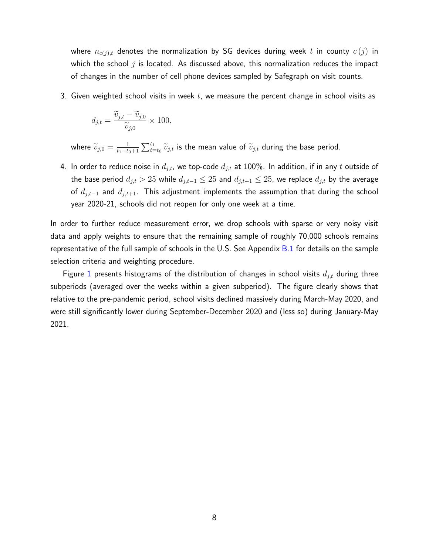where  $n_{c(j),t}$  denotes the normalization by SG devices during week t in county  $c(j)$  in which the school  $j$  is located. As discussed above, this normalization reduces the impact of changes in the number of cell phone devices sampled by Safegraph on visit counts.

3. Given weighted school visits in week  $t$ , we measure the percent change in school visits as

$$
d_{j,t} = \frac{\widetilde{v}_{j,t} - \widetilde{v}_{j,0}}{\widetilde{v}_{j,0}} \times 100,
$$

where  $\widetilde{v}_{j,0} = \frac{1}{t_1 - t_0}$  $\frac{1}{t_1-t_0+1}\sum_{t=t_0}^{t_1}\widetilde{v}_{j,t}$  is the mean value of  $\widetilde{v}_{j,t}$  during the base period.

4. In order to reduce noise in  $d_{j,t}$ , we top-code  $d_{j,t}$  at 100%. In addition, if in any t outside of the base period  $d_{j,t} > 25$  while  $d_{j,t-1} \leq 25$  and  $d_{j,t+1} \leq 25$ , we replace  $d_{j,t}$  by the average of  $d_{j,t-1}$  and  $d_{j,t+1}$ . This adjustment implements the assumption that during the school year 2020-21, schools did not reopen for only one week at a time.

In order to further reduce measurement error, we drop schools with sparse or very noisy visit data and apply weights to ensure that the remaining sample of roughly 70,000 schools remains representative of the full sample of schools in the U.S. See Appendix [B.1](#page-64-1) for details on the sample selection criteria and weighting procedure.

Figure [1](#page-8-0) presents histograms of the distribution of changes in school visits  $d_{j,t}$  during three subperiods (averaged over the weeks within a given subperiod). The figure clearly shows that relative to the pre-pandemic period, school visits declined massively during March-May 2020, and were still significantly lower during September-December 2020 and (less so) during January-May 2021.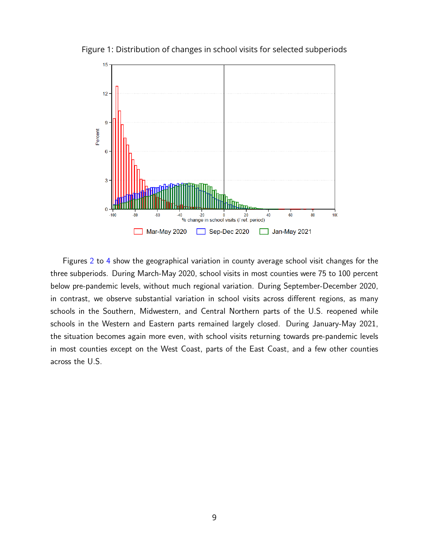

<span id="page-8-0"></span>Figure 1: Distribution of changes in school visits for selected subperiods

Figures [2](#page-9-0) to [4](#page-10-0) show the geographical variation in county average school visit changes for the three subperiods. During March-May 2020, school visits in most counties were 75 to 100 percent below pre-pandemic levels, without much regional variation. During September-December 2020, in contrast, we observe substantial variation in school visits across different regions, as many schools in the Southern, Midwestern, and Central Northern parts of the U.S. reopened while schools in the Western and Eastern parts remained largely closed. During January-May 2021, the situation becomes again more even, with school visits returning towards pre-pandemic levels in most counties except on the West Coast, parts of the East Coast, and a few other counties across the U.S.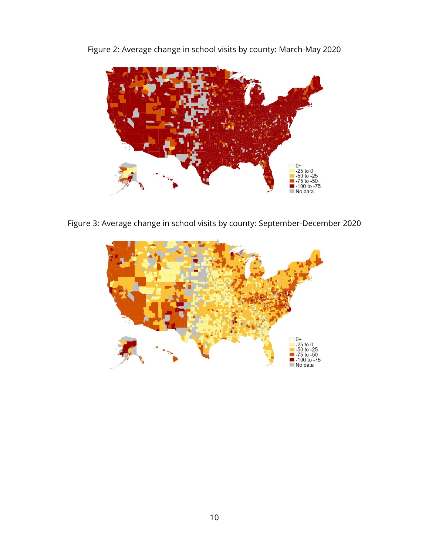

<span id="page-9-0"></span>Figure 2: Average change in school visits by county: March-May 2020

Figure 3: Average change in school visits by county: September-December 2020

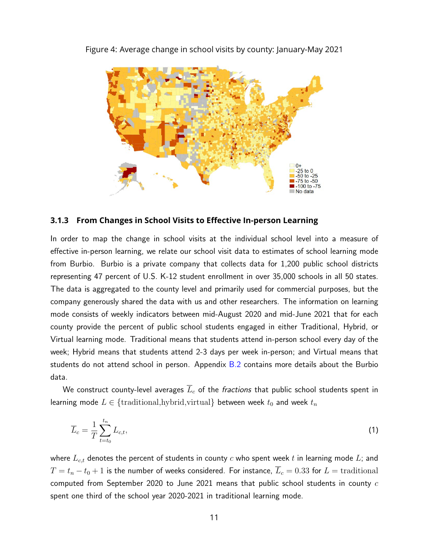

<span id="page-10-0"></span>Figure 4: Average change in school visits by county: January-May 2021

#### **3.1.3 From Changes in School Visits to Effective In-person Learning**

In order to map the change in school visits at the individual school level into a measure of effective in-person learning, we relate our school visit data to estimates of school learning mode from Burbio. Burbio is a private company that collects data for 1,200 public school districts representing 47 percent of U.S. K-12 student enrollment in over 35,000 schools in all 50 states. The data is aggregated to the county level and primarily used for commercial purposes, but the company generously shared the data with us and other researchers. The information on learning mode consists of weekly indicators between mid-August 2020 and mid-June 2021 that for each county provide the percent of public school students engaged in either Traditional, Hybrid, or Virtual learning mode. Traditional means that students attend in-person school every day of the week; Hybrid means that students attend 2-3 days per week in-person; and Virtual means that students do not attend school in person. Appendix  $B.2$  contains more details about the Burbio data.

We construct county-level averages  $\overline{L}_c$  of the *fractions* that public school students spent in learning mode  $L \in \{\text{traditional}, \text{hybrid}, \text{virtual}\}$  between week  $t_0$  and week  $t_n$ 

$$
\overline{L}_c = \frac{1}{T} \sum_{t=t_0}^{t_n} L_{c,t},\tag{1}
$$

where  $L_{c,t}$  denotes the percent of students in county c who spent week t in learning mode L; and  $T = t_n - t_0 + 1$  is the number of weeks considered. For instance,  $\overline{L}_c = 0.33$  for  $L =$  traditional computed from September 2020 to June 2021 means that public school students in county  $c$ spent one third of the school year 2020-2021 in traditional learning mode.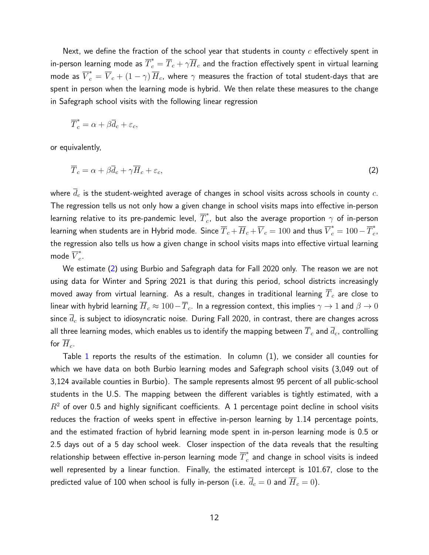Next, we define the fraction of the school year that students in county  $c$  effectively spent in in-person learning mode as  $\overline{T}^*_c=\overline{T}_c+\gamma\overline{H}_c$  and the fraction effectively spent in virtual learning mode as  $\overline{V}^*_c=\overline{V}_c+(1-\gamma)\,\overline{H}_c$ , where  $\gamma$  measures the fraction of total student-days that are spent in person when the learning mode is hybrid. We then relate these measures to the change in Safegraph school visits with the following linear regression

<span id="page-11-0"></span>
$$
\overline{T}_c^* = \alpha + \beta \overline{d}_c + \varepsilon_c,
$$

or equivalently,

$$
\overline{T}_c = \alpha + \beta \overline{d}_c + \gamma \overline{H}_c + \varepsilon_c,\tag{2}
$$

where  $\overline{d}_c$  is the student-weighted average of changes in school visits across schools in county  $c$ . The regression tells us not only how a given change in school visits maps into effective in-person learning relative to its pre-pandemic level,  $\overline{T}^*_c$  $_{c}^{\degree}$ , but also the average proportion  $\gamma$  of in-person learning when students are in Hybrid mode. Since  $\overline T_c+\overline H_c+\overline V_c=100$  and thus  $\overline V^*_c=100-\overline T^*_c$  $\frac{x}{c}$ , the regression also tells us how a given change in school visits maps into effective virtual learning mode  $\overline{V}_c^*$  $\frac{1}{c}$ .

We estimate [\(2\)](#page-11-0) using Burbio and Safegraph data for Fall 2020 only. The reason we are not using data for Winter and Spring 2021 is that during this period, school districts increasingly moved away from virtual learning. As a result, changes in traditional learning  $\overline{T}_c$  are close to linear with hybrid learning  $\overline{H}_c \approx 100-\overline{T}_c$ . In a regression context, this implies  $\gamma \to 1$  and  $\beta \to 0$ since  $d_c$  is subject to idiosyncratic noise. During Fall 2020, in contrast, there are changes across all three learning modes, which enables us to identify the mapping between  $\overline{T}_c$  and  $\overline{d}_c$ , controlling for  $\overline{H}_c$ .

Table [1](#page-12-0) reports the results of the estimation. In column (1), we consider all counties for which we have data on both Burbio learning modes and Safegraph school visits (3,049 out of 3,124 available counties in Burbio). The sample represents almost 95 percent of all public-school students in the U.S. The mapping between the different variables is tightly estimated, with a  $R<sup>2</sup>$  of over 0.5 and highly significant coefficients. A 1 percentage point decline in school visits reduces the fraction of weeks spent in effective in-person learning by 1.14 percentage points, and the estimated fraction of hybrid learning mode spent in in-person learning mode is 0.5 or 2.5 days out of a 5 day school week. Closer inspection of the data reveals that the resulting relationship between effective in-person learning mode  $\overline{T}^*_c$  $_c^{\hat{}}$  and change in school visits is indeed well represented by a linear function. Finally, the estimated intercept is 101.67, close to the predicted value of 100 when school is fully in-person (i.e.  $\overline{d}_c = 0$  and  $\overline{H}_c = 0$ ).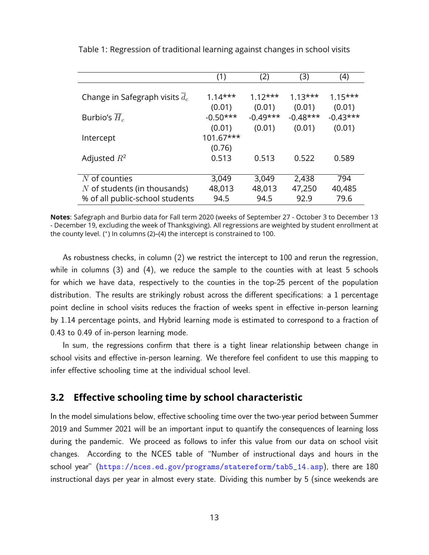|                                  | (1)        | (2)        | (3)        | (4)        |
|----------------------------------|------------|------------|------------|------------|
|                                  |            |            |            |            |
| Change in Safegraph visits $d_c$ | $1.14***$  | $1.12***$  | $1.13***$  | $1.15***$  |
|                                  | (0.01)     | (0.01)     | (0.01)     | (0.01)     |
| Burbio's $H_c$                   | $-0.50***$ | $-0.49***$ | $-0.48***$ | $-0.43***$ |
|                                  | (0.01)     | (0.01)     | (0.01)     | (0.01)     |
| Intercept                        | 101.67***  |            |            |            |
|                                  | (0.76)     |            |            |            |
| Adjusted $R^2$                   | 0.513      | 0.513      | 0.522      | 0.589      |
|                                  |            |            |            |            |
| $N$ of counties                  | 3,049      | 3,049      | 2,438      | 794        |
| $N$ of students (in thousands)   | 48,013     | 48,013     | 47,250     | 40,485     |
| % of all public-school students  | 94.5       | 94.5       | 92.9       | 79.6       |

<span id="page-12-0"></span>Table 1: Regression of traditional learning against changes in school visits

**Notes**: Safegraph and Burbio data for Fall term 2020 (weeks of September 27 - October 3 to December 13 - December 19, excluding the week of Thanksgiving). All regressions are weighted by student enrollment at the county level. (<sup>∗</sup> ) In columns (2)–(4) the intercept is constrained to 100.

As robustness checks, in column (2) we restrict the intercept to 100 and rerun the regression, while in columns (3) and (4), we reduce the sample to the counties with at least 5 schools for which we have data, respectively to the counties in the top-25 percent of the population distribution. The results are strikingly robust across the different specifications: a 1 percentage point decline in school visits reduces the fraction of weeks spent in effective in-person learning by 1.14 percentage points, and Hybrid learning mode is estimated to correspond to a fraction of 0.43 to 0.49 of in-person learning mode.

In sum, the regressions confirm that there is a tight linear relationship between change in school visits and effective in-person learning. We therefore feel confident to use this mapping to infer effective schooling time at the individual school level.

## **3.2 Effective schooling time by school characteristic**

In the model simulations below, effective schooling time over the two-year period between Summer 2019 and Summer 2021 will be an important input to quantify the consequences of learning loss during the pandemic. We proceed as follows to infer this value from our data on school visit changes. According to the NCES table of "Number of instructional days and hours in the school year" ([https://nces.ed.gov/programs/statereform/tab5\\_14.asp](https://nces.ed.gov/programs/statereform/tab5_14.asp)), there are 180 instructional days per year in almost every state. Dividing this number by 5 (since weekends are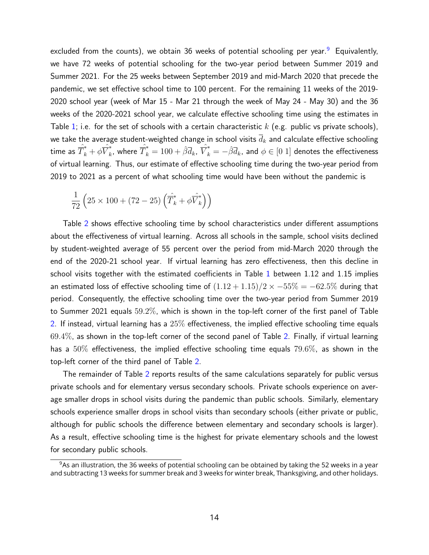excluded from the counts), we obtain 36 weeks of potential schooling per year.<sup>[9](#page-13-0)</sup> Equivalently, we have 72 weeks of potential schooling for the two-year period between Summer 2019 and Summer 2021. For the 25 weeks between September 2019 and mid-March 2020 that precede the pandemic, we set effective school time to 100 percent. For the remaining 11 weeks of the 2019- 2020 school year (week of Mar 15 - Mar 21 through the week of May 24 - May 30) and the 36 weeks of the 2020-2021 school year, we calculate effective schooling time using the estimates in Table [1;](#page-12-0) i.e. for the set of schools with a certain characteristic  $k$  (e.g. public vs private schools), we take the average student-weighted change in school visits  $\overline{d}_k$  and calculate effective schooling time as  $\hat{\overline{T}}_k^* + \phi\hat{\overline{V}}_k^*$  $\hat{\vec{k}}_k$ , where  $\hat{\vec{T}}_k^* = 100 + \hat{\beta} \overline{d}_k$ ,  $\hat{\vec{V}}_k^* = -\hat{\beta} \overline{d}_k$ , and  $\phi \in [0\; 1]$  denotes the effectiveness of virtual learning. Thus, our estimate of effective schooling time during the two-year period from 2019 to 2021 as a percent of what schooling time would have been without the pandemic is

$$
\frac{1}{72}\left(25\times100+(72-25)\left(\hat{T}_k^*+\phi\hat{\overline{V}}_k^*\right)\right)
$$

Table [2](#page-14-0) shows effective schooling time by school characteristics under different assumptions about the effectiveness of virtual learning. Across all schools in the sample, school visits declined by student-weighted average of 55 percent over the period from mid-March 2020 through the end of the 2020-21 school year. If virtual learning has zero effectiveness, then this decline in school visits together with the estimated coefficients in Table [1](#page-12-0) between 1.12 and 1.15 implies an estimated loss of effective schooling time of  $(1.12 + 1.15)/2 \times -55\% = -62.5\%$  during that period. Consequently, the effective schooling time over the two-year period from Summer 2019 to Summer 2021 equals 59.2%, which is shown in the top-left corner of the first panel of Table [2.](#page-14-0) If instead, virtual learning has a 25% effectiveness, the implied effective schooling time equals  $69.4\%$ , as shown in the top-left corner of the second panel of Table [2.](#page-14-0) Finally, if virtual learning has a  $50\%$  effectiveness, the implied effective schooling time equals  $79.6\%$ , as shown in the top-left corner of the third panel of Table [2.](#page-14-0)

The remainder of Table [2](#page-14-0) reports results of the same calculations separately for public versus private schools and for elementary versus secondary schools. Private schools experience on average smaller drops in school visits during the pandemic than public schools. Similarly, elementary schools experience smaller drops in school visits than secondary schools (either private or public, although for public schools the difference between elementary and secondary schools is larger). As a result, effective schooling time is the highest for private elementary schools and the lowest for secondary public schools.

<span id="page-13-0"></span> $9$ As an illustration, the 36 weeks of potential schooling can be obtained by taking the 52 weeks in a year and subtracting 13 weeks for summer break and 3 weeks for winter break, Thanksgiving, and other holidays.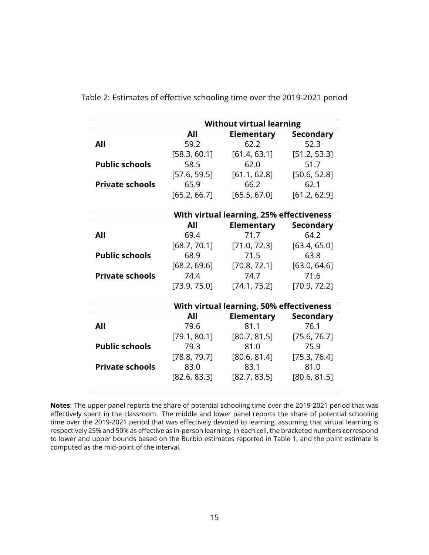|                        |              | <b>Without virtual learning</b>          |                          |
|------------------------|--------------|------------------------------------------|--------------------------|
|                        | All          | <b>Elementary</b>                        | <b>Secondary</b>         |
| All                    | 59.2         | 62.2                                     | 52.3                     |
|                        | [58.3, 60.1] | [61.4, 63.1]                             | [51.2, 53.3]             |
| <b>Public schools</b>  | 58.5         | 62.0                                     | 51.7                     |
|                        | [57.6, 59.5] | [61.1, 62.8]                             | [50.6, 52.8]             |
| <b>Private schools</b> | 65.9         | 66.2                                     | 62.1                     |
|                        | [65.2, 66.7] | [65.5, 67.0]                             | [61.2, 62.9]             |
|                        |              |                                          |                          |
|                        |              | With virtual learning, 25% effectiveness |                          |
|                        | All          | <b>Elementary</b>                        | <b>Secondary</b>         |
| All                    | 69.4         | 71.7                                     | 64.2                     |
|                        | [68.7, 70.1] | [71.0, 72.3]                             | [63.4, 65.0]             |
| <b>Public schools</b>  | 68.9         | 71.5                                     | 63.8                     |
|                        | [68.2, 69.6] | [70.8, 72.1]                             | [63.0, 64.6]             |
| <b>Private schools</b> | 74.4         | 74.7                                     | 71.6                     |
|                        | [73.9, 75.0] | [74.1, 75.2]                             | [70.9, 72.2]             |
|                        |              | With virtual learning, 50% effectiveness |                          |
|                        | All          | <b>Elementary</b>                        |                          |
| All                    | 79.6         | 81.1                                     | <b>Secondary</b><br>76.1 |
|                        | [79.1, 80.1] | [80.7, 81.5]                             |                          |
| <b>Public schools</b>  | 79.3         | 81.0                                     | [75.6, 76.7]<br>75.9     |
|                        |              |                                          |                          |
|                        | [78.8, 79.7] | [80.6, 81.4]                             | [75.3, 76.4]             |
| <b>Private schools</b> | 83.0         | 83.1                                     | 81.0                     |
|                        | [82.6, 83.3] | [82.7, 83.5]                             | [80.6, 81.5]             |
|                        |              |                                          |                          |

<span id="page-14-0"></span>Table 2: Estimates of effective schooling time over the 2019-2021 period

**Notes**: The upper panel reports the share of potential schooling time over the 2019-2021 period that was effectively spent in the classroom. The middle and lower panel reports the share of potential schooling time over the 2019-2021 period that was effectively devoted to learning, assuming that virtual learning is respectively 25% and 50% as effective as in-person learning. In each cell, the bracketed numbers correspond to lower and upper bounds based on the Burbio estimates reported in Table [1,](#page-12-0) and the point estimate is computed as the mid-point of the interval.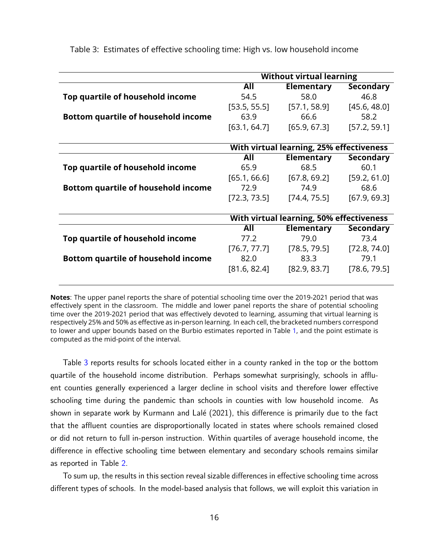|                                            | <b>Without virtual learning</b> |                                          |                  |
|--------------------------------------------|---------------------------------|------------------------------------------|------------------|
|                                            | All                             | <b>Elementary</b>                        | <b>Secondary</b> |
| Top quartile of household income           | 54.5                            | 58.0                                     | 46.8             |
|                                            | [53.5, 55.5]                    | [57.1, 58.9]                             | [45.6, 48.0]     |
| <b>Bottom quartile of household income</b> | 63.9                            | 66.6                                     | 58.2             |
|                                            | [63.1, 64.7]                    | [65.9, 67.3]                             | [57.2, 59.1]     |
|                                            |                                 |                                          |                  |
|                                            |                                 | With virtual learning, 25% effectiveness |                  |
|                                            | All                             | <b>Elementary</b>                        | <b>Secondary</b> |
| Top quartile of household income           | 65.9                            | 68.5                                     | 60.1             |
|                                            | [65.1, 66.6]                    | [67.8, 69.2]                             | [59.2, 61.0]     |
| <b>Bottom quartile of household income</b> | 72.9                            | 74.9                                     | 68.6             |
|                                            | [72.3, 73.5]                    | [74.4, 75.5]                             | [67.9, 69.3]     |
|                                            |                                 |                                          |                  |
|                                            |                                 | With virtual learning, 50% effectiveness |                  |
|                                            | All                             | <b>Elementary</b>                        | <b>Secondary</b> |
| Top quartile of household income           | 77.2                            | 79.0                                     | 73.4             |
|                                            | [76.7, 77.7]                    | [78.5, 79.5]                             | [72.8, 74.0]     |
| <b>Bottom quartile of household income</b> | 82.0                            | 83.3                                     | 79.1             |
|                                            | [81.6, 82.4]                    | [82.9, 83.7]                             | [78.6, 79.5]     |

<span id="page-15-0"></span>Table 3: Estimates of effective schooling time: High vs. low household income

**Notes**: The upper panel reports the share of potential schooling time over the 2019-2021 period that was effectively spent in the classroom. The middle and lower panel reports the share of potential schooling time over the 2019-2021 period that was effectively devoted to learning, assuming that virtual learning is respectively 25% and 50% as effective as in-person learning. In each cell, the bracketed numbers correspond to lower and upper bounds based on the Burbio estimates reported in Table [1,](#page-12-0) and the point estimate is computed as the mid-point of the interval.

Table [3](#page-15-0) reports results for schools located either in a county ranked in the top or the bottom quartile of the household income distribution. Perhaps somewhat surprisingly, schools in affluent counties generally experienced a larger decline in school visits and therefore lower effective schooling time during the pandemic than schools in counties with low household income. As shown in separate work by Kurmann and Lalé (2021), this difference is primarily due to the fact that the affluent counties are disproportionally located in states where schools remained closed or did not return to full in-person instruction. Within quartiles of average household income, the difference in effective schooling time between elementary and secondary schools remains similar as reported in Table [2.](#page-14-0)

To sum up, the results in this section reveal sizable differences in effective schooling time across different types of schools. In the model-based analysis that follows, we will exploit this variation in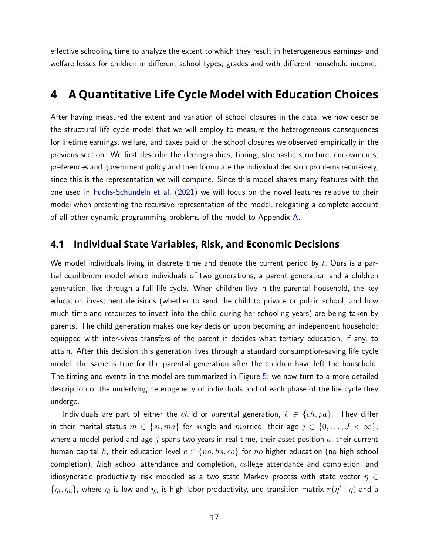effective schooling time to analyze the extent to which they result in heterogeneous earnings- and welfare losses for children in different school types, grades and with different household income.

## <span id="page-16-0"></span>**4 A Quantitative Life Cycle Model with Education Choices**

After having measured the extent and variation of school closures in the data, we now describe the structural life cycle model that we will employ to measure the heterogeneous consequences for lifetime earnings, welfare, and taxes paid of the school closures we observed empirically in the previous section. We first describe the demographics, timing, stochastic structure, endowments, preferences and government policy and then formulate the individual decision problems recursively, since this is the representation we will compute. Since this model shares many features with the one used in Fuchs-Schündeln et al. [\(2021\)](#page-56-0) we will focus on the novel features relative to their model when presenting the recursive representation of the model, relegating a complete account of all other dynamic programming problems of the model to Appendix [A.](#page-59-0)

### **4.1 Individual State Variables, Risk, and Economic Decisions**

We model individuals living in discrete time and denote the current period by  $t$ . Ours is a partial equilibrium model where individuals of two generations, a parent generation and a children generation, live through a full life cycle. When children live in the parental household, the key education investment decisions (whether to send the child to private or public school, and how much time and resources to invest into the child during her schooling years) are being taken by parents. The child generation makes one key decision upon becoming an independent household: equipped with inter-vivos transfers of the parent it decides what tertiary education, if any, to attain. After this decision this generation lives through a standard consumption-saving life cycle model; the same is true for the parental generation after the children have left the household. The timing and events in the model are summarized in Figure [5;](#page-18-0) we now turn to a more detailed description of the underlying heterogeneity of individuals and of each phase of the life cycle they undergo.

Individuals are part of either the child or parental generation,  $k \in \{ch, pa\}$ . They differ in their marital status  $m \in \{si, ma\}$  for single and married, their age  $j \in \{0, ..., J < \infty\}$ , where a model period and age  $j$  spans two years in real time, their asset position  $a$ , their current human capital h, their education level  $e \in \{no, hs, co\}$  for no higher education (no high school completion), high school attendance and completion, college attendance and completion, and idiosyncratic productivity risk modeled as a two state Markov process with state vector  $\eta \in$  $\{\eta_l,\eta_h\}$ , where  $\eta_l$  is low and  $\eta_h$  is high labor productivity, and transition matrix  $\pi(\eta' \mid \eta)$  and a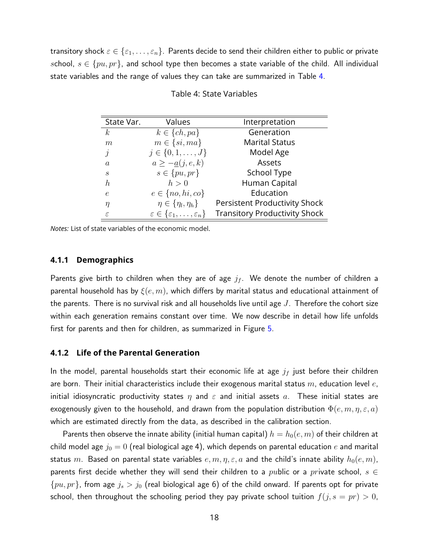<span id="page-17-0"></span>transitory shock  $\varepsilon \in \{\varepsilon_1,\ldots,\varepsilon_n\}$ . Parents decide to send their children either to public or private school,  $s \in \{pu, pr\}$ , and school type then becomes a state variable of the child. All individual state variables and the range of values they can take are summarized in Table [4.](#page-17-0)

| State Var.                  | Values                                                   | Interpretation                       |
|-----------------------------|----------------------------------------------------------|--------------------------------------|
| $\boldsymbol{k}$            | $k \in \{ch, pa\}$                                       | Generation                           |
| m                           | $m \in \{si, ma\}$                                       | <b>Marital Status</b>                |
| $\dot{\jmath}$              | $j \in \{0, 1, \ldots, J\}$                              | Model Age                            |
| $\alpha$                    | $a \geq -\underline{a}(j, e, k)$                         | Assets                               |
| $\mathcal{S}_{\mathcal{S}}$ | $s \in \{pu, pr\}$                                       | School Type                          |
| $\boldsymbol{h}$            | h>0                                                      | Human Capital                        |
| e                           | $e \in \{no, hi, co\}$                                   | Education                            |
| η                           | $\eta \in \{\eta_l, \eta_h\}$                            | <b>Persistent Productivity Shock</b> |
| $\varepsilon$               | $\varepsilon \in {\varepsilon_1, \ldots, \varepsilon_n}$ | <b>Transitory Productivity Shock</b> |

Table 4: State Variables

*Notes:* List of state variables of the economic model.

#### **4.1.1 Demographics**

Parents give birth to children when they are of age  $j_f$ . We denote the number of children a parental household has by  $\xi(e, m)$ , which differs by marital status and educational attainment of the parents. There is no survival risk and all households live until age  $J$ . Therefore the cohort size within each generation remains constant over time. We now describe in detail how life unfolds first for parents and then for children, as summarized in Figure [5.](#page-18-0)

#### **4.1.2 Life of the Parental Generation**

In the model, parental households start their economic life at age  $j_f$  just before their children are born. Their initial characteristics include their exogenous marital status  $m$ , education level  $e$ , initial idiosyncratic productivity states  $\eta$  and  $\varepsilon$  and initial assets  $a$ . These initial states are exogenously given to the household, and drawn from the population distribution  $\Phi(e, m, \eta, \varepsilon, a)$ which are estimated directly from the data, as described in the calibration section.

Parents then observe the innate ability (initial human capital)  $h = h_0(e, m)$  of their children at child model age  $j_0 = 0$  (real biological age 4), which depends on parental education e and marital status m. Based on parental state variables  $e, m, \eta, \varepsilon, a$  and the child's innate ability  $h_0(e, m)$ , parents first decide whether they will send their children to a *public* or a *private* school,  $s \in$  $\{pu, pr\}$ , from age  $j_s > j_0$  (real biological age 6) of the child onward. If parents opt for private school, then throughout the schooling period they pay private school tuition  $f(j, s = pr) > 0$ ,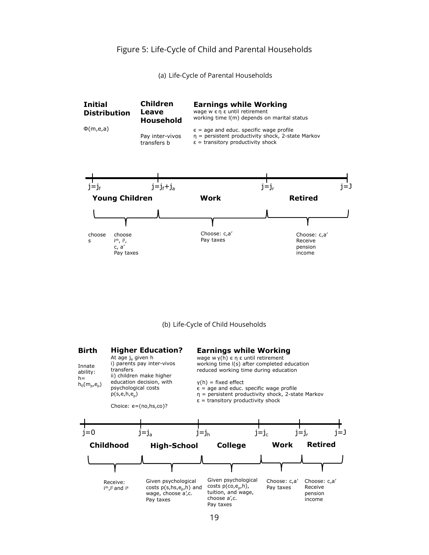#### Figure 5: Life-Cycle of Child and Parental Households

(a) Life-Cycle of Parental Households

<span id="page-18-0"></span>

(b) Life-Cycle of Child Households

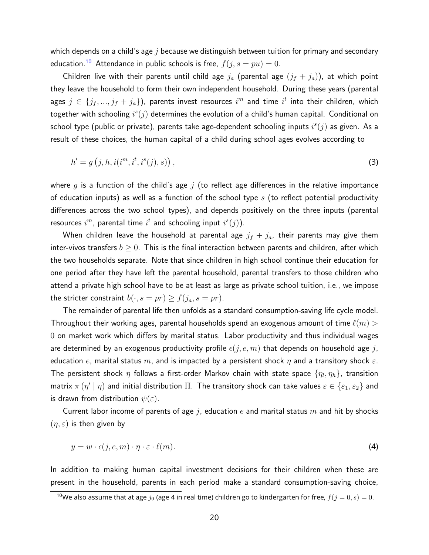which depends on a child's age  $j$  because we distinguish between tuition for primary and secondary education.<sup>[10](#page-19-0)</sup> Attendance in public schools is free,  $f(j, s = pu) = 0$ .

Children live with their parents until child age  $j_a$  (parental age  $(j_f + j_a)$ ), at which point they leave the household to form their own independent household. During these years (parental ages  $j \in \{j_f,...,j_f+j_a\})$ , parents invest resources  $i^m$  and time  $i^t$  into their children, which together with schooling  $i^s(j)$  determines the evolution of a child's human capital. Conditional on school type (public or private), parents take age-dependent schooling inputs  $i^s(j)$  as given. As a result of these choices, the human capital of a child during school ages evolves according to

$$
h' = g(j, h, i(im, it, is(j), s)),
$$
\n(3)

where g is a function of the child's age j (to reflect age differences in the relative importance of education inputs) as well as a function of the school type  $s$  (to reflect potential productivity differences across the two school types), and depends positively on the three inputs (parental resources  $i^m$ , parental time  $i^t$  and schooling input  $i^s(j)$ ).

When children leave the household at parental age  $j_f + j_a$ , their parents may give them inter-vivos transfers  $b \geq 0$ . This is the final interaction between parents and children, after which the two households separate. Note that since children in high school continue their education for one period after they have left the parental household, parental transfers to those children who attend a private high school have to be at least as large as private school tuition, i.e., we impose the stricter constraint  $b(\cdot, s = pr) \ge f(j_a, s = pr)$ .

The remainder of parental life then unfolds as a standard consumption-saving life cycle model. Throughout their working ages, parental households spend an exogenous amount of time  $\ell(m) >$ 0 on market work which differs by marital status. Labor productivity and thus individual wages are determined by an exogenous productivity profile  $\epsilon(j, e, m)$  that depends on household age j, education e, marital status  $m$ , and is impacted by a persistent shock  $\eta$  and a transitory shock  $\varepsilon$ . The persistent shock  $\eta$  follows a first-order Markov chain with state space  $\{\eta_l,\eta_h\}$ , transition matrix  $\pi$   $(\eta' \mid \eta)$  and initial distribution  $\Pi$ . The transitory shock can take values  $\varepsilon \in \{\varepsilon_1,\varepsilon_2\}$  and is drawn from distribution  $\psi(\varepsilon)$ .

Current labor income of parents of age j, education e and marital status  $m$  and hit by shocks  $(\eta, \varepsilon)$  is then given by

$$
y = w \cdot \epsilon(j, e, m) \cdot \eta \cdot \varepsilon \cdot \ell(m). \tag{4}
$$

In addition to making human capital investment decisions for their children when these are present in the household, parents in each period make a standard consumption-saving choice,

<span id="page-19-0"></span><sup>&</sup>lt;sup>10</sup>We also assume that at age  $j_0$  (age 4 in real time) children go to kindergarten for free,  $f(j=0, s) = 0$ .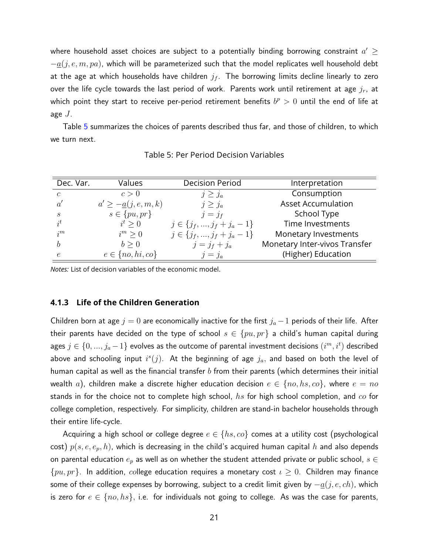where household asset choices are subject to a potentially binding borrowing constraint  $a' \geq 0$  $-q(j, e, m, pa)$ , which will be parameterized such that the model replicates well household debt at the age at which households have children  $j_f$ . The borrowing limits decline linearly to zero over the life cycle towards the last period of work. Parents work until retirement at age  $j_r$ , at which point they start to receive per-period retirement benefits  $b^p > 0$  until the end of life at age  $J$ .

<span id="page-20-0"></span>Table [5](#page-20-0) summarizes the choices of parents described thus far, and those of children, to which we turn next.

| Dec. Var.                   | Values                               | <b>Decision Period</b>           | Interpretation                |
|-----------------------------|--------------------------------------|----------------------------------|-------------------------------|
| $\epsilon$                  | c > 0                                | $j \geq j_a$                     | Consumption                   |
| $\alpha'$                   | $a' \geq -\underline{a}(j, e, m, k)$ | $j \geq j_a$                     | <b>Asset Accumulation</b>     |
| $\mathcal{S}_{\mathcal{S}}$ | $s \in \{pu, pr\}$                   | $j=j_f$                          | School Type                   |
| $i^t$                       | $i^t > 0$                            | $j \in \{j_f, , j_f + j_a - 1\}$ | Time Investments              |
| $i^{m}$                     | $i^m \geq 0$                         | $j \in \{j_f, , j_f + j_a - 1\}$ | Monetary Investments          |
| h                           | b > 0                                | $j = j_f + j_a$                  | Monetary Inter-vivos Transfer |
| e                           | $e \in \{no, hi, co\}$               | $j=j_a$                          | (Higher) Education            |

Table 5: Per Period Decision Variables

*Notes:* List of decision variables of the economic model.

#### **4.1.3 Life of the Children Generation**

Children born at age  $j = 0$  are economically inactive for the first  $j_a - 1$  periods of their life. After their parents have decided on the type of school  $s \in \{pu, pr\}$  a child's human capital during ages  $j\in\{0,...,j_{a}\!-\!1\}$  evolves as the outcome of parental investment decisions  $(i^{m},i^{t})$  described above and schooling input  $i^s(j)$ . At the beginning of age  $j_a$ , and based on both the level of human capital as well as the financial transfer b from their parents (which determines their initial wealth a), children make a discrete higher education decision  $e \in \{no, hs, co\}$ , where  $e = no$ stands in for the choice not to complete high school,  $hs$  for high school completion, and  $co$  for college completion, respectively. For simplicity, children are stand-in bachelor households through their entire life-cycle.

Acquiring a high school or college degree  $e \in \{hs, co\}$  comes at a utility cost (psychological cost)  $p(s, e, e_p, h)$ , which is decreasing in the child's acquired human capital h and also depends on parental education  $e_p$  as well as on whether the student attended private or public school,  $s \in$  $\{pu, pr\}$ . In addition, college education requires a monetary cost  $\iota \geq 0$ . Children may finance some of their college expenses by borrowing, subject to a credit limit given by  $-\underline{a}(j,e,ch)$ , which is zero for  $e \in \{no, hs\}$ , i.e. for individuals not going to college. As was the case for parents,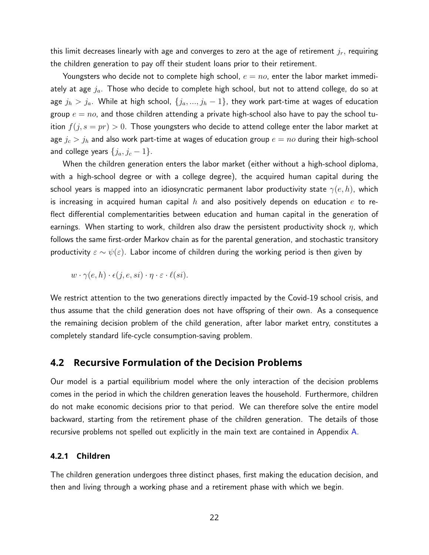this limit decreases linearly with age and converges to zero at the age of retirement  $j_r$ , requiring the children generation to pay off their student loans prior to their retirement.

Youngsters who decide not to complete high school,  $e=no$ , enter the labor market immediately at age  $j_a$ . Those who decide to complete high school, but not to attend college, do so at age  $j_h > j_a$ . While at high school,  $\{j_a, ..., j_h-1\}$ , they work part-time at wages of education group  $e = n_o$ , and those children attending a private high-school also have to pay the school tuition  $f(j, s = pr) > 0$ . Those youngsters who decide to attend college enter the labor market at age  $j_c > j_h$  and also work part-time at wages of education group  $e = no$  during their high-school and college years  $\{j_a, j_c - 1\}$ .

When the children generation enters the labor market (either without a high-school diploma, with a high-school degree or with a college degree), the acquired human capital during the school years is mapped into an idiosyncratic permanent labor productivity state  $\gamma(e, h)$ , which is increasing in acquired human capital h and also positively depends on education e to reflect differential complementarities between education and human capital in the generation of earnings. When starting to work, children also draw the persistent productivity shock  $\eta$ , which follows the same first-order Markov chain as for the parental generation, and stochastic transitory productivity  $\varepsilon \sim \psi(\varepsilon)$ . Labor income of children during the working period is then given by

 $w \cdot \gamma(e, h) \cdot \epsilon(i, e, si) \cdot \eta \cdot \varepsilon \cdot \ell(s_i).$ 

We restrict attention to the two generations directly impacted by the Covid-19 school crisis, and thus assume that the child generation does not have offspring of their own. As a consequence the remaining decision problem of the child generation, after labor market entry, constitutes a completely standard life-cycle consumption-saving problem.

### **4.2 Recursive Formulation of the Decision Problems**

Our model is a partial equilibrium model where the only interaction of the decision problems comes in the period in which the children generation leaves the household. Furthermore, children do not make economic decisions prior to that period. We can therefore solve the entire model backward, starting from the retirement phase of the children generation. The details of those recursive problems not spelled out explicitly in the main text are contained in Appendix [A.](#page-59-0)

#### **4.2.1 Children**

The children generation undergoes three distinct phases, first making the education decision, and then and living through a working phase and a retirement phase with which we begin.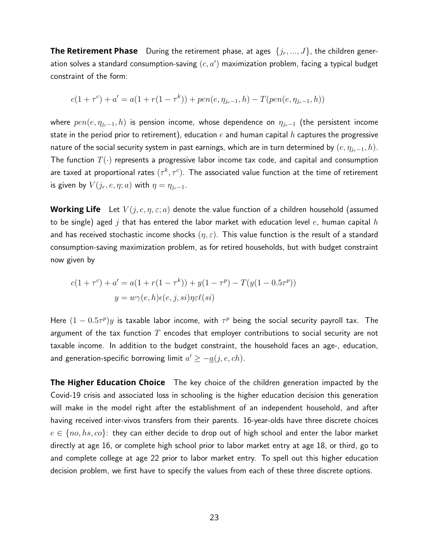**The Retirement Phase** During the retirement phase, at ages  $\{j_r, ..., J\}$ , the children generation solves a standard consumption-saving  $(c,a^{\prime})$  maximization problem, facing a typical budget constraint of the form:

$$
c(1+\tau^{c}) + a' = a(1+r(1-\tau^{k})) + pen(e, \eta_{j_{r}-1}, h) - T(pen(e, \eta_{j_{r}-1}, h))
$$

where  $pen(e, \eta_{j_r-1}, h)$  is pension income, whose dependence on  $\eta_{j_r-1}$  (the persistent income state in the period prior to retirement), education e and human capital h captures the progressive nature of the social security system in past earnings, which are in turn determined by  $(e, \eta_{j_r-1}, h)$ . The function  $T(\cdot)$  represents a progressive labor income tax code, and capital and consumption are taxed at proportional rates  $(\tau^k,\tau^c)$ . The associated value function at the time of retirement is given by  $V(j_r, e, \eta; a)$  with  $\eta = \eta_{j_r-1}$ .

**Working Life** Let  $V(j, e, \eta, \varepsilon; a)$  denote the value function of a children household (assumed to be single) aged j that has entered the labor market with education level e, human capital  $h$ and has received stochastic income shocks  $(\eta, \varepsilon)$ . This value function is the result of a standard consumption-saving maximization problem, as for retired households, but with budget constraint now given by

$$
c(1 + \tau^{c}) + a' = a(1 + r(1 - \tau^{k})) + y(1 - \tau^{p}) - T(y(1 - 0.5\tau^{p}))
$$

$$
y = w\gamma(e, h)\epsilon(e, j, si)\eta \epsilon(\epsilon(i))
$$

Here  $(1 - 0.5\tau^p)y$  is taxable labor income, with  $\tau^p$  being the social security payroll tax. The argument of the tax function  $T$  encodes that employer contributions to social security are not taxable income. In addition to the budget constraint, the household faces an age-, education, and generation-specific borrowing limit  $a' \geq -a(j, e, ch)$ .

**The Higher Education Choice** The key choice of the children generation impacted by the Covid-19 crisis and associated loss in schooling is the higher education decision this generation will make in the model right after the establishment of an independent household, and after having received inter-vivos transfers from their parents. 16-year-olds have three discrete choices  $e \in \{no, hs, co\}$ : they can either decide to drop out of high school and enter the labor market directly at age 16, or complete high school prior to labor market entry at age 18, or third, go to and complete college at age 22 prior to labor market entry. To spell out this higher education decision problem, we first have to specify the values from each of these three discrete options.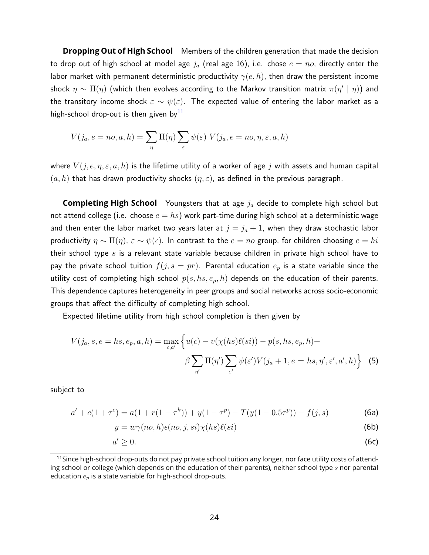**Dropping Out of High School** Members of the children generation that made the decision to drop out of high school at model age  $j_a$  (real age 16), i.e. chose  $e = no$ , directly enter the labor market with permanent deterministic productivity  $\gamma(e, h)$ , then draw the persistent income shock  $\eta \sim \Pi(\eta)$  (which then evolves according to the Markov transition matrix  $\pi(\eta' \mid \eta)$ ) and the transitory income shock  $\varepsilon \sim \psi(\varepsilon)$ . The expected value of entering the labor market as a high-school drop-out is then given by<sup>[11](#page-23-0)</sup>

$$
V(j_a, e = no, a, h) = \sum_{\eta} \Pi(\eta) \sum_{\varepsilon} \psi(\varepsilon) V(j_a, e = no, \eta, \varepsilon, a, h)
$$

where  $V(j, e, \eta, \varepsilon, a, h)$  is the lifetime utility of a worker of age j with assets and human capital  $(a, h)$  that has drawn productivity shocks  $(\eta, \varepsilon)$ , as defined in the previous paragraph.

**Completing High School** Youngsters that at age  $j_a$  decide to complete high school but not attend college (i.e. choose  $e = hs$ ) work part-time during high school at a deterministic wage and then enter the labor market two years later at  $j = j_a + 1$ , when they draw stochastic labor productivity  $\eta \sim \Pi(\eta)$ ,  $\varepsilon \sim \psi(\epsilon)$ . In contrast to the  $e = no$  group, for children choosing  $e = hi$ their school type  $s$  is a relevant state variable because children in private high school have to pay the private school tuition  $f(j, s = pr)$ . Parental education  $e_p$  is a state variable since the utility cost of completing high school  $p(s, hs, e_p, h)$  depends on the education of their parents. This dependence captures heterogeneity in peer groups and social networks across socio-economic groups that affect the difficulty of completing high school.

Expected lifetime utility from high school completion is then given by

$$
V(j_a, s, e = hs, e_p, a, h) = \max_{c, a'} \left\{ u(c) - v(\chi(hs)\ell(si)) - p(s, hs, e_p, h) + \beta \sum_{n'} \Pi(n') \sum_{\varepsilon'} \psi(\varepsilon') V(j_a + 1, e = hs, n', \varepsilon', a', h) \right\}
$$
(5)

subject to

<span id="page-23-1"></span>
$$
a' + c(1 + \tau^c) = a(1 + r(1 - \tau^k)) + y(1 - \tau^p) - T(y(1 - 0.5\tau^p)) - f(j, s)
$$
 (6a)

$$
y = w\gamma(no, h)\epsilon(no, j, si)\chi(hs)\ell(ii)
$$
\n(6b)

$$
a' \geq 0. \tag{6c}
$$

<span id="page-23-0"></span><sup>&</sup>lt;sup>11</sup> Since high-school drop-outs do not pay private school tuition any longer, nor face utility costs of attending school or college (which depends on the education of their parents), neither school type  $s$  nor parental education  $e_p$  is a state variable for high-school drop-outs.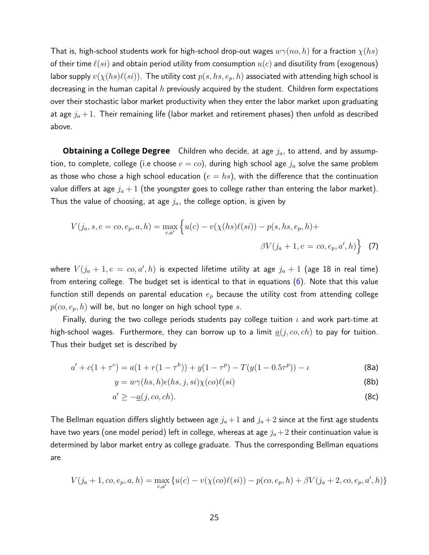That is, high-school students work for high-school drop-out wages  $w\gamma(no, h)$  for a fraction  $\chi(hs)$ of their time  $\ell(s_i)$  and obtain period utility from consumption  $u(c)$  and disutility from (exogenous) labor supply  $v(\chi(hs)\ell(si))$ . The utility cost  $p(s, hs, e_p, h)$  associated with attending high school is decreasing in the human capital  $h$  previously acquired by the student. Children form expectations over their stochastic labor market productivity when they enter the labor market upon graduating at age  $j_a + 1$ . Their remaining life (labor market and retirement phases) then unfold as described above.

**Obtaining a College Degree** Children who decide, at age  $j_a$ , to attend, and by assumption, to complete, college (i.e choose  $e = co$ ), during high school age  $j_a$  solve the same problem as those who chose a high school education ( $e = hs$ ), with the difference that the continuation value differs at age  $j_a + 1$  (the youngster goes to college rather than entering the labor market). Thus the value of choosing, at age  $j_a$ , the college option, is given by

$$
V(j_a, s, e = co, e_p, a, h) = \max_{c, a'} \left\{ u(c) - v(\chi(hs)\ell(si)) - p(s, hs, e_p, h) + \beta V(j_a + 1, e = co, e_p, a', h) \right\}
$$
(7)

where  $V(j_a + 1, e = co, a', h)$  is expected lifetime utility at age  $j_a + 1$  (age 18 in real time) from entering college. The budget set is identical to that in equations [\(6\)](#page-23-1). Note that this value function still depends on parental education  $e_p$  because the utility cost from attending college  $p(co, e_p, h)$  will be, but no longer on high school type s.

Finally, during the two college periods students pay college tuition  $\iota$  and work part-time at high-school wages. Furthermore, they can borrow up to a limit  $a(j, co, ch)$  to pay for tuition. Thus their budget set is described by

$$
a' + c(1 + \tau^c) = a(1 + r(1 - \tau^k)) + y(1 - \tau^p) - T(y(1 - 0.5\tau^p)) - \iota
$$
 (8a)

<span id="page-24-0"></span>
$$
y = w\gamma(hs, h)\epsilon(hs, j, si)\chi(co)\ell(ai)
$$
 (8b)

$$
a' \ge -\underline{a}(j, co, ch). \tag{8c}
$$

The Bellman equation differs slightly between age  $j_a+1$  and  $j_a+2$  since at the first age students have two years (one model period) left in college, whereas at age  $j_a+2$  their continuation value is determined by labor market entry as college graduate. Thus the corresponding Bellman equations are

$$
V(j_a+1, c0, e_p, a, h) = \max_{c, a'} \{ u(c) - v(\chi(co)\ell(si)) - p(co, e_p, h) + \beta V(j_a+2, c0, e_p, a', h) \}
$$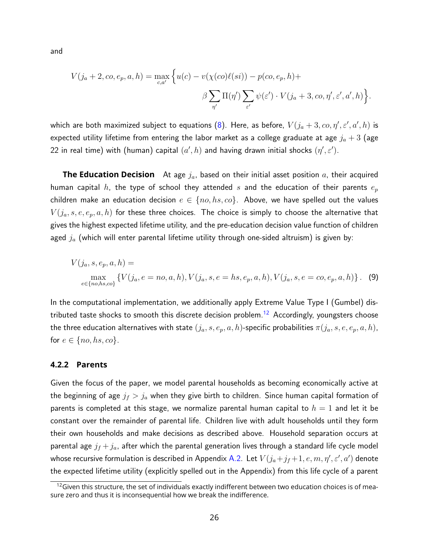and

$$
V(j_a + 2, co, e_p, a, h) = \max_{c,a'} \left\{ u(c) - v(\chi(co)\ell(st)) - p(co, e_p, h) + \beta \sum_{\substack{\gamma'}} \Pi(\eta') \sum_{\substack{\varepsilon'}} \psi(\varepsilon') \cdot V(j_a + 3, co, \eta', \varepsilon', a', h) \right\}.
$$

which are both maximized subject to equations [\(8\)](#page-24-0). Here, as before,  $\,V(j_a+3,co,\eta',\varepsilon',a',h)$  is expected utility lifetime from entering the labor market as a college graduate at age  $j_a + 3$  (age 22 in real time) with (human) capital  $(a',h)$  and having drawn initial shocks  $(\eta',\varepsilon').$ 

**The Education Decision** At age  $j_a$ , based on their initial asset position  $a$ , their acquired human capital  $h$ , the type of school they attended  $s$  and the education of their parents  $e_p$ children make an education decision  $e \in \{no, hs, co\}$ . Above, we have spelled out the values  $V(j_a, s, e, e_p, a, h)$  for these three choices. The choice is simply to choose the alternative that gives the highest expected lifetime utility, and the pre-education decision value function of children aged  $j_a$  (which will enter parental lifetime utility through one-sided altruism) is given by:

<span id="page-25-1"></span>
$$
V(j_a, s, e_p, a, h) = \max_{e \in \{no, h, s, co\}} \{ V(j_a, e = no, a, h), V(j_a, s, e = hs, e_p, a, h), V(j_a, s, e = co, e_p, a, h) \}.
$$
 (9)

In the computational implementation, we additionally apply Extreme Value Type I (Gumbel) dis-tributed taste shocks to smooth this discrete decision problem.<sup>[12](#page-25-0)</sup> Accordingly, youngsters choose the three education alternatives with state  $(j_a, s, e_p, a, h)$ -specific probabilities  $\pi(j_a, s, e, e_p, a, h)$ , for  $e \in \{no, hs, co\}$ .

#### **4.2.2 Parents**

Given the focus of the paper, we model parental households as becoming economically active at the beginning of age  $j_f > j_a$  when they give birth to children. Since human capital formation of parents is completed at this stage, we normalize parental human capital to  $h = 1$  and let it be constant over the remainder of parental life. Children live with adult households until they form their own households and make decisions as described above. Household separation occurs at parental age  $j_f + j_a$ , after which the parental generation lives through a standard life cycle model whose recursive formulation is described in Appendix [A.2.](#page-60-0) Let  $V(j_a\!+\!j_f\!+\!1,e,m,\eta',\varepsilon',a')$  denote the expected lifetime utility (explicitly spelled out in the Appendix) from this life cycle of a parent

<span id="page-25-0"></span> $12$  Given this structure, the set of individuals exactly indifferent between two education choices is of measure zero and thus it is inconsequential how we break the indifference.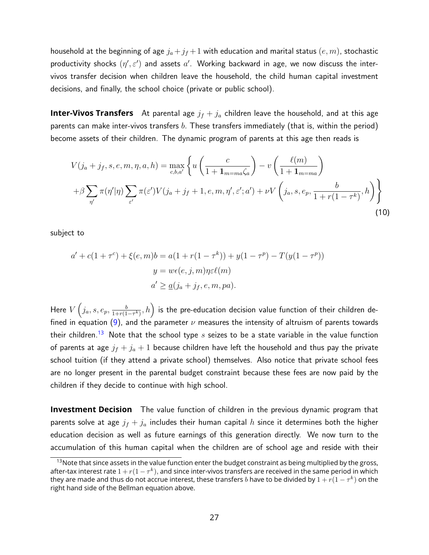household at the beginning of age  $j_a+j_f+1$  with education and marital status  $(e, m)$ , stochastic productivity shocks  $(\eta',\varepsilon')$  and assets  $a'$ . Working backward in age, we now discuss the intervivos transfer decision when children leave the household, the child human capital investment decisions, and finally, the school choice (private or public school).

**Inter-Vivos Transfers** At parental age  $j_f + j_a$  children leave the household, and at this age parents can make inter-vivos transfers  $b$ . These transfers immediately (that is, within the period) become assets of their children. The dynamic program of parents at this age then reads is

$$
V(j_a + j_f, s, e, m, \eta, a, h) = \max_{c, b, a'} \left\{ u \left( \frac{c}{1 + \mathbf{1}_{m = ma} \zeta_a} \right) - v \left( \frac{\ell(m)}{1 + \mathbf{1}_{m = ma}} \right) \right\}
$$
  
+  $\beta \sum_{\eta'} \pi(\eta'|\eta) \sum_{\varepsilon'} \pi(\varepsilon') V(j_a + j_f + 1, e, m, \eta', \varepsilon'; a') + \nu V \left( j_a, s, e_p, \frac{b}{1 + r(1 - \tau^k)}, h \right) \right\}$  (10)

subject to

$$
a' + c(1 + \tau^{c}) + \xi(e, m)b = a(1 + r(1 - \tau^{k})) + y(1 - \tau^{p}) - T(y(1 - \tau^{p}))
$$
  

$$
y = w\epsilon(e, j, m)\eta\varepsilon\ell(m)
$$
  

$$
a' \ge \underline{a}(j_a + j_f, e, m, pa).
$$

Here  $V\left(j_a,s,e_p,\frac{b}{1+r(1)}\right)$  $\left(\frac{b}{1+r(1-\tau^k)},h\right)$  is the pre-education decision value function of their children de-fined in equation [\(9\)](#page-25-1), and the parameter  $\nu$  measures the intensity of altruism of parents towards their children.<sup>[13](#page-26-0)</sup> Note that the school type  $s$  seizes to be a state variable in the value function of parents at age  $j_f + j_a + 1$  because children have left the household and thus pay the private school tuition (if they attend a private school) themselves. Also notice that private school fees are no longer present in the parental budget constraint because these fees are now paid by the children if they decide to continue with high school.

**Investment Decision** The value function of children in the previous dynamic program that parents solve at age  $j_f + j_a$  includes their human capital h since it determines both the higher education decision as well as future earnings of this generation directly. We now turn to the accumulation of this human capital when the children are of school age and reside with their

<span id="page-26-0"></span><sup>&</sup>lt;sup>13</sup>Note that since assets in the value function enter the budget constraint as being multiplied by the gross, after-tax interest rate  $1+r(1-\tau^k),$  and since inter-vivos transfers are received in the same period in which they are made and thus do not accrue interest, these transfers  $b$  have to be divided by  $1 + r(1-\tau^k)$  on the right hand side of the Bellman equation above.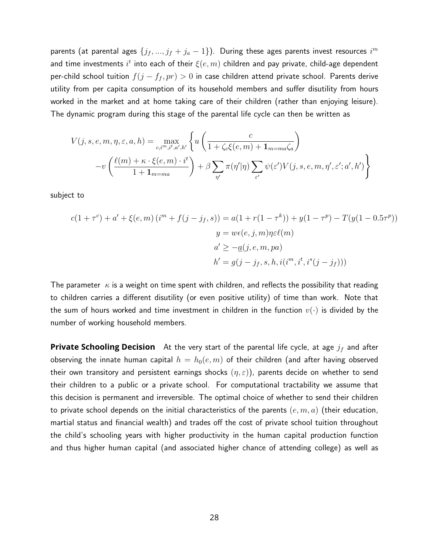parents (at parental ages  $\{j_f,...,j_f+j_a-1\}).$  During these ages parents invest resources  $i^m$ and time investments  $i^t$  into each of their  $\xi(e,m)$  children and pay private, child-age dependent per-child school tuition  $f(j - f_f, pr) > 0$  in case children attend private school. Parents derive utility from per capita consumption of its household members and suffer disutility from hours worked in the market and at home taking care of their children (rather than enjoying leisure). The dynamic program during this stage of the parental life cycle can then be written as

$$
V(j, s, e, m, \eta, \varepsilon, a, h) = \max_{c, i^{m}, i^{t}, a', h'} \left\{ u \left( \frac{c}{1 + \zeta_c \xi(e, m) + \mathbf{1}_{m = ma} \zeta_a} \right) - v \left( \frac{\ell(m) + \kappa \cdot \xi(e, m) \cdot i^{t}}{1 + \mathbf{1}_{m = ma}} \right) + \beta \sum_{\eta'} \pi(\eta'|\eta) \sum_{\varepsilon'} \psi(\varepsilon') V(j, s, e, m, \eta', \varepsilon'; a', h') \right\}
$$

subject to

$$
c(1+\tau^{c}) + a' + \xi(e, m) (i^{m} + f(j-j_{f}, s)) = a(1 + r(1-\tau^{k})) + y(1-\tau^{p}) - T(y(1-0.5\tau^{p}))
$$

$$
y = w\epsilon(e, j, m)\eta \epsilon \ell(m)
$$

$$
a' \geq -a(j, e, m, pa)
$$

$$
h' = g(j-j_{f}, s, h, i(i^{m}, i^{t}, i^{s}(j-j_{f})))
$$

The parameter  $\kappa$  is a weight on time spent with children, and reflects the possibility that reading to children carries a different disutility (or even positive utility) of time than work. Note that the sum of hours worked and time investment in children in the function  $v(\cdot)$  is divided by the number of working household members.

**Private Schooling Decision** At the very start of the parental life cycle, at age  $j_f$  and after observing the innate human capital  $h = h_0(e, m)$  of their children (and after having observed their own transitory and persistent earnings shocks  $(\eta, \varepsilon)$ ), parents decide on whether to send their children to a public or a private school. For computational tractability we assume that this decision is permanent and irreversible. The optimal choice of whether to send their children to private school depends on the initial characteristics of the parents  $(e, m, a)$  (their education, martial status and financial wealth) and trades off the cost of private school tuition throughout the child's schooling years with higher productivity in the human capital production function and thus higher human capital (and associated higher chance of attending college) as well as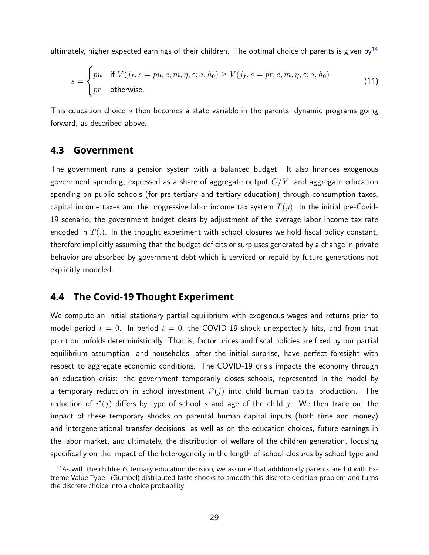ultimately, higher expected earnings of their children. The optimal choice of parents is given by  $14$ 

$$
s = \begin{cases} pu & \text{if } V(j_f, s = pu, e, m, \eta, \varepsilon; a, h_0) \ge V(j_f, s = pr, e, m, \eta, \varepsilon; a, h_0) \\ pr & \text{otherwise.} \end{cases}
$$
(11)

This education choice s then becomes a state variable in the parents' dynamic programs going forward, as described above.

### **4.3 Government**

The government runs a pension system with a balanced budget. It also finances exogenous government spending, expressed as a share of aggregate output  $G/Y$ , and aggregate education spending on public schools (for pre-tertiary and tertiary education) through consumption taxes, capital income taxes and the progressive labor income tax system  $T(y)$ . In the initial pre-Covid-19 scenario, the government budget clears by adjustment of the average labor income tax rate encoded in  $T(.)$ . In the thought experiment with school closures we hold fiscal policy constant, therefore implicitly assuming that the budget deficits or surpluses generated by a change in private behavior are absorbed by government debt which is serviced or repaid by future generations not explicitly modeled.

### **4.4 The Covid-19 Thought Experiment**

We compute an initial stationary partial equilibrium with exogenous wages and returns prior to model period  $t = 0$ . In period  $t = 0$ , the COVID-19 shock unexpectedly hits, and from that point on unfolds deterministically. That is, factor prices and fiscal policies are fixed by our partial equilibrium assumption, and households, after the initial surprise, have perfect foresight with respect to aggregate economic conditions. The COVID-19 crisis impacts the economy through an education crisis: the government temporarily closes schools, represented in the model by a temporary reduction in school investment  $i^s(j)$  into child human capital production. The reduction of  $i^s(j)$  differs by type of school s and age of the child j. We then trace out the impact of these temporary shocks on parental human capital inputs (both time and money) and intergenerational transfer decisions, as well as on the education choices, future earnings in the labor market, and ultimately, the distribution of welfare of the children generation, focusing specifically on the impact of the heterogeneity in the length of school closures by school type and

<span id="page-28-0"></span><sup>&</sup>lt;sup>14</sup>As with the children's tertiary education decision, we assume that additionally parents are hit with Extreme Value Type I (Gumbel) distributed taste shocks to smooth this discrete decision problem and turns the discrete choice into a choice probability.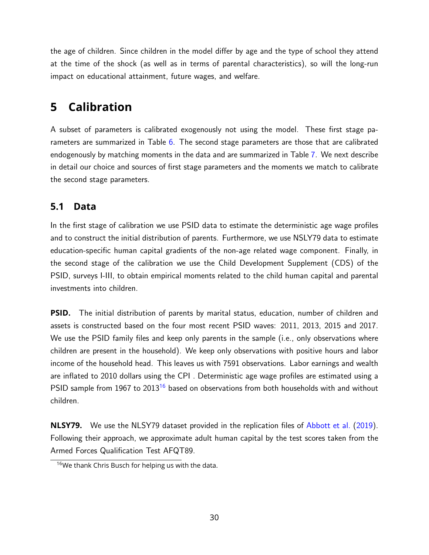the age of children. Since children in the model differ by age and the type of school they attend at the time of the shock (as well as in terms of parental characteristics), so will the long-run impact on educational attainment, future wages, and welfare.

# <span id="page-29-0"></span>**5 Calibration**

A subset of parameters is calibrated exogenously not using the model. These first stage pa-rameters are summarized in Table [6.](#page-30-0) The second stage parameters are those that are calibrated endogenously by matching moments in the data and are summarized in Table [7.](#page-31-0) We next describe in detail our choice and sources of first stage parameters and the moments we match to calibrate the second stage parameters.

## **5.1 Data**

In the first stage of calibration we use PSID data to estimate the deterministic age wage profiles and to construct the initial distribution of parents. Furthermore, we use NSLY79 data to estimate education-specific human capital gradients of the non-age related wage component. Finally, in the second stage of the calibration we use the Child Development Supplement (CDS) of the PSID, surveys I-III, to obtain empirical moments related to the child human capital and parental investments into children.

**PSID.** The initial distribution of parents by marital status, education, number of children and assets is constructed based on the four most recent PSID waves: 2011, 2013, 2015 and 2017. We use the PSID family files and keep only parents in the sample (i.e., only observations where children are present in the household). We keep only observations with positive hours and labor income of the household head. This leaves us with 7591 observations. Labor earnings and wealth are inflated to 2010 dollars using the CPI . Deterministic age wage profiles are estimated using a PSID sample from 1967 to 2013<sup>[16](#page-29-1)</sup> based on observations from both households with and without children.

**NLSY79.** We use the NLSY79 dataset provided in the replication files of [Abbott et al.](#page-54-1) [\(2019\)](#page-54-1). Following their approach, we approximate adult human capital by the test scores taken from the Armed Forces Qualification Test AFQT89.

<span id="page-29-1"></span><sup>&</sup>lt;sup>16</sup>We thank Chris Busch for helping us with the data.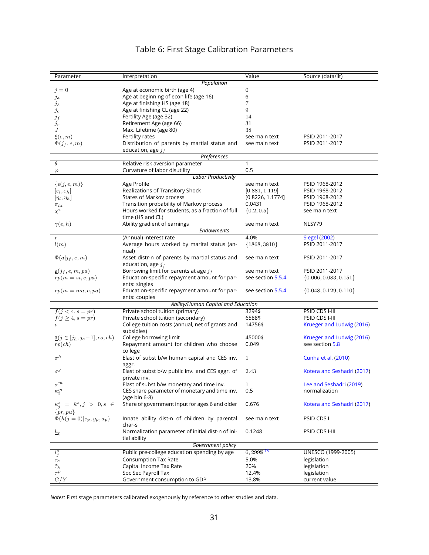## Table 6: First Stage Calibration Parameters

<span id="page-30-0"></span>

| Population<br>$\boldsymbol{0}$<br>Age at economic birth (age 4)<br>$j=0$<br>6<br>Age at beginning of econ life (age 16)<br>$\int a$<br>Age at finishing HS (age 18)<br>7<br>$j_h$<br>Age at finishing CL (age 22)<br>9<br>$\jmath_c$<br>Fertility Age (age 32)<br>14<br>$j_f$<br>31<br>Retirement Age (age 66)<br>$j_r$<br>38<br>J<br>Max. Lifetime (age 80)<br>$\xi(e, m)$<br>Fertility rates<br>PSID 2011-2017<br>see main text<br>$\Phi(j_f, e, m)$<br>Distribution of parents by martial status and<br>see main text<br>PSID 2011-2017<br>education, age $j_f$<br>Preferences<br>$\theta$<br>Relative risk aversion parameter<br>1<br>0.5<br>Curvature of labor disutility<br>$\varphi$<br><b>Labor Productivity</b><br>Age Profile<br>PSID 1968-2012<br>$\{\epsilon(j,e,m)\}\}$<br>see main text<br>Realizations of Transitory Shock<br>[0.881, 1.119]<br>PSID 1968-2012<br>$ \varepsilon_l,\varepsilon_h $<br>States of Markov process<br>[0.8226, 1.1774]<br>PSID 1968-2012<br>$[\eta_l, \eta_h]$<br>Transition probability of Markov process<br>0.0431<br>PSID 1968-2012<br>$\pi_{hl}$<br>$\chi^e$<br>Hours worked for students, as a fraction of full<br>$\{0.2, 0.5\}$<br>see main text<br>time (HS and CL)<br>Ability gradient of earnings<br>NLSY79<br>$\gamma(e,h)$<br>see main text<br>Endowments<br>4.0%<br><b>Siegel (2002)</b><br>(Annual) interest rate<br>$\,r\,$<br>Average hours worked by marital status (an-<br>${1868, 3810}$<br>PSID 2011-2017<br>l(m)<br>nual)<br>$\Phi(a j_f,e,m)$<br>Asset distr-n of parents by martial status and<br>PSID 2011-2017<br>see main text<br>education, age $j_f$<br>Borrowing limit for parents at age $j_f$<br>PSID 2011-2017<br>$\underline{a}(j_f, e, m, pa)$<br>see main text<br>Education-specific repayment amount for par-<br>see section 5.5.4<br>$\{0.006, 0.083, 0.151\}$<br>$rp(m=si,e,pa)$<br>ents: singles<br>Education-specific repayment amount for par-<br>$\{0.048, 0.129, 0.110\}$<br>$rp(m = ma, e, pa)$<br>see section 5.5.4<br>ents: couples<br>Ability/Human Capital and Education<br>$f(j < 4, s = pr)$<br>Private school tuition (primary)<br>3294\$<br>PSID CDS I-III<br>Private school tuition (secondary)<br>6588\$<br>PSID CDS I-III<br>$f(j \geq 4, s = pr)$<br>College tuition costs (annual, net of grants and<br>14756\$<br>Krueger and Ludwig (2016)<br>$\mathbf{L}$<br>subsidies)<br>College borrowing limit<br>45000\$<br>Krueger and Ludwig (2016)<br>$\underline{a}(j \in [j_h, j_c-1], co, ch)$<br>Repayment amount for children who choose<br>0.049<br>see section 5.8<br>rp(ch)<br>college<br>$\sigma^h$<br>Elast of subst b/w human capital and CES inv.<br>1<br>Cunha et al. (2010)<br>aggr.<br>$\sigma^g$<br>Elast of subst b/w public inv. and CES aggr. of<br>Kotera and Seshadri (2017)<br>2.43<br>private inv.<br>$\sigma^m$<br>Elast of subst b/w monetary and time inv.<br>Lee and Seshadri (2019)<br>1.<br>$\kappa_3^m$<br>CES share parameter of monetary and time inv.<br>0.5<br>normalization<br>(age bin 6-8)<br>Share of government input for ages 6 and older<br>$\kappa_i^s = \bar{\kappa}^s, j > 0, s \in$<br>0.676<br>Kotera and Seshadri (2017) | Parameter    | Interpretation | Value | Source (data/lit) |
|-----------------------------------------------------------------------------------------------------------------------------------------------------------------------------------------------------------------------------------------------------------------------------------------------------------------------------------------------------------------------------------------------------------------------------------------------------------------------------------------------------------------------------------------------------------------------------------------------------------------------------------------------------------------------------------------------------------------------------------------------------------------------------------------------------------------------------------------------------------------------------------------------------------------------------------------------------------------------------------------------------------------------------------------------------------------------------------------------------------------------------------------------------------------------------------------------------------------------------------------------------------------------------------------------------------------------------------------------------------------------------------------------------------------------------------------------------------------------------------------------------------------------------------------------------------------------------------------------------------------------------------------------------------------------------------------------------------------------------------------------------------------------------------------------------------------------------------------------------------------------------------------------------------------------------------------------------------------------------------------------------------------------------------------------------------------------------------------------------------------------------------------------------------------------------------------------------------------------------------------------------------------------------------------------------------------------------------------------------------------------------------------------------------------------------------------------------------------------------------------------------------------------------------------------------------------------------------------------------------------------------------------------------------------------------------------------------------------------------------------------------------------------------------------------------------------------------------------------------------------------------------------------------------------------------------------------------------------------------------------------------------------------------------------------------------------------------------------------------------------------------------------------------------------------|--------------|----------------|-------|-------------------|
|                                                                                                                                                                                                                                                                                                                                                                                                                                                                                                                                                                                                                                                                                                                                                                                                                                                                                                                                                                                                                                                                                                                                                                                                                                                                                                                                                                                                                                                                                                                                                                                                                                                                                                                                                                                                                                                                                                                                                                                                                                                                                                                                                                                                                                                                                                                                                                                                                                                                                                                                                                                                                                                                                                                                                                                                                                                                                                                                                                                                                                                                                                                                                                       |              |                |       |                   |
|                                                                                                                                                                                                                                                                                                                                                                                                                                                                                                                                                                                                                                                                                                                                                                                                                                                                                                                                                                                                                                                                                                                                                                                                                                                                                                                                                                                                                                                                                                                                                                                                                                                                                                                                                                                                                                                                                                                                                                                                                                                                                                                                                                                                                                                                                                                                                                                                                                                                                                                                                                                                                                                                                                                                                                                                                                                                                                                                                                                                                                                                                                                                                                       |              |                |       |                   |
|                                                                                                                                                                                                                                                                                                                                                                                                                                                                                                                                                                                                                                                                                                                                                                                                                                                                                                                                                                                                                                                                                                                                                                                                                                                                                                                                                                                                                                                                                                                                                                                                                                                                                                                                                                                                                                                                                                                                                                                                                                                                                                                                                                                                                                                                                                                                                                                                                                                                                                                                                                                                                                                                                                                                                                                                                                                                                                                                                                                                                                                                                                                                                                       |              |                |       |                   |
|                                                                                                                                                                                                                                                                                                                                                                                                                                                                                                                                                                                                                                                                                                                                                                                                                                                                                                                                                                                                                                                                                                                                                                                                                                                                                                                                                                                                                                                                                                                                                                                                                                                                                                                                                                                                                                                                                                                                                                                                                                                                                                                                                                                                                                                                                                                                                                                                                                                                                                                                                                                                                                                                                                                                                                                                                                                                                                                                                                                                                                                                                                                                                                       |              |                |       |                   |
|                                                                                                                                                                                                                                                                                                                                                                                                                                                                                                                                                                                                                                                                                                                                                                                                                                                                                                                                                                                                                                                                                                                                                                                                                                                                                                                                                                                                                                                                                                                                                                                                                                                                                                                                                                                                                                                                                                                                                                                                                                                                                                                                                                                                                                                                                                                                                                                                                                                                                                                                                                                                                                                                                                                                                                                                                                                                                                                                                                                                                                                                                                                                                                       |              |                |       |                   |
|                                                                                                                                                                                                                                                                                                                                                                                                                                                                                                                                                                                                                                                                                                                                                                                                                                                                                                                                                                                                                                                                                                                                                                                                                                                                                                                                                                                                                                                                                                                                                                                                                                                                                                                                                                                                                                                                                                                                                                                                                                                                                                                                                                                                                                                                                                                                                                                                                                                                                                                                                                                                                                                                                                                                                                                                                                                                                                                                                                                                                                                                                                                                                                       |              |                |       |                   |
|                                                                                                                                                                                                                                                                                                                                                                                                                                                                                                                                                                                                                                                                                                                                                                                                                                                                                                                                                                                                                                                                                                                                                                                                                                                                                                                                                                                                                                                                                                                                                                                                                                                                                                                                                                                                                                                                                                                                                                                                                                                                                                                                                                                                                                                                                                                                                                                                                                                                                                                                                                                                                                                                                                                                                                                                                                                                                                                                                                                                                                                                                                                                                                       |              |                |       |                   |
|                                                                                                                                                                                                                                                                                                                                                                                                                                                                                                                                                                                                                                                                                                                                                                                                                                                                                                                                                                                                                                                                                                                                                                                                                                                                                                                                                                                                                                                                                                                                                                                                                                                                                                                                                                                                                                                                                                                                                                                                                                                                                                                                                                                                                                                                                                                                                                                                                                                                                                                                                                                                                                                                                                                                                                                                                                                                                                                                                                                                                                                                                                                                                                       |              |                |       |                   |
|                                                                                                                                                                                                                                                                                                                                                                                                                                                                                                                                                                                                                                                                                                                                                                                                                                                                                                                                                                                                                                                                                                                                                                                                                                                                                                                                                                                                                                                                                                                                                                                                                                                                                                                                                                                                                                                                                                                                                                                                                                                                                                                                                                                                                                                                                                                                                                                                                                                                                                                                                                                                                                                                                                                                                                                                                                                                                                                                                                                                                                                                                                                                                                       |              |                |       |                   |
|                                                                                                                                                                                                                                                                                                                                                                                                                                                                                                                                                                                                                                                                                                                                                                                                                                                                                                                                                                                                                                                                                                                                                                                                                                                                                                                                                                                                                                                                                                                                                                                                                                                                                                                                                                                                                                                                                                                                                                                                                                                                                                                                                                                                                                                                                                                                                                                                                                                                                                                                                                                                                                                                                                                                                                                                                                                                                                                                                                                                                                                                                                                                                                       |              |                |       |                   |
|                                                                                                                                                                                                                                                                                                                                                                                                                                                                                                                                                                                                                                                                                                                                                                                                                                                                                                                                                                                                                                                                                                                                                                                                                                                                                                                                                                                                                                                                                                                                                                                                                                                                                                                                                                                                                                                                                                                                                                                                                                                                                                                                                                                                                                                                                                                                                                                                                                                                                                                                                                                                                                                                                                                                                                                                                                                                                                                                                                                                                                                                                                                                                                       |              |                |       |                   |
|                                                                                                                                                                                                                                                                                                                                                                                                                                                                                                                                                                                                                                                                                                                                                                                                                                                                                                                                                                                                                                                                                                                                                                                                                                                                                                                                                                                                                                                                                                                                                                                                                                                                                                                                                                                                                                                                                                                                                                                                                                                                                                                                                                                                                                                                                                                                                                                                                                                                                                                                                                                                                                                                                                                                                                                                                                                                                                                                                                                                                                                                                                                                                                       |              |                |       |                   |
|                                                                                                                                                                                                                                                                                                                                                                                                                                                                                                                                                                                                                                                                                                                                                                                                                                                                                                                                                                                                                                                                                                                                                                                                                                                                                                                                                                                                                                                                                                                                                                                                                                                                                                                                                                                                                                                                                                                                                                                                                                                                                                                                                                                                                                                                                                                                                                                                                                                                                                                                                                                                                                                                                                                                                                                                                                                                                                                                                                                                                                                                                                                                                                       |              |                |       |                   |
|                                                                                                                                                                                                                                                                                                                                                                                                                                                                                                                                                                                                                                                                                                                                                                                                                                                                                                                                                                                                                                                                                                                                                                                                                                                                                                                                                                                                                                                                                                                                                                                                                                                                                                                                                                                                                                                                                                                                                                                                                                                                                                                                                                                                                                                                                                                                                                                                                                                                                                                                                                                                                                                                                                                                                                                                                                                                                                                                                                                                                                                                                                                                                                       |              |                |       |                   |
|                                                                                                                                                                                                                                                                                                                                                                                                                                                                                                                                                                                                                                                                                                                                                                                                                                                                                                                                                                                                                                                                                                                                                                                                                                                                                                                                                                                                                                                                                                                                                                                                                                                                                                                                                                                                                                                                                                                                                                                                                                                                                                                                                                                                                                                                                                                                                                                                                                                                                                                                                                                                                                                                                                                                                                                                                                                                                                                                                                                                                                                                                                                                                                       |              |                |       |                   |
|                                                                                                                                                                                                                                                                                                                                                                                                                                                                                                                                                                                                                                                                                                                                                                                                                                                                                                                                                                                                                                                                                                                                                                                                                                                                                                                                                                                                                                                                                                                                                                                                                                                                                                                                                                                                                                                                                                                                                                                                                                                                                                                                                                                                                                                                                                                                                                                                                                                                                                                                                                                                                                                                                                                                                                                                                                                                                                                                                                                                                                                                                                                                                                       |              |                |       |                   |
|                                                                                                                                                                                                                                                                                                                                                                                                                                                                                                                                                                                                                                                                                                                                                                                                                                                                                                                                                                                                                                                                                                                                                                                                                                                                                                                                                                                                                                                                                                                                                                                                                                                                                                                                                                                                                                                                                                                                                                                                                                                                                                                                                                                                                                                                                                                                                                                                                                                                                                                                                                                                                                                                                                                                                                                                                                                                                                                                                                                                                                                                                                                                                                       |              |                |       |                   |
|                                                                                                                                                                                                                                                                                                                                                                                                                                                                                                                                                                                                                                                                                                                                                                                                                                                                                                                                                                                                                                                                                                                                                                                                                                                                                                                                                                                                                                                                                                                                                                                                                                                                                                                                                                                                                                                                                                                                                                                                                                                                                                                                                                                                                                                                                                                                                                                                                                                                                                                                                                                                                                                                                                                                                                                                                                                                                                                                                                                                                                                                                                                                                                       |              |                |       |                   |
|                                                                                                                                                                                                                                                                                                                                                                                                                                                                                                                                                                                                                                                                                                                                                                                                                                                                                                                                                                                                                                                                                                                                                                                                                                                                                                                                                                                                                                                                                                                                                                                                                                                                                                                                                                                                                                                                                                                                                                                                                                                                                                                                                                                                                                                                                                                                                                                                                                                                                                                                                                                                                                                                                                                                                                                                                                                                                                                                                                                                                                                                                                                                                                       |              |                |       |                   |
|                                                                                                                                                                                                                                                                                                                                                                                                                                                                                                                                                                                                                                                                                                                                                                                                                                                                                                                                                                                                                                                                                                                                                                                                                                                                                                                                                                                                                                                                                                                                                                                                                                                                                                                                                                                                                                                                                                                                                                                                                                                                                                                                                                                                                                                                                                                                                                                                                                                                                                                                                                                                                                                                                                                                                                                                                                                                                                                                                                                                                                                                                                                                                                       |              |                |       |                   |
|                                                                                                                                                                                                                                                                                                                                                                                                                                                                                                                                                                                                                                                                                                                                                                                                                                                                                                                                                                                                                                                                                                                                                                                                                                                                                                                                                                                                                                                                                                                                                                                                                                                                                                                                                                                                                                                                                                                                                                                                                                                                                                                                                                                                                                                                                                                                                                                                                                                                                                                                                                                                                                                                                                                                                                                                                                                                                                                                                                                                                                                                                                                                                                       |              |                |       |                   |
|                                                                                                                                                                                                                                                                                                                                                                                                                                                                                                                                                                                                                                                                                                                                                                                                                                                                                                                                                                                                                                                                                                                                                                                                                                                                                                                                                                                                                                                                                                                                                                                                                                                                                                                                                                                                                                                                                                                                                                                                                                                                                                                                                                                                                                                                                                                                                                                                                                                                                                                                                                                                                                                                                                                                                                                                                                                                                                                                                                                                                                                                                                                                                                       |              |                |       |                   |
|                                                                                                                                                                                                                                                                                                                                                                                                                                                                                                                                                                                                                                                                                                                                                                                                                                                                                                                                                                                                                                                                                                                                                                                                                                                                                                                                                                                                                                                                                                                                                                                                                                                                                                                                                                                                                                                                                                                                                                                                                                                                                                                                                                                                                                                                                                                                                                                                                                                                                                                                                                                                                                                                                                                                                                                                                                                                                                                                                                                                                                                                                                                                                                       |              |                |       |                   |
|                                                                                                                                                                                                                                                                                                                                                                                                                                                                                                                                                                                                                                                                                                                                                                                                                                                                                                                                                                                                                                                                                                                                                                                                                                                                                                                                                                                                                                                                                                                                                                                                                                                                                                                                                                                                                                                                                                                                                                                                                                                                                                                                                                                                                                                                                                                                                                                                                                                                                                                                                                                                                                                                                                                                                                                                                                                                                                                                                                                                                                                                                                                                                                       |              |                |       |                   |
|                                                                                                                                                                                                                                                                                                                                                                                                                                                                                                                                                                                                                                                                                                                                                                                                                                                                                                                                                                                                                                                                                                                                                                                                                                                                                                                                                                                                                                                                                                                                                                                                                                                                                                                                                                                                                                                                                                                                                                                                                                                                                                                                                                                                                                                                                                                                                                                                                                                                                                                                                                                                                                                                                                                                                                                                                                                                                                                                                                                                                                                                                                                                                                       |              |                |       |                   |
|                                                                                                                                                                                                                                                                                                                                                                                                                                                                                                                                                                                                                                                                                                                                                                                                                                                                                                                                                                                                                                                                                                                                                                                                                                                                                                                                                                                                                                                                                                                                                                                                                                                                                                                                                                                                                                                                                                                                                                                                                                                                                                                                                                                                                                                                                                                                                                                                                                                                                                                                                                                                                                                                                                                                                                                                                                                                                                                                                                                                                                                                                                                                                                       |              |                |       |                   |
|                                                                                                                                                                                                                                                                                                                                                                                                                                                                                                                                                                                                                                                                                                                                                                                                                                                                                                                                                                                                                                                                                                                                                                                                                                                                                                                                                                                                                                                                                                                                                                                                                                                                                                                                                                                                                                                                                                                                                                                                                                                                                                                                                                                                                                                                                                                                                                                                                                                                                                                                                                                                                                                                                                                                                                                                                                                                                                                                                                                                                                                                                                                                                                       |              |                |       |                   |
|                                                                                                                                                                                                                                                                                                                                                                                                                                                                                                                                                                                                                                                                                                                                                                                                                                                                                                                                                                                                                                                                                                                                                                                                                                                                                                                                                                                                                                                                                                                                                                                                                                                                                                                                                                                                                                                                                                                                                                                                                                                                                                                                                                                                                                                                                                                                                                                                                                                                                                                                                                                                                                                                                                                                                                                                                                                                                                                                                                                                                                                                                                                                                                       |              |                |       |                   |
|                                                                                                                                                                                                                                                                                                                                                                                                                                                                                                                                                                                                                                                                                                                                                                                                                                                                                                                                                                                                                                                                                                                                                                                                                                                                                                                                                                                                                                                                                                                                                                                                                                                                                                                                                                                                                                                                                                                                                                                                                                                                                                                                                                                                                                                                                                                                                                                                                                                                                                                                                                                                                                                                                                                                                                                                                                                                                                                                                                                                                                                                                                                                                                       |              |                |       |                   |
|                                                                                                                                                                                                                                                                                                                                                                                                                                                                                                                                                                                                                                                                                                                                                                                                                                                                                                                                                                                                                                                                                                                                                                                                                                                                                                                                                                                                                                                                                                                                                                                                                                                                                                                                                                                                                                                                                                                                                                                                                                                                                                                                                                                                                                                                                                                                                                                                                                                                                                                                                                                                                                                                                                                                                                                                                                                                                                                                                                                                                                                                                                                                                                       |              |                |       |                   |
|                                                                                                                                                                                                                                                                                                                                                                                                                                                                                                                                                                                                                                                                                                                                                                                                                                                                                                                                                                                                                                                                                                                                                                                                                                                                                                                                                                                                                                                                                                                                                                                                                                                                                                                                                                                                                                                                                                                                                                                                                                                                                                                                                                                                                                                                                                                                                                                                                                                                                                                                                                                                                                                                                                                                                                                                                                                                                                                                                                                                                                                                                                                                                                       |              |                |       |                   |
|                                                                                                                                                                                                                                                                                                                                                                                                                                                                                                                                                                                                                                                                                                                                                                                                                                                                                                                                                                                                                                                                                                                                                                                                                                                                                                                                                                                                                                                                                                                                                                                                                                                                                                                                                                                                                                                                                                                                                                                                                                                                                                                                                                                                                                                                                                                                                                                                                                                                                                                                                                                                                                                                                                                                                                                                                                                                                                                                                                                                                                                                                                                                                                       |              |                |       |                   |
|                                                                                                                                                                                                                                                                                                                                                                                                                                                                                                                                                                                                                                                                                                                                                                                                                                                                                                                                                                                                                                                                                                                                                                                                                                                                                                                                                                                                                                                                                                                                                                                                                                                                                                                                                                                                                                                                                                                                                                                                                                                                                                                                                                                                                                                                                                                                                                                                                                                                                                                                                                                                                                                                                                                                                                                                                                                                                                                                                                                                                                                                                                                                                                       |              |                |       |                   |
|                                                                                                                                                                                                                                                                                                                                                                                                                                                                                                                                                                                                                                                                                                                                                                                                                                                                                                                                                                                                                                                                                                                                                                                                                                                                                                                                                                                                                                                                                                                                                                                                                                                                                                                                                                                                                                                                                                                                                                                                                                                                                                                                                                                                                                                                                                                                                                                                                                                                                                                                                                                                                                                                                                                                                                                                                                                                                                                                                                                                                                                                                                                                                                       |              |                |       |                   |
|                                                                                                                                                                                                                                                                                                                                                                                                                                                                                                                                                                                                                                                                                                                                                                                                                                                                                                                                                                                                                                                                                                                                                                                                                                                                                                                                                                                                                                                                                                                                                                                                                                                                                                                                                                                                                                                                                                                                                                                                                                                                                                                                                                                                                                                                                                                                                                                                                                                                                                                                                                                                                                                                                                                                                                                                                                                                                                                                                                                                                                                                                                                                                                       |              |                |       |                   |
|                                                                                                                                                                                                                                                                                                                                                                                                                                                                                                                                                                                                                                                                                                                                                                                                                                                                                                                                                                                                                                                                                                                                                                                                                                                                                                                                                                                                                                                                                                                                                                                                                                                                                                                                                                                                                                                                                                                                                                                                                                                                                                                                                                                                                                                                                                                                                                                                                                                                                                                                                                                                                                                                                                                                                                                                                                                                                                                                                                                                                                                                                                                                                                       |              |                |       |                   |
|                                                                                                                                                                                                                                                                                                                                                                                                                                                                                                                                                                                                                                                                                                                                                                                                                                                                                                                                                                                                                                                                                                                                                                                                                                                                                                                                                                                                                                                                                                                                                                                                                                                                                                                                                                                                                                                                                                                                                                                                                                                                                                                                                                                                                                                                                                                                                                                                                                                                                                                                                                                                                                                                                                                                                                                                                                                                                                                                                                                                                                                                                                                                                                       |              |                |       |                   |
|                                                                                                                                                                                                                                                                                                                                                                                                                                                                                                                                                                                                                                                                                                                                                                                                                                                                                                                                                                                                                                                                                                                                                                                                                                                                                                                                                                                                                                                                                                                                                                                                                                                                                                                                                                                                                                                                                                                                                                                                                                                                                                                                                                                                                                                                                                                                                                                                                                                                                                                                                                                                                                                                                                                                                                                                                                                                                                                                                                                                                                                                                                                                                                       |              |                |       |                   |
|                                                                                                                                                                                                                                                                                                                                                                                                                                                                                                                                                                                                                                                                                                                                                                                                                                                                                                                                                                                                                                                                                                                                                                                                                                                                                                                                                                                                                                                                                                                                                                                                                                                                                                                                                                                                                                                                                                                                                                                                                                                                                                                                                                                                                                                                                                                                                                                                                                                                                                                                                                                                                                                                                                                                                                                                                                                                                                                                                                                                                                                                                                                                                                       |              |                |       |                   |
|                                                                                                                                                                                                                                                                                                                                                                                                                                                                                                                                                                                                                                                                                                                                                                                                                                                                                                                                                                                                                                                                                                                                                                                                                                                                                                                                                                                                                                                                                                                                                                                                                                                                                                                                                                                                                                                                                                                                                                                                                                                                                                                                                                                                                                                                                                                                                                                                                                                                                                                                                                                                                                                                                                                                                                                                                                                                                                                                                                                                                                                                                                                                                                       |              |                |       |                   |
|                                                                                                                                                                                                                                                                                                                                                                                                                                                                                                                                                                                                                                                                                                                                                                                                                                                                                                                                                                                                                                                                                                                                                                                                                                                                                                                                                                                                                                                                                                                                                                                                                                                                                                                                                                                                                                                                                                                                                                                                                                                                                                                                                                                                                                                                                                                                                                                                                                                                                                                                                                                                                                                                                                                                                                                                                                                                                                                                                                                                                                                                                                                                                                       |              |                |       |                   |
|                                                                                                                                                                                                                                                                                                                                                                                                                                                                                                                                                                                                                                                                                                                                                                                                                                                                                                                                                                                                                                                                                                                                                                                                                                                                                                                                                                                                                                                                                                                                                                                                                                                                                                                                                                                                                                                                                                                                                                                                                                                                                                                                                                                                                                                                                                                                                                                                                                                                                                                                                                                                                                                                                                                                                                                                                                                                                                                                                                                                                                                                                                                                                                       |              |                |       |                   |
|                                                                                                                                                                                                                                                                                                                                                                                                                                                                                                                                                                                                                                                                                                                                                                                                                                                                                                                                                                                                                                                                                                                                                                                                                                                                                                                                                                                                                                                                                                                                                                                                                                                                                                                                                                                                                                                                                                                                                                                                                                                                                                                                                                                                                                                                                                                                                                                                                                                                                                                                                                                                                                                                                                                                                                                                                                                                                                                                                                                                                                                                                                                                                                       |              |                |       |                   |
|                                                                                                                                                                                                                                                                                                                                                                                                                                                                                                                                                                                                                                                                                                                                                                                                                                                                                                                                                                                                                                                                                                                                                                                                                                                                                                                                                                                                                                                                                                                                                                                                                                                                                                                                                                                                                                                                                                                                                                                                                                                                                                                                                                                                                                                                                                                                                                                                                                                                                                                                                                                                                                                                                                                                                                                                                                                                                                                                                                                                                                                                                                                                                                       |              |                |       |                   |
|                                                                                                                                                                                                                                                                                                                                                                                                                                                                                                                                                                                                                                                                                                                                                                                                                                                                                                                                                                                                                                                                                                                                                                                                                                                                                                                                                                                                                                                                                                                                                                                                                                                                                                                                                                                                                                                                                                                                                                                                                                                                                                                                                                                                                                                                                                                                                                                                                                                                                                                                                                                                                                                                                                                                                                                                                                                                                                                                                                                                                                                                                                                                                                       |              |                |       |                   |
|                                                                                                                                                                                                                                                                                                                                                                                                                                                                                                                                                                                                                                                                                                                                                                                                                                                                                                                                                                                                                                                                                                                                                                                                                                                                                                                                                                                                                                                                                                                                                                                                                                                                                                                                                                                                                                                                                                                                                                                                                                                                                                                                                                                                                                                                                                                                                                                                                                                                                                                                                                                                                                                                                                                                                                                                                                                                                                                                                                                                                                                                                                                                                                       |              |                |       |                   |
|                                                                                                                                                                                                                                                                                                                                                                                                                                                                                                                                                                                                                                                                                                                                                                                                                                                                                                                                                                                                                                                                                                                                                                                                                                                                                                                                                                                                                                                                                                                                                                                                                                                                                                                                                                                                                                                                                                                                                                                                                                                                                                                                                                                                                                                                                                                                                                                                                                                                                                                                                                                                                                                                                                                                                                                                                                                                                                                                                                                                                                                                                                                                                                       |              |                |       |                   |
|                                                                                                                                                                                                                                                                                                                                                                                                                                                                                                                                                                                                                                                                                                                                                                                                                                                                                                                                                                                                                                                                                                                                                                                                                                                                                                                                                                                                                                                                                                                                                                                                                                                                                                                                                                                                                                                                                                                                                                                                                                                                                                                                                                                                                                                                                                                                                                                                                                                                                                                                                                                                                                                                                                                                                                                                                                                                                                                                                                                                                                                                                                                                                                       |              |                |       |                   |
|                                                                                                                                                                                                                                                                                                                                                                                                                                                                                                                                                                                                                                                                                                                                                                                                                                                                                                                                                                                                                                                                                                                                                                                                                                                                                                                                                                                                                                                                                                                                                                                                                                                                                                                                                                                                                                                                                                                                                                                                                                                                                                                                                                                                                                                                                                                                                                                                                                                                                                                                                                                                                                                                                                                                                                                                                                                                                                                                                                                                                                                                                                                                                                       | $\{pr, pu\}$ |                |       |                   |
| $\Phi(h(j = 0)   e_p, y_p, a_p)$<br>Innate ability dist-n of children by parental<br>PSID CDS I<br>see main text                                                                                                                                                                                                                                                                                                                                                                                                                                                                                                                                                                                                                                                                                                                                                                                                                                                                                                                                                                                                                                                                                                                                                                                                                                                                                                                                                                                                                                                                                                                                                                                                                                                                                                                                                                                                                                                                                                                                                                                                                                                                                                                                                                                                                                                                                                                                                                                                                                                                                                                                                                                                                                                                                                                                                                                                                                                                                                                                                                                                                                                      |              |                |       |                   |
| char-s                                                                                                                                                                                                                                                                                                                                                                                                                                                                                                                                                                                                                                                                                                                                                                                                                                                                                                                                                                                                                                                                                                                                                                                                                                                                                                                                                                                                                                                                                                                                                                                                                                                                                                                                                                                                                                                                                                                                                                                                                                                                                                                                                                                                                                                                                                                                                                                                                                                                                                                                                                                                                                                                                                                                                                                                                                                                                                                                                                                                                                                                                                                                                                |              |                |       |                   |
| Normalization parameter of initial dist-n of ini-<br>0.1248<br>PSID CDS I-III<br>$h_0$                                                                                                                                                                                                                                                                                                                                                                                                                                                                                                                                                                                                                                                                                                                                                                                                                                                                                                                                                                                                                                                                                                                                                                                                                                                                                                                                                                                                                                                                                                                                                                                                                                                                                                                                                                                                                                                                                                                                                                                                                                                                                                                                                                                                                                                                                                                                                                                                                                                                                                                                                                                                                                                                                                                                                                                                                                                                                                                                                                                                                                                                                |              |                |       |                   |
| tial ability                                                                                                                                                                                                                                                                                                                                                                                                                                                                                                                                                                                                                                                                                                                                                                                                                                                                                                                                                                                                                                                                                                                                                                                                                                                                                                                                                                                                                                                                                                                                                                                                                                                                                                                                                                                                                                                                                                                                                                                                                                                                                                                                                                                                                                                                                                                                                                                                                                                                                                                                                                                                                                                                                                                                                                                                                                                                                                                                                                                                                                                                                                                                                          |              |                |       |                   |
| Government policy                                                                                                                                                                                                                                                                                                                                                                                                                                                                                                                                                                                                                                                                                                                                                                                                                                                                                                                                                                                                                                                                                                                                                                                                                                                                                                                                                                                                                                                                                                                                                                                                                                                                                                                                                                                                                                                                                                                                                                                                                                                                                                                                                                                                                                                                                                                                                                                                                                                                                                                                                                                                                                                                                                                                                                                                                                                                                                                                                                                                                                                                                                                                                     |              |                |       |                   |
| $6,299\$ $15$<br>$i_j^s$<br>Public pre-college education spending by age<br>UNESCO (1999-2005)                                                                                                                                                                                                                                                                                                                                                                                                                                                                                                                                                                                                                                                                                                                                                                                                                                                                                                                                                                                                                                                                                                                                                                                                                                                                                                                                                                                                                                                                                                                                                                                                                                                                                                                                                                                                                                                                                                                                                                                                                                                                                                                                                                                                                                                                                                                                                                                                                                                                                                                                                                                                                                                                                                                                                                                                                                                                                                                                                                                                                                                                        |              |                |       |                   |
| <b>Consumption Tax Rate</b><br>5.0%<br>legislation<br>$\tau_c$                                                                                                                                                                                                                                                                                                                                                                                                                                                                                                                                                                                                                                                                                                                                                                                                                                                                                                                                                                                                                                                                                                                                                                                                                                                                                                                                                                                                                                                                                                                                                                                                                                                                                                                                                                                                                                                                                                                                                                                                                                                                                                                                                                                                                                                                                                                                                                                                                                                                                                                                                                                                                                                                                                                                                                                                                                                                                                                                                                                                                                                                                                        |              |                |       |                   |
| 20%<br>Capital Income Tax Rate<br>legislation<br>$\tilde{\tau}_k$                                                                                                                                                                                                                                                                                                                                                                                                                                                                                                                                                                                                                                                                                                                                                                                                                                                                                                                                                                                                                                                                                                                                                                                                                                                                                                                                                                                                                                                                                                                                                                                                                                                                                                                                                                                                                                                                                                                                                                                                                                                                                                                                                                                                                                                                                                                                                                                                                                                                                                                                                                                                                                                                                                                                                                                                                                                                                                                                                                                                                                                                                                     |              |                |       |                   |
| $\tau^p$<br>Soc Sec Payroll Tax<br>12.4%<br>legislation                                                                                                                                                                                                                                                                                                                                                                                                                                                                                                                                                                                                                                                                                                                                                                                                                                                                                                                                                                                                                                                                                                                                                                                                                                                                                                                                                                                                                                                                                                                                                                                                                                                                                                                                                                                                                                                                                                                                                                                                                                                                                                                                                                                                                                                                                                                                                                                                                                                                                                                                                                                                                                                                                                                                                                                                                                                                                                                                                                                                                                                                                                               |              |                |       |                   |
| G/Y<br>Government consumption to GDP<br>13.8%<br>current value                                                                                                                                                                                                                                                                                                                                                                                                                                                                                                                                                                                                                                                                                                                                                                                                                                                                                                                                                                                                                                                                                                                                                                                                                                                                                                                                                                                                                                                                                                                                                                                                                                                                                                                                                                                                                                                                                                                                                                                                                                                                                                                                                                                                                                                                                                                                                                                                                                                                                                                                                                                                                                                                                                                                                                                                                                                                                                                                                                                                                                                                                                        |              |                |       |                   |

*Notes:* First stage parameters calibrated exogenously by reference to other studies and data.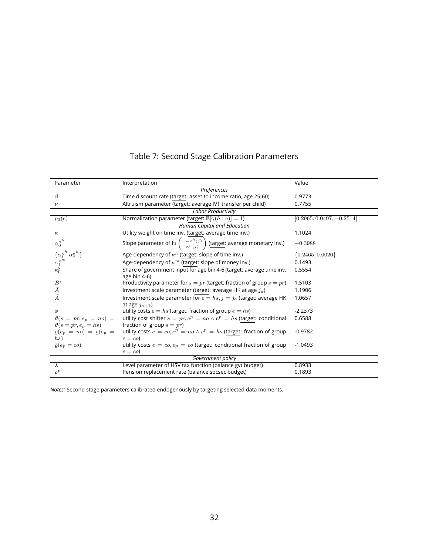<span id="page-31-0"></span>

| Parameter                                                                              | Interpretation                                                                                         | Value                       |
|----------------------------------------------------------------------------------------|--------------------------------------------------------------------------------------------------------|-----------------------------|
|                                                                                        | Preferences                                                                                            |                             |
| $\overline{\beta}$                                                                     | Time discount rate (target: asset to income ratio, age 25-60)                                          | 0.9773                      |
| $\nu$                                                                                  | Altruism parameter (target: average IVT transfer per child)                                            | 0.7755                      |
|                                                                                        | <b>Labor Productivity</b>                                                                              |                             |
| $\rho_0(e)$                                                                            | Normalization parameter (target: $\mathbb{E}[\gamma(h \mid e)] = 1$ )                                  | $[0.2965, 0.0497, -0.2514]$ |
|                                                                                        | Human Capital and Education                                                                            |                             |
| $\kappa$                                                                               | Utility weight on time inv. (target: average time inv.)                                                | 1.1024                      |
| $\alpha_0^{\kappa^h}$                                                                  | Slope parameter of $\ln\left(\frac{1-\kappa^h(j)}{\kappa^h(j)}\right)$ (target: average monetary inv.) | $-0.3988$                   |
| $\{\alpha_1^{\kappa^h} \alpha_2^{\kappa^h}\}$<br>$\alpha_1^{\kappa^m}$<br>$\kappa_0^g$ | Age-dependency of $\kappa^h$ (target: slope of time inv.)                                              | $\{0.2465, 0.0020\}$        |
|                                                                                        | Age-dependency of $\kappa^m$ (target: slope of money inv.)                                             | 0.1493                      |
|                                                                                        | Share of government input for age bin 4-6 (target: average time inv.                                   | 0.5554                      |
|                                                                                        | age bin 4-6)                                                                                           |                             |
| $\mathcal{B}^s$                                                                        | Productivity parameter for $s = pr$ (target: fraction of group $s = pr$ )                              | 1.5103                      |
| $\bar{A}$                                                                              | Investment scale parameter (target: average HK at age $j_a$ )                                          | 1.1906                      |
| $\tilde{A}$                                                                            | Investment scale parameter for $e = hs$ , $j = ja$ (target: average HK                                 | 1.0657                      |
|                                                                                        | at age $j_{a+1}$ )                                                                                     |                             |
| $\phi$                                                                                 | utility costs $e = hs$ (target: fraction of group $e = hs$ )                                           | $-2.2373$                   |
| $\vartheta(s = pr, e_p = no) =$                                                        | utility cost shifter $s = pr, e^p = no \wedge e^p = hs$ (target: conditional                           | 0.6588                      |
| $\vartheta(s=pr, e_p=hs)$                                                              | fraction of group $s = pr$ )                                                                           |                             |
| $\tilde{\varrho}(e_p \, = \, no) \, = \, \tilde{\varrho}(e_p \, = \,$                  | utility costs $e = co, e^p = no \wedge e^p = hs$ (target: fraction of group                            | $-0.9782$                   |
| hs)                                                                                    | $e = co$                                                                                               |                             |
| $\tilde{\varrho}(e_p=co)$                                                              | utility costs $e = co, e_p = co$ (target: conditional fraction of group                                | $-1.0493$                   |
|                                                                                        | $e = co$                                                                                               |                             |
|                                                                                        | Government policy                                                                                      |                             |
| $\lambda$                                                                              | Level parameter of HSV tax function (balance gyt budget)                                               | 0.8933                      |
| $\rho^p$                                                                               | Pension replacement rate (balance socsec budget)                                                       | 0.1893                      |

# Table 7: Second Stage Calibration Parameters

*Notes:* Second stage parameters calibrated endogenously by targeting selected data moments.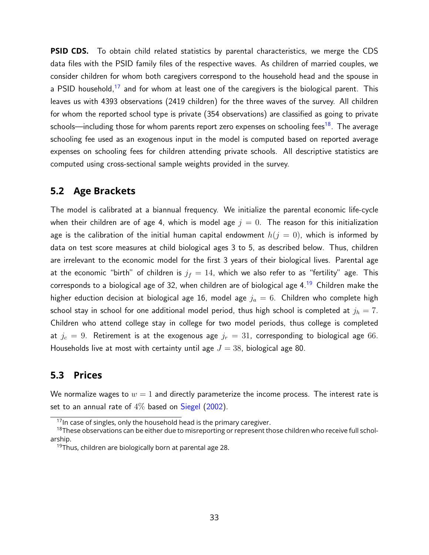**PSID CDS.** To obtain child related statistics by parental characteristics, we merge the CDS data files with the PSID family files of the respective waves. As children of married couples, we consider children for whom both caregivers correspond to the household head and the spouse in a PSID household,<sup>[17](#page-32-0)</sup> and for whom at least one of the caregivers is the biological parent. This leaves us with 4393 observations (2419 children) for the three waves of the survey. All children for whom the reported school type is private (354 observations) are classified as going to private schools—including those for whom parents report zero expenses on schooling fees<sup>[18](#page-32-1)</sup>. The average schooling fee used as an exogenous input in the model is computed based on reported average expenses on schooling fees for children attending private schools. All descriptive statistics are computed using cross-sectional sample weights provided in the survey.

## **5.2 Age Brackets**

The model is calibrated at a biannual frequency. We initialize the parental economic life-cycle when their children are of age 4, which is model age  $j = 0$ . The reason for this initialization age is the calibration of the initial human capital endowment  $h(j = 0)$ , which is informed by data on test score measures at child biological ages 3 to 5, as described below. Thus, children are irrelevant to the economic model for the first 3 years of their biological lives. Parental age at the economic "birth" of children is  $j_f = 14$ , which we also refer to as "fertility" age. This corresponds to a biological age of 32, when children are of biological age  $4.19$  $4.19$  Children make the higher eduction decision at biological age 16, model age  $j_a = 6$ . Children who complete high school stay in school for one additional model period, thus high school is completed at  $j_h = 7$ . Children who attend college stay in college for two model periods, thus college is completed at  $j_c = 9$ . Retirement is at the exogenous age  $j_r = 31$ , corresponding to biological age 66. Households live at most with certainty until age  $J = 38$ , biological age 80.

## **5.3 Prices**

We normalize wages to  $w = 1$  and directly parameterize the income process. The interest rate is set to an annual rate of  $4\%$  based on [Siegel](#page-58-9) [\(2002\)](#page-58-9).

<span id="page-32-1"></span><span id="page-32-0"></span> $17$ In case of singles, only the household head is the primary caregiver.

<sup>&</sup>lt;sup>18</sup>These observations can be either due to misreporting or represent those children who receive full scholarship.

<span id="page-32-2"></span><sup>&</sup>lt;sup>19</sup>Thus, children are biologically born at parental age 28.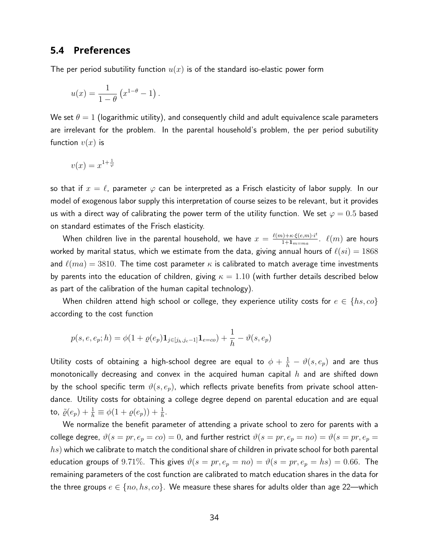### **5.4 Preferences**

The per period subutility function  $u(x)$  is of the standard iso-elastic power form

$$
u(x) = \frac{1}{1-\theta} \left( x^{1-\theta} - 1 \right).
$$

We set  $\theta = 1$  (logarithmic utility), and consequently child and adult equivalence scale parameters are irrelevant for the problem. In the parental household's problem, the per period subutility function  $v(x)$  is

$$
v(x) = x^{1 + \frac{1}{\varphi}}
$$

so that if  $x = \ell$ , parameter  $\varphi$  can be interpreted as a Frisch elasticity of labor supply. In our model of exogenous labor supply this interpretation of course seizes to be relevant, but it provides us with a direct way of calibrating the power term of the utility function. We set  $\varphi = 0.5$  based on standard estimates of the Frisch elasticity.

When children live in the parental household, we have  $x = \frac{\ell(m) + \kappa \cdot \xi(e, m) \cdot i^t}{1 + 1}$  $\frac{\ell^{(1)+\kappa\cdot\xi(e,m)\cdot i^{\kappa}}}{1+1_{m=ma}}$ .  $\ell(m)$  are hours worked by marital status, which we estimate from the data, giving annual hours of  $\ell(si) = 1868$ and  $\ell(ma) = 3810$ . The time cost parameter  $\kappa$  is calibrated to match average time investments by parents into the education of children, giving  $\kappa = 1.10$  (with further details described below as part of the calibration of the human capital technology).

When children attend high school or college, they experience utility costs for  $e \in \{hs, co\}$ according to the cost function

$$
p(s, e, e_p; h) = \phi(1 + \varrho(e_p) \mathbf{1}_{j \in [j_h, j_c - 1]} \mathbf{1}_{e = co}) + \frac{1}{h} - \vartheta(s, e_p)
$$

Utility costs of obtaining a high-school degree are equal to  $\phi+\frac{1}{h}-\vartheta(s,e_p)$  and are thus monotonically decreasing and convex in the acquired human capital  $h$  and are shifted down by the school specific term  $\vartheta(s, e_p)$ , which reflects private benefits from private school attendance. Utility costs for obtaining a college degree depend on parental education and are equal to,  $\tilde{\varrho}(e_p) + \frac{1}{h} \equiv \phi(1 + \varrho(e_p)) + \frac{1}{h}$ .

We normalize the benefit parameter of attending a private school to zero for parents with a college degree,  $\vartheta(s = pr, e_p = co) = 0$ , and further restrict  $\vartheta(s = pr, e_p = no) = \vartheta(s = pr, e_p = o)$  $hs$ ) which we calibrate to match the conditional share of children in private school for both parental education groups of 9.71%. This gives  $\vartheta(s = pr, e_p = no) = \vartheta(s = pr, e_p = hs) = 0.66$ . The remaining parameters of the cost function are calibrated to match education shares in the data for the three groups  $e \in \{no, hs, co\}$ . We measure these shares for adults older than age 22—which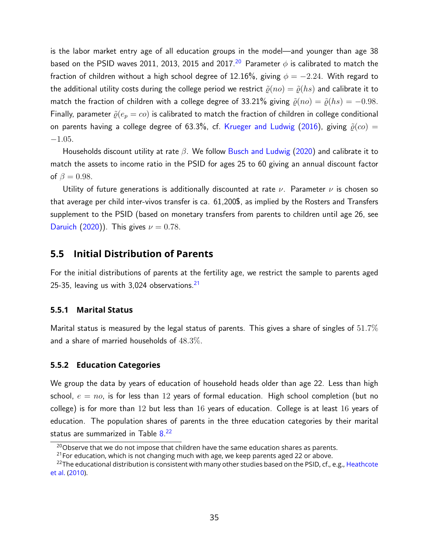is the labor market entry age of all education groups in the model—and younger than age 38 based on the PSID waves [20](#page-34-0)11, 2013, 2015 and 2017.<sup>20</sup> Parameter  $\phi$  is calibrated to match the fraction of children without a high school degree of 12.16%, giving  $\phi = -2.24$ . With regard to the additional utility costs during the college period we restrict  $\tilde{\rho}(no) = \tilde{\rho}(hs)$  and calibrate it to match the fraction of children with a college degree of 33.21% giving  $\tilde{\rho}(no) = \tilde{\rho}(hs) = -0.98$ . Finally, parameter  $\tilde{\rho}(e_p = c_0)$  is calibrated to match the fraction of children in college conditional on parents having a college degree of 63.3%, cf. [Krueger and Ludwig](#page-57-9) [\(2016\)](#page-57-9), giving  $\tilde{\varrho}(co)$  = −1.05.

Households discount utility at rate  $\beta$ . We follow [Busch and Ludwig](#page-55-9) [\(2020\)](#page-55-9) and calibrate it to match the assets to income ratio in the PSID for ages 25 to 60 giving an annual discount factor of  $\beta = 0.98$ .

Utility of future generations is additionally discounted at rate  $\nu$ . Parameter  $\nu$  is chosen so that average per child inter-vivos transfer is ca. 61,200\$, as implied by the Rosters and Transfers supplement to the PSID (based on monetary transfers from parents to children until age 26, see [Daruich](#page-56-12) [\(2020\)](#page-56-12)). This gives  $\nu = 0.78$ .

## **5.5 Initial Distribution of Parents**

For the initial distributions of parents at the fertility age, we restrict the sample to parents aged 25-35, leaving us with  $3,024$  observations.<sup>[21](#page-34-1)</sup>

#### **5.5.1 Marital Status**

Marital status is measured by the legal status of parents. This gives a share of singles of  $51.7\%$ and a share of married households of 48.3%.

#### **5.5.2 Education Categories**

We group the data by years of education of household heads older than age 22. Less than high school,  $e = n\sigma$ , is for less than 12 years of formal education. High school completion (but no college) is for more than 12 but less than 16 years of education. College is at least 16 years of education. The population shares of parents in the three education categories by their marital status are summarized in Table [8.](#page-35-1) [22](#page-34-2)

<span id="page-34-0"></span> $20$ Observe that we do not impose that children have the same education shares as parents.

<span id="page-34-2"></span><span id="page-34-1"></span> $21$  For education, which is not changing much with age, we keep parents aged 22 or above.

<sup>&</sup>lt;sup>22</sup>The educational distribution is consistent with many other studies based on the PSID, cf., e.g., [Heathcote](#page-57-10) [et al.](#page-57-10) [\(2010\)](#page-57-10).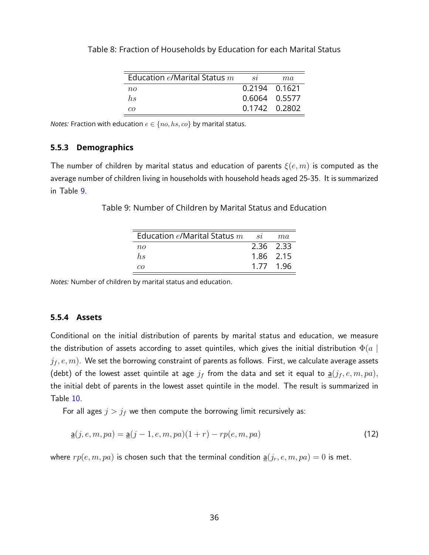| Education $e$ /Marital Status $m$ | S2            | ma            |
|-----------------------------------|---------------|---------------|
| $n_{\Omega}$                      | 0.2194 0.1621 |               |
| hs                                | 0.6064 0.5577 |               |
| $c\alpha$                         |               | 0.1742 0.2802 |

<span id="page-35-1"></span>Table 8: Fraction of Households by Education for each Marital Status

*Notes:* Fraction with education  $e \in \{no, hs, co\}$  by marital status.

#### **5.5.3 Demographics**

<span id="page-35-2"></span>The number of children by marital status and education of parents  $\xi(e, m)$  is computed as the average number of children living in households with household heads aged 25-35. It is summarized in Table [9.](#page-35-2)

Table 9: Number of Children by Marital Status and Education

| Education $e$ /Marital Status $m$ | si        | ma        |
|-----------------------------------|-----------|-----------|
| $n_{O}$                           | 2.36 2.33 |           |
| $h_{\rm S}$                       |           | 1.86 2.15 |
| $c\sigma$                         |           | 1.77 1.96 |

*Notes:* Number of children by marital status and education.

#### <span id="page-35-0"></span>**5.5.4 Assets**

Conditional on the initial distribution of parents by marital status and education, we measure the distribution of assets according to asset quintiles, which gives the initial distribution  $\Phi(a \mid$  $(j_f, e, m)$ . We set the borrowing constraint of parents as follows. First, we calculate average assets (debt) of the lowest asset quintile at age  $j_f$  from the data and set it equal to  $\underline{a}(j_f, e, m, pa)$ , the initial debt of parents in the lowest asset quintile in the model. The result is summarized in Table [10.](#page-36-0)

For all ages  $j > j_f$  we then compute the borrowing limit recursively as:

$$
\underline{\mathbf{a}}(j, e, m, pa) = \underline{\mathbf{a}}(j - 1, e, m, pa)(1 + r) - rp(e, m, pa)
$$
\n(12)

where  $rp(e, m, pa)$  is chosen such that the terminal condition  $\underline{a}(j_r, e, m, pa) = 0$  is met.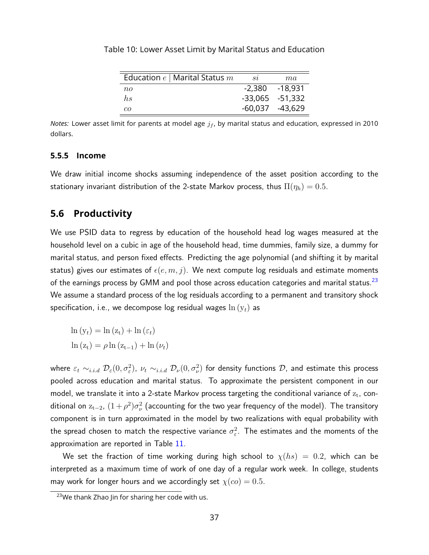| Education $e \mid$ Marital Status $m$ | $_{\mathit{S2}}$  | ma                  |
|---------------------------------------|-------------------|---------------------|
| $n_{O}$                               |                   | $-2,380 -18,931$    |
| hs                                    |                   | $-33,065$ $-51,332$ |
| $c\sigma$                             | $-60,037 -43,629$ |                     |

<span id="page-36-0"></span>Table 10: Lower Asset Limit by Marital Status and Education

*Notes:* Lower asset limit for parents at model age  $j_f$ , by marital status and education, expressed in 2010 dollars.

#### **5.5.5 Income**

We draw initial income shocks assuming independence of the asset position according to the stationary invariant distribution of the 2-state Markov process, thus  $\Pi(\eta_h) = 0.5$ .

## **5.6 Productivity**

We use PSID data to regress by education of the household head log wages measured at the household level on a cubic in age of the household head, time dummies, family size, a dummy for marital status, and person fixed effects. Predicting the age polynomial (and shifting it by marital status) gives our estimates of  $\epsilon(e, m, j)$ . We next compute log residuals and estimate moments of the earnings process by GMM and pool those across education categories and marital status.<sup>[23](#page-36-1)</sup> We assume a standard process of the log residuals according to a permanent and transitory shock specification, i.e., we decompose log residual wages  $\ln(y_t)$  as

$$
\ln(y_t) = \ln(z_t) + \ln(\varepsilon_t)
$$

$$
\ln(z_t) = \rho \ln(z_{t-1}) + \ln(\nu_t)
$$

where  $\varepsilon_t\sim_{i.i.d} \mathcal{D}_\varepsilon(0,\sigma_\varepsilon^2)$ ,  $\nu_t\sim_{i.i.d}\mathcal{D}_\nu(0,\sigma_\nu^2)$  for density functions  $\mathcal{D}$ , and estimate this process pooled across education and marital status. To approximate the persistent component in our model, we translate it into a 2-state Markov process targeting the conditional variance of  $\rm z_{t}$ , conditional on  $\rm z_{t-2}$ ,  $(1+\rho^2)\sigma_{\nu}^2$  (accounting for the two year frequency of the model). The transitory component is in turn approximated in the model by two realizations with equal probability with the spread chosen to match the respective variance  $\sigma_{\varepsilon}^2.$  The estimates and the moments of the approximation are reported in Table [11.](#page-37-0)

We set the fraction of time working during high school to  $\chi(hs) = 0.2$ , which can be interpreted as a maximum time of work of one day of a regular work week. In college, students may work for longer hours and we accordingly set  $\chi$ ( $co$ ) = 0.5.

<span id="page-36-1"></span><sup>&</sup>lt;sup>23</sup>We thank Zhao Jin for sharing her code with us.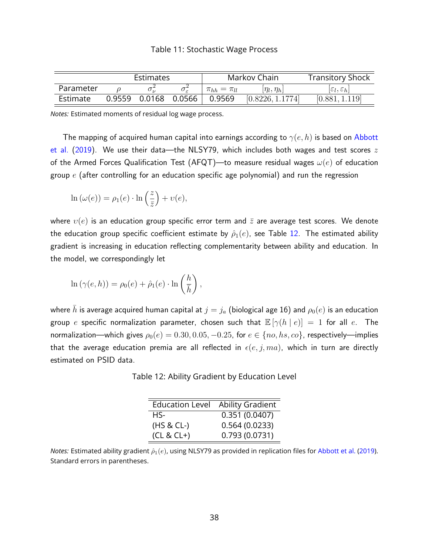<span id="page-37-0"></span>

|           | Estimates              |                       | Markov Chain       | <b>Transitory Shock</b>         |
|-----------|------------------------|-----------------------|--------------------|---------------------------------|
| Parameter |                        | $\pi_{hh} = \pi_{ll}$ | $[\eta_l, \eta_h]$ | $ \varepsilon_l,\varepsilon_h $ |
| Estimate  | 0.9559  0.0168  0.0566 | 0.9569                | [0.8226, 1.1774]   | [0.881,                         |

*Notes:* Estimated moments of residual log wage process.

The mapping of acquired human capital into earnings according to  $\gamma(e,h)$  is based on [Abbott](#page-54-1) [et al.](#page-54-1) [\(2019\)](#page-54-1). We use their data—the NLSY79, which includes both wages and test scores  $z$ of the Armed Forces Qualification Test (AFQT)—to measure residual wages  $\omega(e)$  of education group  $e$  (after controlling for an education specific age polynomial) and run the regression

$$
\ln(\omega(e)) = \rho_1(e) \cdot \ln\left(\frac{z}{\bar{z}}\right) + \upsilon(e),
$$

where  $v(e)$  is an education group specific error term and  $\bar{z}$  are average test scores. We denote the education group specific coefficient estimate by  $\hat{\rho}_1(e)$ , see Table [12.](#page-37-1) The estimated ability gradient is increasing in education reflecting complementarity between ability and education. In the model, we correspondingly let

$$
\ln(\gamma(e,h)) = \rho_0(e) + \hat{\rho}_1(e) \cdot \ln\left(\frac{h}{\bar{h}}\right),\,
$$

<span id="page-37-1"></span>where  $\bar{h}$  is average acquired human capital at  $j = j_a$  (biological age 16) and  $\rho_0(e)$  is an education group e specific normalization parameter, chosen such that  $\mathbb{E}[\gamma(h \mid e)] = 1$  for all e. The normalization—which gives  $\rho_0(e) = 0.30, 0.05, -0.25$ , for  $e \in \{no, hs, co\}$ , respectively—implies that the average education premia are all reflected in  $\epsilon(e, j, ma)$ , which in turn are directly estimated on PSID data.

Table 12: Ability Gradient by Education Level

| <b>Education Level</b> | <b>Ability Gradient</b> |
|------------------------|-------------------------|
| HS-                    | 0.351(0.0407)           |
| $(HS & CL-)$           | 0.564(0.0233)           |
| $(CL & CL+)$           | 0.793(0.0731)           |

*Notes:* Estimated ability gradient  $\hat{\rho}_1(e)$ , using NLSY79 as provided in replication files for [Abbott et al.](#page-54-1) [\(2019\)](#page-54-1). Standard errors in parentheses.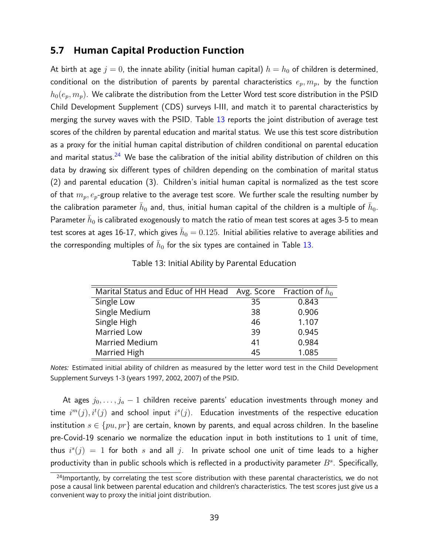### **5.7 Human Capital Production Function**

At birth at age  $j = 0$ , the innate ability (initial human capital)  $h = h_0$  of children is determined, conditional on the distribution of parents by parental characteristics  $e_p, m_p$ , by the function  $h_0(e_p, m_p)$ . We calibrate the distribution from the Letter Word test score distribution in the PSID Child Development Supplement (CDS) surveys I-III, and match it to parental characteristics by merging the survey waves with the PSID. Table [13](#page-38-0) reports the joint distribution of average test scores of the children by parental education and marital status. We use this test score distribution as a proxy for the initial human capital distribution of children conditional on parental education and marital status.<sup>[24](#page-38-1)</sup> We base the calibration of the initial ability distribution of children on this data by drawing six different types of children depending on the combination of marital status (2) and parental education (3). Children's initial human capital is normalized as the test score of that  $m_p, e_p$ -group relative to the average test score. We further scale the resulting number by the calibration parameter  $\bar{h}_0$  and, thus, initial human capital of the children is a multiple of  $\bar{h}_0$ . Parameter  $\bar{h}_0$  is calibrated exogenously to match the ratio of mean test scores at ages 3-5 to mean test scores at ages 16-17, which gives  $\bar{h}_0=0.125$ . Initial abilities relative to average abilities and the corresponding multiples of  $\bar{h}_0$  for the six types are contained in Table [13.](#page-38-0)

| Table 13: Initial Ability by Parental Education |  |
|-------------------------------------------------|--|
|-------------------------------------------------|--|

<span id="page-38-0"></span>

| Marital Status and Educ of HH Head Avg. Score Fraction of $h_0$ |    |       |
|-----------------------------------------------------------------|----|-------|
| Single Low                                                      | 35 | 0.843 |
| Single Medium                                                   | 38 | 0.906 |
| Single High                                                     | 46 | 1.107 |
| <b>Married Low</b>                                              | 39 | 0.945 |
| <b>Married Medium</b>                                           | 41 | 0.984 |
| Married High                                                    | 45 | 1.085 |

*Notes:* Estimated initial ability of children as measured by the letter word test in the Child Development Supplement Surveys 1-3 (years 1997, 2002, 2007) of the PSID.

At ages  $j_0, \ldots, j_a - 1$  children receive parents' education investments through money and time  $i^{m}(j), i^{t}(j)$  and school input  $i^{s}(j)$ . Education investments of the respective education institution  $s \in \{pu, pr\}$  are certain, known by parents, and equal across children. In the baseline pre-Covid-19 scenario we normalize the education input in both institutions to 1 unit of time, thus  $i^{s}(j) = 1$  for both s and all j. In private school one unit of time leads to a higher productivity than in public schools which is reflected in a productivity parameter  $B<sup>s</sup>$ . Specifically,

<span id="page-38-1"></span><sup>&</sup>lt;sup>24</sup>Importantly, by correlating the test score distribution with these parental characteristics, we do not pose a causal link between parental education and children's characteristics. The test scores just give us a convenient way to proxy the initial joint distribution.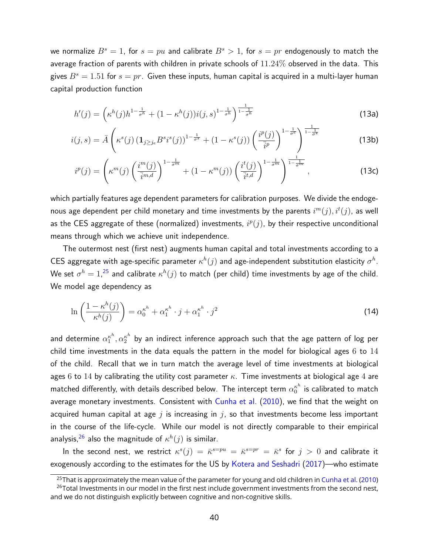we normalize  $B^s = 1$ , for  $s = pu$  and calibrate  $B^s > 1$ , for  $s = pr$  endogenously to match the average fraction of parents with children in private schools of 11.24% observed in the data. This gives  $B^s = 1.51$  for  $s = pr$ . Given these inputs, human capital is acquired in a multi-layer human capital production function

$$
h'(j) = \left(\kappa^h(j)h^{1-\frac{1}{\sigma^h}} + (1 - \kappa^h(j))i(j,s)^{1-\frac{1}{\sigma^h}}\right)^{\frac{1}{1-\frac{1}{\sigma^h}}}
$$
(13a)

$$
i(j,s) = \bar{A}\left(\kappa^s(j)\left(\mathbf{1}_{j\geq j_e}B^si^s(j)\right)^{1-\frac{1}{\sigma^s}} + \left(1-\kappa^s(j)\right)\left(\frac{i^p(j)}{\bar{i}^p}\right)^{1-\frac{1}{\sigma^e}}\right)^{\frac{1}{1-\frac{1}{\sigma^s}}} \tag{13b}
$$

$$
i^{p}(j) = \left(\kappa^{m}(j) \left(\frac{i^{m}(j)}{\overline{i}^{m,d}}\right)^{1-\frac{1}{\sigma^{m}}} + (1-\kappa^{m}(j)) \left(\frac{i^{t}(j)}{\overline{i}^{t,d}}\right)^{1-\frac{1}{\sigma^{m}}}\right)^{\frac{1}{1-\frac{1}{\sigma^{m}}}},
$$
\n(13c)

which partially features age dependent parameters for calibration purposes. We divide the endogenous age dependent per child monetary and time investments by the parents  $i^m(j), i^t(j)$ , as well as the CES aggregate of these (normalized) investments,  $i^p(j)$ , by their respective unconditional means through which we achieve unit independence.

The outermost nest (first nest) augments human capital and total investments according to a CES aggregate with age-specific parameter  $\kappa^h(j)$  and age-independent substitution elasticity  $\sigma^h.$ We set  $\sigma^h=1,^{25}$  $\sigma^h=1,^{25}$  $\sigma^h=1,^{25}$  and calibrate  $\kappa^h(j)$  to match (per child) time investments by age of the child. We model age dependency as

<span id="page-39-2"></span>
$$
\ln\left(\frac{1-\kappa^h(j)}{\kappa^h(j)}\right) = \alpha_0^{\kappa^h} + \alpha_1^{\kappa^h} \cdot j + \alpha_1^{\kappa^h} \cdot j^2 \tag{14}
$$

and determine  $\alpha_1^{\kappa^h}$  $\frac{\kappa^h}{1},\alpha_2^{\kappa^h}$  by an indirect inference approach such that the age pattern of log per child time investments in the data equals the pattern in the model for biological ages  $6$  to  $14$ of the child. Recall that we in turn match the average level of time investments at biological ages 6 to 14 by calibrating the utility cost parameter  $\kappa$ . Time investments at biological age 4 are matched differently, with details described below. The intercept term  $\alpha_0^{\kappa^h}$  $\frac{\kappa^n}{0}$  is calibrated to match average monetary investments. Consistent with [Cunha et al.](#page-56-6) [\(2010\)](#page-56-6), we find that the weight on acquired human capital at age  $j$  is increasing in  $j$ , so that investments become less important in the course of the life-cycle. While our model is not directly comparable to their empirical analysis, $^{26}$  $^{26}$  $^{26}$  also the magnitude of  $\kappa^h(j)$  is similar.

In the second nest, we restrict  $\kappa^s(j) = \bar{\kappa}^{s=pu} = \bar{\kappa}^{s=pr} = \bar{\kappa}^s$  for  $j > 0$  and calibrate it exogenously according to the estimates for the US by [Kotera and Seshadri](#page-57-2) [\(2017\)](#page-57-2)—who estimate

<span id="page-39-1"></span><span id="page-39-0"></span><sup>&</sup>lt;sup>25</sup>That is approximately the mean value of the parameter for young and old children in [Cunha et al.](#page-56-6) [\(2010\)](#page-56-6)

<sup>&</sup>lt;sup>26</sup>Total Investments in our model in the first nest include government investments from the second nest, and we do not distinguish explicitly between cognitive and non-cognitive skills.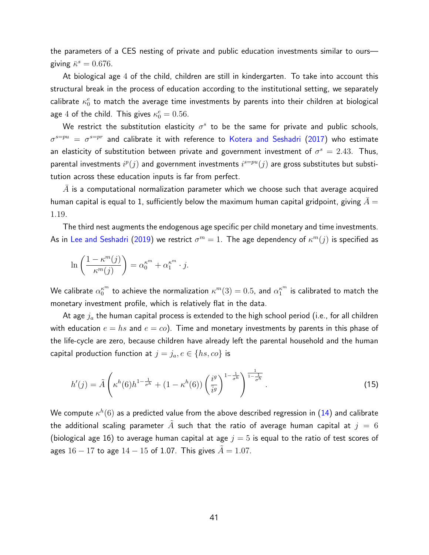the parameters of a CES nesting of private and public education investments similar to ours giving  $\bar{\kappa}^s = 0.676$ .

At biological age 4 of the child, children are still in kindergarten. To take into account this structural break in the process of education according to the institutional setting, we separately calibrate  $\kappa_0^e$  to match the average time investments by parents into their children at biological age 4 of the child. This gives  $\kappa_0^e = 0.56$ .

We restrict the substitution elasticity  $\sigma^s$  to be the same for private and public schools,  $\sigma^{s=p u}\ =\ \sigma^{s=pr}$  and calibrate it with reference to [Kotera and Seshadri](#page-57-2) [\(2017\)](#page-57-2) who estimate an elasticity of substitution between private and government investment of  $\sigma^s = 2.43$ . Thus, parental investments  $i^p(j)$  and government investments  $i^{s=p u}(j)$  are gross substitutes but substitution across these education inputs is far from perfect.

 $\bar{A}$  is a computational normalization parameter which we choose such that average acquired human capital is equal to 1, sufficiently below the maximum human capital gridpoint, giving  $A =$ 1.19.

The third nest augments the endogenous age specific per child monetary and time investments. As in [Lee and Seshadri](#page-58-1) [\(2019\)](#page-58-1) we restrict  $\sigma^m=1$ . The age dependency of  $\kappa^m(j)$  is specified as

$$
\ln\left(\frac{1-\kappa^m(j)}{\kappa^m(j)}\right) = \alpha_0^{\kappa^m} + \alpha_1^{\kappa^m} \cdot j.
$$

We calibrate  $\alpha_0^{\kappa^m}$  to achieve the normalization  $\kappa^m(3)=0.5$ , and  $\alpha_1^{\kappa^m}$  is calibrated to match the monetary investment profile, which is relatively flat in the data.

At age  $j_a$  the human capital process is extended to the high school period (i.e., for all children with education  $e = hs$  and  $e = co$ ). Time and monetary investments by parents in this phase of the life-cycle are zero, because children have already left the parental household and the human capital production function at  $j = j_a, e \in \{hs, co\}$  is

<span id="page-40-0"></span>
$$
h'(j) = \tilde{A}\left(\kappa^h(6)h^{1-\frac{1}{\sigma^h}} + (1-\kappa^h(6))\left(\frac{i^g}{i^g}\right)^{1-\frac{1}{\sigma^h}}\right)^{\frac{1}{1-\frac{1}{\sigma^h}}}.
$$
\n(15)

We compute  $\kappa^h(6)$  as a predicted value from the above described regression in  $(14)$  and calibrate the additional scaling parameter A such that the ratio of average human capital at  $j = 6$ (biological age 16) to average human capital at age  $j = 5$  is equal to the ratio of test scores of ages  $16 - 17$  to age  $14 - 15$  of 1.07. This gives  $A = 1.07$ .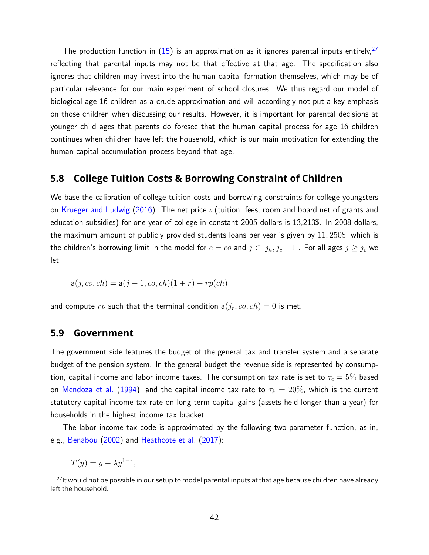The production function in  $(15)$  is an approximation as it ignores parental inputs entirely,  $27$ reflecting that parental inputs may not be that effective at that age. The specification also ignores that children may invest into the human capital formation themselves, which may be of particular relevance for our main experiment of school closures. We thus regard our model of biological age 16 children as a crude approximation and will accordingly not put a key emphasis on those children when discussing our results. However, it is important for parental decisions at younger child ages that parents do foresee that the human capital process for age 16 children continues when children have left the household, which is our main motivation for extending the human capital accumulation process beyond that age.

## <span id="page-41-0"></span>**5.8 College Tuition Costs & Borrowing Constraint of Children**

We base the calibration of college tuition costs and borrowing constraints for college youngsters on [Krueger and Ludwig](#page-57-9) [\(2016\)](#page-57-9). The net price  $\iota$  (tuition, fees, room and board net of grants and education subsidies) for one year of college in constant 2005 dollars is 13,213\$. In 2008 dollars, the maximum amount of publicly provided students loans per year is given by  $11, 250\$ , which is the children's borrowing limit in the model for  $e = co$  and  $j \in [j_h, j_c - 1]$ . For all ages  $j \geq j_c$  we let

$$
\underline{\mathsf{a}}(j, \text{co}, \text{ch}) = \underline{\mathsf{a}}(j-1, \text{co}, \text{ch})(1+r) - rp(\text{ch})
$$

and compute  $rp$  such that the terminal condition  $\underline{\mathsf{a}}(j_r, co, ch) = 0$  is met.

#### **5.9 Government**

The government side features the budget of the general tax and transfer system and a separate budget of the pension system. In the general budget the revenue side is represented by consumption, capital income and labor income taxes. The consumption tax rate is set to  $\tau_c = 5\%$  based on [Mendoza et al.](#page-58-10) [\(1994\)](#page-58-10), and the capital income tax rate to  $\tau_k = 20\%$ , which is the current statutory capital income tax rate on long-term capital gains (assets held longer than a year) for households in the highest income tax bracket.

The labor income tax code is approximated by the following two-parameter function, as in, e.g., [Benabou](#page-55-10) [\(2002\)](#page-55-10) and [Heathcote et al.](#page-57-11) [\(2017\)](#page-57-11):

 $T(y) = y - \lambda y^{1-\tau},$ 

<span id="page-41-1"></span><sup>&</sup>lt;sup>27</sup>It would not be possible in our setup to model parental inputs at that age because children have already left the household.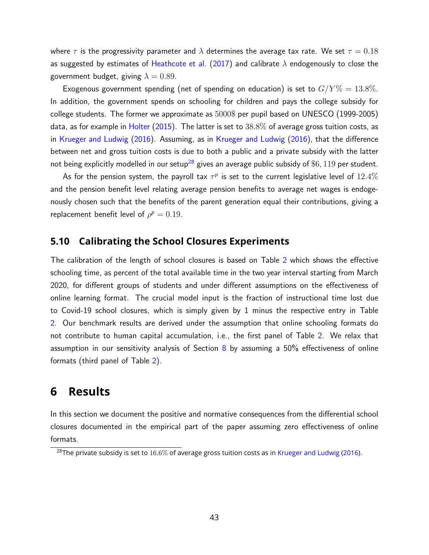where  $\tau$  is the progressivity parameter and  $\lambda$  determines the average tax rate. We set  $\tau = 0.18$ as suggested by estimates of [Heathcote et al.](#page-57-11) [\(2017\)](#page-57-11) and calibrate  $\lambda$  endogenously to close the government budget, giving  $\lambda = 0.89$ .

Exogenous government spending (net of spending on education) is set to  $G/Y\% = 13.8\%$ . In addition, the government spends on schooling for children and pays the college subsidy for college students. The former we approximate as 5000\$ per pupil based on UNESCO (1999-2005) data, as for example in [Holter](#page-57-12) [\(2015\)](#page-57-12). The latter is set to  $38.8\%$  of average gross tuition costs, as in [Krueger and Ludwig](#page-57-9) [\(2016\)](#page-57-9). Assuming, as in [Krueger and Ludwig](#page-57-9) [\(2016\)](#page-57-9), that the difference between net and gross tuition costs is due to both a public and a private subsidy with the latter not being explicitly modelled in our setup<sup>[28](#page-42-1)</sup> gives an average public subsidy of \$6, 119 per student.

As for the pension system, the payroll tax  $\tau^p$  is set to the current legislative level of  $12.4\%$ and the pension benefit level relating average pension benefits to average net wages is endogenously chosen such that the benefits of the parent generation equal their contributions, giving a replacement benefit level of  $\rho^p = 0.19$ .

## **5.10 Calibrating the School Closures Experiments**

The calibration of the length of school closures is based on Table [2](#page-14-0) which shows the effective schooling time, as percent of the total available time in the two year interval starting from March 2020, for different groups of students and under different assumptions on the effectiveness of online learning format. The crucial model input is the fraction of instructional time lost due to Covid-19 school closures, which is simply given by 1 minus the respective entry in Table [2.](#page-14-0) Our benchmark results are derived under the assumption that online schooling formats do not contribute to human capital accumulation, i.e., the first panel of Table [2.](#page-14-0) We relax that assumption in our sensitivity analysis of Section  $8$  by assuming a 50% effectiveness of online formats (third panel of Table [2\)](#page-14-0).

# <span id="page-42-0"></span>**6 Results**

In this section we document the positive and normative consequences from the differential school closures documented in the empirical part of the paper assuming zero effectiveness of online formats.

<span id="page-42-1"></span><sup>&</sup>lt;sup>28</sup>The private subsidy is set to 16.6% of average gross tuition costs as in [Krueger and Ludwig](#page-57-9) [\(2016\)](#page-57-9).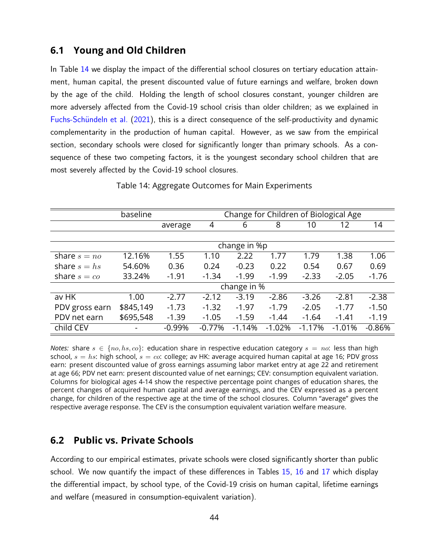## **6.1 Young and Old Children**

In Table [14](#page-43-0) we display the impact of the differential school closures on tertiary education attainment, human capital, the present discounted value of future earnings and welfare, broken down by the age of the child. Holding the length of school closures constant, younger children are more adversely affected from the Covid-19 school crisis than older children; as we explained in Fuchs-Schündeln et al. [\(2021\)](#page-56-0), this is a direct consequence of the self-productivity and dynamic complementarity in the production of human capital. However, as we saw from the empirical section, secondary schools were closed for significantly longer than primary schools. As a consequence of these two competing factors, it is the youngest secondary school children that are most severely affected by the Covid-19 school closures.

<span id="page-43-0"></span>

|                     | Change for Children of Biological Age<br>baseline |          |          |              |          |          |          |          |
|---------------------|---------------------------------------------------|----------|----------|--------------|----------|----------|----------|----------|
|                     |                                                   | average  | 4        | 6            | 8        | 10       | 12       | 14       |
|                     |                                                   |          |          |              |          |          |          |          |
|                     |                                                   |          |          | change in %p |          |          |          |          |
| share $s = n\omega$ | 12.16%                                            | 1.55     | 1.10     | 2.22         | 1.77     | 1.79     | 1.38     | 1.06     |
| share $s = hs$      | 54.60%                                            | 0.36     | 0.24     | $-0.23$      | 0.22     | 0.54     | 0.67     | 0.69     |
| share $s = co$      | 33.24%                                            | $-1.91$  | $-1.34$  | $-1.99$      | $-1.99$  | $-2.33$  | $-2.05$  | $-1.76$  |
|                     |                                                   |          |          | change in %  |          |          |          |          |
| av HK               | 1.00                                              | $-2.77$  | $-2.12$  | $-3.19$      | $-2.86$  | $-3.26$  | $-2.81$  | $-2.38$  |
| PDV gross earn      | \$845,149                                         | $-1.73$  | $-1.32$  | $-1.97$      | $-1.79$  | $-2.05$  | $-1.77$  | $-1.50$  |
| PDV net earn        | \$695,548                                         | $-1.39$  | $-1.05$  | $-1.59$      | $-1.44$  | $-1.64$  | $-1.41$  | $-1.19$  |
| child CEV           |                                                   | $-0.99%$ | $-0.77%$ | $-1.14%$     | $-1.02%$ | $-1.17%$ | $-1.01%$ | $-0.86%$ |

Table 14: Aggregate Outcomes for Main Experiments

*Notes:* share  $s \in \{no, hs, co\}$ : education share in respective education category  $s = no$ : less than high school,  $s = hs$ : high school,  $s = co$ : college; av HK: average acquired human capital at age 16; PDV gross earn: present discounted value of gross earnings assuming labor market entry at age 22 and retirement at age 66; PDV net earn: present discounted value of net earnings; CEV: consumption equivalent variation. Columns for biological ages 4-14 show the respective percentage point changes of education shares, the percent changes of acquired human capital and average earnings, and the CEV expressed as a percent change, for children of the respective age at the time of the school closures. Column "average" gives the respective average response. The CEV is the consumption equivalent variation welfare measure.

## **6.2 Public vs. Private Schools**

According to our empirical estimates, private schools were closed significantly shorter than public school. We now quantify the impact of these differences in Tables [15,](#page-44-0) [16](#page-44-1) and [17](#page-44-2) which display the differential impact, by school type, of the Covid-19 crisis on human capital, lifetime earnings and welfare (measured in consumption-equivalent variation).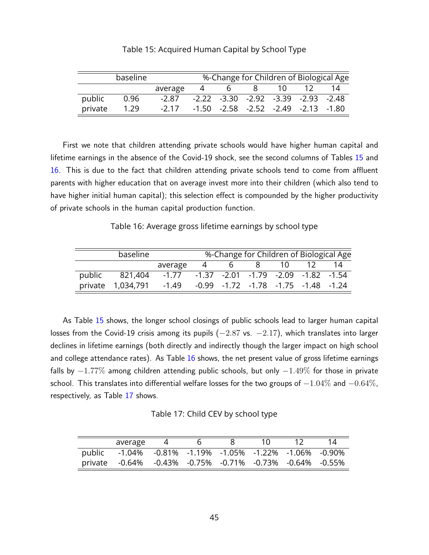<span id="page-44-0"></span>

|         | baseline | %-Change for Children of Biological Age |                                     |           |    |      |                                                 |  |
|---------|----------|-----------------------------------------|-------------------------------------|-----------|----|------|-------------------------------------------------|--|
|         |          | average                                 |                                     | $\bullet$ | 8. | 10 I |                                                 |  |
| public  | 0.96     | -2.87                                   | -2.22 -3.30 -2.92 -3.39 -2.93 -2.48 |           |    |      |                                                 |  |
| private | 1.29     | $-2.17$                                 |                                     |           |    |      | $-1.50$ $-2.58$ $-2.52$ $-2.49$ $-2.13$ $-1.80$ |  |

Table 15: Acquired Human Capital by School Type

First we note that children attending private schools would have higher human capital and lifetime earnings in the absence of the Covid-19 shock, see the second columns of Tables [15](#page-44-0) and [16.](#page-44-1) This is due to the fact that children attending private schools tend to come from affluent parents with higher education that on average invest more into their children (which also tend to have higher initial human capital); this selection effect is compounded by the higher productivity of private schools in the human capital production function.

Table 16: Average gross lifetime earnings by school type

<span id="page-44-1"></span>

|        |                   |         |   |                | %-Change for Children of Biological Age         |    |    |
|--------|-------------------|---------|---|----------------|-------------------------------------------------|----|----|
|        |                   | average | 4 | $\mathfrak{b}$ | 8 <sup>1</sup>                                  | 10 | 14 |
| public | 821,404           | $-1.77$ |   |                | -1.37 -2.01 -1.79 -2.09 -1.82 -1.54             |    |    |
|        | private 1,034,791 | -1.49   |   |                | $-0.99$ $-1.72$ $-1.78$ $-1.75$ $-1.48$ $-1.24$ |    |    |

As Table [15](#page-44-0) shows, the longer school closings of public schools lead to larger human capital losses from the Covid-19 crisis among its pupils  $(-2.87 \text{ vs. } -2.17)$ , which translates into larger declines in lifetime earnings (both directly and indirectly though the larger impact on high school and college attendance rates). As Table [16](#page-44-1) shows, the net present value of gross lifetime earnings falls by  $-1.77\%$  among children attending public schools, but only  $-1.49\%$  for those in private school. This translates into differential welfare losses for the two groups of  $-1.04\%$  and  $-0.64\%$ . respectively, as Table [17](#page-44-2) shows.

Table 17: Child CEV by school type

<span id="page-44-2"></span>

| average                                                  |  |  |  |
|----------------------------------------------------------|--|--|--|
| public -1.04% -0.81% -1.19% -1.05% -1.22% -1.06% -0.90%  |  |  |  |
| private -0.64% -0.43% -0.75% -0.71% -0.73% -0.64% -0.55% |  |  |  |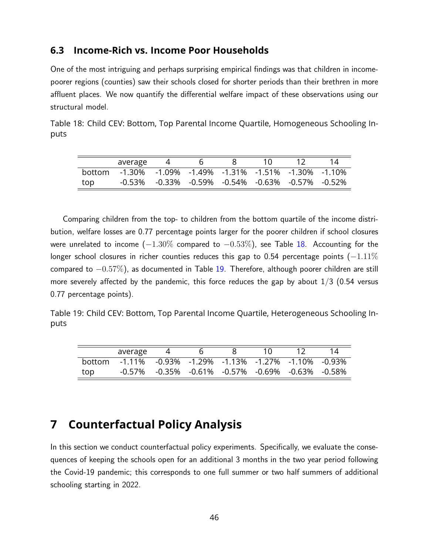### <span id="page-45-3"></span>**6.3 Income-Rich vs. Income Poor Households**

One of the most intriguing and perhaps surprising empirical findings was that children in incomepoorer regions (counties) saw their schools closed for shorter periods than their brethren in more affluent places. We now quantify the differential welfare impact of these observations using our structural model.

<span id="page-45-1"></span>Table 18: Child CEV: Bottom, Top Parental Income Quartile, Homogeneous Schooling Inputs

|               | average                                          |                                                  |  |  |  |
|---------------|--------------------------------------------------|--------------------------------------------------|--|--|--|
| <b>bottom</b> | -1.30% -1.09% -1.49% -1.31% -1.51% -1.30% -1.10% |                                                  |  |  |  |
| top           |                                                  | -0.53% -0.33% -0.59% -0.54% -0.63% -0.57% -0.52% |  |  |  |

Comparing children from the top- to children from the bottom quartile of the income distribution, welfare losses are 0.77 percentage points larger for the poorer children if school closures were unrelated to income  $(-1.30\%$  compared to  $-0.53\%)$ , see Table [18.](#page-45-1) Accounting for the longer school closures in richer counties reduces this gap to 0.54 percentage points  $(-1.11\%$ compared to −0.57%), as documented in Table [19.](#page-45-2) Therefore, although poorer children are still more severely affected by the pandemic, this force reduces the gap by about  $1/3$  (0.54 versus 0.77 percentage points).

<span id="page-45-2"></span>Table 19: Child CEV: Bottom, Top Parental Income Quartile, Heterogeneous Schooling Inputs

|        | average                                          |  |                                                                       |  |  |
|--------|--------------------------------------------------|--|-----------------------------------------------------------------------|--|--|
| hottom | -1.11% -0.93% -1.29% -1.13% -1.27% -1.10% -0.93% |  |                                                                       |  |  |
| top    |                                                  |  | $-0.57\%$ $-0.35\%$ $-0.61\%$ $-0.57\%$ $-0.69\%$ $-0.63\%$ $-0.58\%$ |  |  |

# <span id="page-45-0"></span>**7 Counterfactual Policy Analysis**

In this section we conduct counterfactual policy experiments. Specifically, we evaluate the consequences of keeping the schools open for an additional 3 months in the two year period following the Covid-19 pandemic; this corresponds to one full summer or two half summers of additional schooling starting in 2022.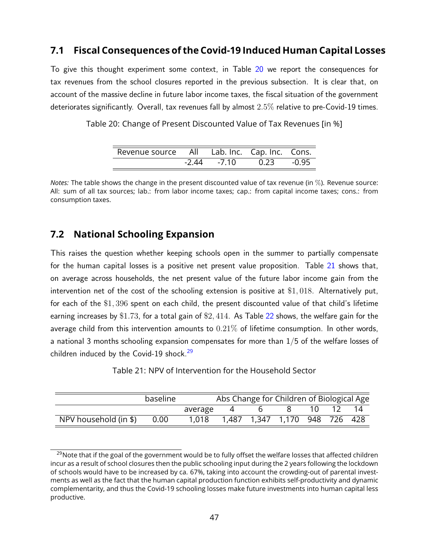## **7.1 Fiscal Consequences of the Covid-19 Induced Human Capital Losses**

To give this thought experiment some context, in Table [20](#page-46-0) we report the consequences for tax revenues from the school closures reported in the previous subsection. It is clear that, on account of the massive decline in future labor income taxes, the fiscal situation of the government deteriorates significantly. Overall, tax revenues fall by almost 2.5% relative to pre-Covid-19 times.

<span id="page-46-0"></span>Table 20: Change of Present Discounted Value of Tax Revenues [in %]

| Revenue source All |         |         | Lab. Inc. Cap. Inc. Cons. |       |
|--------------------|---------|---------|---------------------------|-------|
|                    | $-2.44$ | $-7.10$ | 0.23                      | -0.95 |

*Notes:* The table shows the change in the present discounted value of tax revenue (in %). Revenue source: All: sum of all tax sources; lab.: from labor income taxes; cap.: from capital income taxes; cons.: from consumption taxes.

## **7.2 National Schooling Expansion**

This raises the question whether keeping schools open in the summer to partially compensate for the human capital losses is a positive net present value proposition. Table [21](#page-46-1) shows that, on average across households, the net present value of the future labor income gain from the intervention net of the cost of the schooling extension is positive at \$1, 018. Alternatively put, for each of the \$1, 396 spent on each child, the present discounted value of that child's lifetime earning increases by \$1.73, for a total gain of \$2, 414. As Table [22](#page-47-0) shows, the welfare gain for the average child from this intervention amounts to  $0.21\%$  of lifetime consumption. In other words, a national 3 months schooling expansion compensates for more than  $1/5$  of the welfare losses of children induced by the Covid-19 shock. $29$ 

Table 21: NPV of Intervention for the Household Sector

<span id="page-46-1"></span>

|                       | baseline |         | Abs Change for Children of Biological Age |   |                                    |    |    |
|-----------------------|----------|---------|-------------------------------------------|---|------------------------------------|----|----|
|                       |          | average | 4                                         | b |                                    | 10 | 14 |
| NPV household (in \$) | 0.00     | 1.018   |                                           |   | 1,487  1,347  1,170  948  726  428 |    |    |

<span id="page-46-2"></span><sup>&</sup>lt;sup>29</sup>Note that if the goal of the government would be to fully offset the welfare losses that affected children incur as a result of school closures then the public schooling input during the 2 years following the lockdown of schools would have to be increased by ca. 67%, taking into account the crowding-out of parental investments as well as the fact that the human capital production function exhibits self-productivity and dynamic complementarity, and thus the Covid-19 schooling losses make future investments into human capital less productive.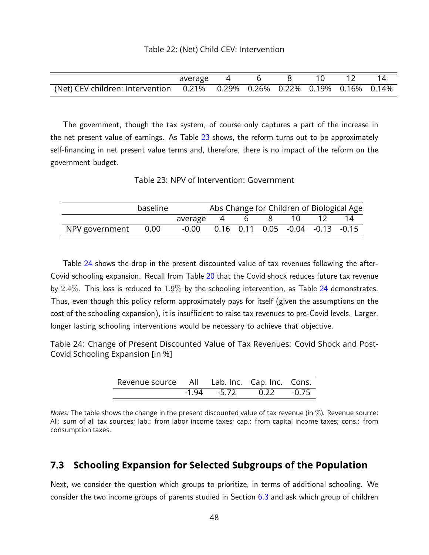<span id="page-47-0"></span>

|                                                                            | average |  |  |  |
|----------------------------------------------------------------------------|---------|--|--|--|
| (Net) CEV children: Intervention 0.21% 0.29% 0.26% 0.22% 0.19% 0.16% 0.14% |         |  |  |  |

The government, though the tax system, of course only captures a part of the increase in the net present value of earnings. As Table [23](#page-47-1) shows, the reform turns out to be approximately self-financing in net present value terms and, therefore, there is no impact of the reform on the government budget.

Table 23: NPV of Intervention: Government

<span id="page-47-1"></span>

|                     | baseline |                                                      |           |      | Abs Change for Children of Biological Age |
|---------------------|----------|------------------------------------------------------|-----------|------|-------------------------------------------|
|                     |          | average 4                                            | $\bullet$ | 10 I | 14                                        |
| NPV government 0.00 |          | $-0.00$ $0.16$ $0.11$ $0.05$ $-0.04$ $-0.13$ $-0.15$ |           |      |                                           |

Table [24](#page-47-2) shows the drop in the present discounted value of tax revenues following the after-Covid schooling expansion. Recall from Table [20](#page-46-0) that the Covid shock reduces future tax revenue by  $2.4\%$ . This loss is reduced to  $1.9\%$  by the schooling intervention, as Table [24](#page-47-2) demonstrates. Thus, even though this policy reform approximately pays for itself (given the assumptions on the cost of the schooling expansion), it is insufficient to raise tax revenues to pre-Covid levels. Larger, longer lasting schooling interventions would be necessary to achieve that objective.

<span id="page-47-2"></span>Table 24: Change of Present Discounted Value of Tax Revenues: Covid Shock and Post-Covid Schooling Expansion [in %]

| Revenue source All Lab. Inc. Cap. Inc. Cons. |       |         |         |       |
|----------------------------------------------|-------|---------|---------|-------|
|                                              | -1 94 | $-5.72$ | 0. 22 D | -0 75 |

*Notes:* The table shows the change in the present discounted value of tax revenue (in %). Revenue source: All: sum of all tax sources; lab.: from labor income taxes; cap.: from capital income taxes; cons.: from consumption taxes.

## **7.3 Schooling Expansion for Selected Subgroups of the Population**

Next, we consider the question which groups to prioritize, in terms of additional schooling. We consider the two income groups of parents studied in Section [6.3](#page-45-3) and ask which group of children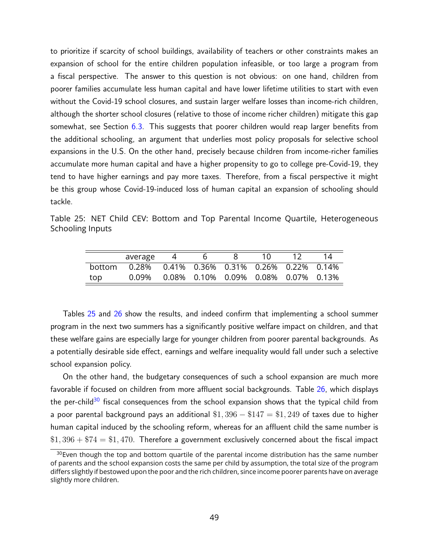to prioritize if scarcity of school buildings, availability of teachers or other constraints makes an expansion of school for the entire children population infeasible, or too large a program from a fiscal perspective. The answer to this question is not obvious: on one hand, children from poorer families accumulate less human capital and have lower lifetime utilities to start with even without the Covid-19 school closures, and sustain larger welfare losses than income-rich children, although the shorter school closures (relative to those of income richer children) mitigate this gap somewhat, see Section  $6.3$ . This suggests that poorer children would reap larger benefits from the additional schooling, an argument that underlies most policy proposals for selective school expansions in the U.S. On the other hand, precisely because children from income-richer families accumulate more human capital and have a higher propensity to go to college pre-Covid-19, they tend to have higher earnings and pay more taxes. Therefore, from a fiscal perspective it might be this group whose Covid-19-induced loss of human capital an expansion of schooling should tackle.

<span id="page-48-0"></span>Table 25: NET Child CEV: Bottom and Top Parental Income Quartile, Heterogeneous Schooling Inputs

|        | average                                                        |  | 10. |  |
|--------|----------------------------------------------------------------|--|-----|--|
| hottom | $0.28\%$ $0.41\%$ $0.36\%$ $0.31\%$ $0.26\%$ $0.22\%$ $0.14\%$ |  |     |  |
| top    | 0.09% 0.08% 0.10% 0.09% 0.08% 0.07% 0.13%                      |  |     |  |

Tables [25](#page-48-0) and [26](#page-49-1) show the results, and indeed confirm that implementing a school summer program in the next two summers has a significantly positive welfare impact on children, and that these welfare gains are especially large for younger children from poorer parental backgrounds. As a potentially desirable side effect, earnings and welfare inequality would fall under such a selective school expansion policy.

On the other hand, the budgetary consequences of such a school expansion are much more favorable if focused on children from more affluent social backgrounds. Table [26,](#page-49-1) which displays the per-child<sup>[30](#page-48-1)</sup> fiscal consequences from the school expansion shows that the typical child from a poor parental background pays an additional  $$1,396 - $147 = $1,249$  of taxes due to higher human capital induced by the schooling reform, whereas for an affluent child the same number is  $$1,396 + $74 = $1,470$ . Therefore a government exclusively concerned about the fiscal impact

<span id="page-48-1"></span> $30$  Even though the top and bottom quartile of the parental income distribution has the same number of parents and the school expansion costs the same per child by assumption, the total size of the program differs slightly if bestowed upon the poor and the rich children, since income poorer parents have on average slightly more children.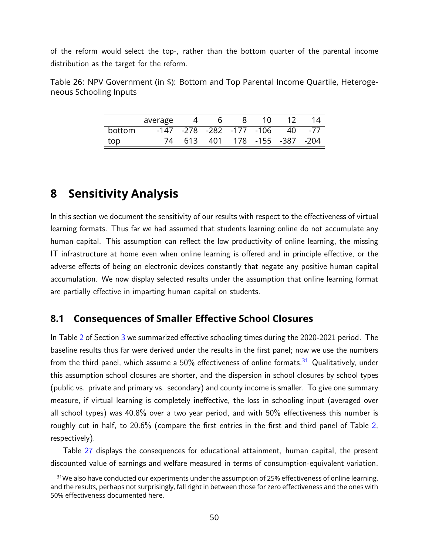of the reform would select the top-, rather than the bottom quarter of the parental income distribution as the target for the reform.

<span id="page-49-1"></span>Table 26: NPV Government (in \$): Bottom and Top Parental Income Quartile, Heterogeneous Schooling Inputs

|        | average |      |     |                          | 10.                |     |     |
|--------|---------|------|-----|--------------------------|--------------------|-----|-----|
| bottom |         |      |     | -147 -278 -282 -177 -106 |                    | 40. | -77 |
| top    |         | 613. | 401 |                          | 178 -155 -387 -204 |     |     |

# <span id="page-49-0"></span>**8 Sensitivity Analysis**

In this section we document the sensitivity of our results with respect to the effectiveness of virtual learning formats. Thus far we had assumed that students learning online do not accumulate any human capital. This assumption can reflect the low productivity of online learning, the missing IT infrastructure at home even when online learning is offered and in principle effective, or the adverse effects of being on electronic devices constantly that negate any positive human capital accumulation. We now display selected results under the assumption that online learning format are partially effective in imparting human capital on students.

## **8.1 Consequences of Smaller Effective School Closures**

In Table [2](#page-14-0) of Section [3](#page-5-0) we summarized effective schooling times during the 2020-2021 period. The baseline results thus far were derived under the results in the first panel; now we use the numbers from the third panel, which assume a  $50\%$  effectiveness of online formats.<sup>[31](#page-49-2)</sup> Qualitatively, under this assumption school closures are shorter, and the dispersion in school closures by school types (public vs. private and primary vs. secondary) and county income is smaller. To give one summary measure, if virtual learning is completely ineffective, the loss in schooling input (averaged over all school types) was 40.8% over a two year period, and with 50% effectiveness this number is roughly cut in half, to 20.6% (compare the first entries in the first and third panel of Table [2,](#page-14-0) respectively).

Table [27](#page-50-0) displays the consequences for educational attainment, human capital, the present discounted value of earnings and welfare measured in terms of consumption-equivalent variation.

<span id="page-49-2"></span><sup>&</sup>lt;sup>31</sup>We also have conducted our experiments under the assumption of 25% effectiveness of online learning, and the results, perhaps not surprisingly, fall right in between those for zero effectiveness and the ones with 50% effectiveness documented here.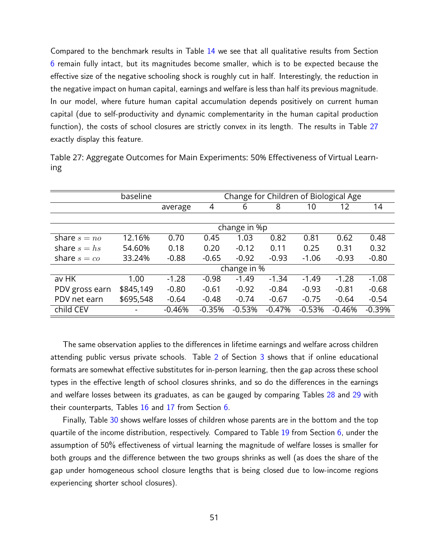Compared to the benchmark results in Table [14](#page-43-0) we see that all qualitative results from Section [6](#page-42-0) remain fully intact, but its magnitudes become smaller, which is to be expected because the effective size of the negative schooling shock is roughly cut in half. Interestingly, the reduction in the negative impact on human capital, earnings and welfare is less than half its previous magnitude. In our model, where future human capital accumulation depends positively on current human capital (due to self-productivity and dynamic complementarity in the human capital production function), the costs of school closures are strictly convex in its length. The results in Table [27](#page-50-0) exactly display this feature.

<span id="page-50-0"></span>

| Table 27: Aggregate Outcomes for Main Experiments: 50% Effectiveness of Virtual Learn- |  |  |
|----------------------------------------------------------------------------------------|--|--|
| Ing                                                                                    |  |  |

|                | Change for Children of Biological Age<br>baseline |          |          |              |          |          |          |          |
|----------------|---------------------------------------------------|----------|----------|--------------|----------|----------|----------|----------|
|                |                                                   | average  | 4        | 6            | 8        | 10       | 12       | 14       |
|                |                                                   |          |          |              |          |          |          |          |
|                |                                                   |          |          | change in %p |          |          |          |          |
| share $s = no$ | 12.16%                                            | 0.70     | 0.45     | 1.03         | 0.82     | 0.81     | 0.62     | 0.48     |
| share $s = hs$ | 54.60%                                            | 0.18     | 0.20     | $-0.12$      | 0.11     | 0.25     | 0.31     | 0.32     |
| share $s = co$ | 33.24%                                            | $-0.88$  | $-0.65$  | $-0.92$      | $-0.93$  | $-1.06$  | $-0.93$  | $-0.80$  |
|                |                                                   |          |          | change in %  |          |          |          |          |
| av HK          | 1.00                                              | $-1.28$  | $-0.98$  | $-1.49$      | $-1.34$  | $-1.49$  | $-1.28$  | $-1.08$  |
| PDV gross earn | \$845,149                                         | $-0.80$  | $-0.61$  | $-0.92$      | $-0.84$  | $-0.93$  | $-0.81$  | $-0.68$  |
| PDV net earn   | \$695,548                                         | $-0.64$  | $-0.48$  | $-0.74$      | $-0.67$  | $-0.75$  | $-0.64$  | $-0.54$  |
| child CEV      |                                                   | $-0.46%$ | $-0.35%$ | $-0.53%$     | $-0.47%$ | $-0.53%$ | $-0.46%$ | $-0.39%$ |

The same observation applies to the differences in lifetime earnings and welfare across children attending public versus private schools. Table [2](#page-14-0) of Section [3](#page-5-0) shows that if online educational formats are somewhat effective substitutes for in-person learning, then the gap across these school types in the effective length of school closures shrinks, and so do the differences in the earnings and welfare losses between its graduates, as can be gauged by comparing Tables [28](#page-51-0) and [29](#page-51-1) with their counterparts, Tables [16](#page-44-1) and [17](#page-44-2) from Section [6.](#page-42-0)

Finally, Table [30](#page-51-2) shows welfare losses of children whose parents are in the bottom and the top quartile of the income distribution, respectively. Compared to Table [19](#page-45-2) from Section [6,](#page-42-0) under the assumption of 50% effectiveness of virtual learning the magnitude of welfare losses is smaller for both groups and the difference between the two groups shrinks as well (as does the share of the gap under homogeneous school closure lengths that is being closed due to low-income regions experiencing shorter school closures).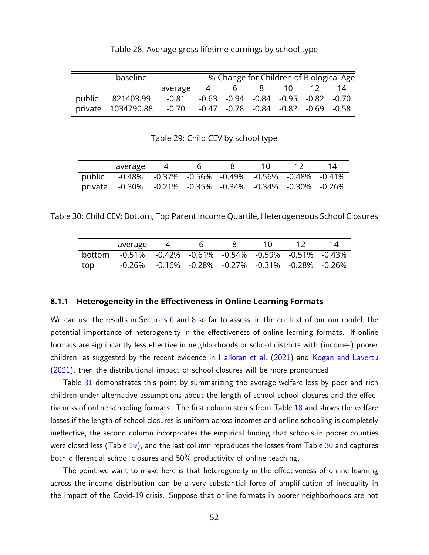<span id="page-51-0"></span>

| baseline |                    |         |   |                                                 |        |  | %-Change for Children of Biological Age |
|----------|--------------------|---------|---|-------------------------------------------------|--------|--|-----------------------------------------|
|          |                    | average | 4 |                                                 | 6 8 10 |  | 14                                      |
|          | public 821403.99   | -0.81   |   | $-0.63$ $-0.94$ $-0.84$ $-0.95$ $-0.82$ $-0.70$ |        |  |                                         |
|          | private 1034790.88 | $-0.70$ |   | $-0.47$ $-0.78$ $-0.84$ $-0.82$ $-0.69$ $-0.58$ |        |  |                                         |

Table 28: Average gross lifetime earnings by school type

Table 29: Child CEV by school type

<span id="page-51-1"></span>

| average                                                  |  |  |  |
|----------------------------------------------------------|--|--|--|
| public -0.48% -0.37% -0.56% -0.49% -0.56% -0.48% -0.41%  |  |  |  |
| private -0.30% -0.21% -0.35% -0.34% -0.34% -0.30% -0.26% |  |  |  |

<span id="page-51-2"></span>Table 30: Child CEV: Bottom, Top Parent Income Quartile, Heterogeneous School Closures

|        | average                                          |  |                                           |  |  |
|--------|--------------------------------------------------|--|-------------------------------------------|--|--|
| hottom | -0.51% -0.42% -0.61% -0.54% -0.59% -0.51% -0.43% |  |                                           |  |  |
| top    | -0.26%                                           |  | -0.16% -0.28% -0.27% -0.31% -0.28% -0.26% |  |  |

#### **8.1.1 Heterogeneity in the Effectiveness in Online Learning Formats**

We can use the results in Sections [6](#page-42-0) and [8](#page-49-0) so far to assess, in the context of our our model, the potential importance of heterogeneity in the effectiveness of online learning formats. If online formats are significantly less effective in neighborhoods or school districts with (income-) poorer children, as suggested by the recent evidence in [Halloran et al.](#page-57-6) [\(2021\)](#page-57-6) and [Kogan and Lavertu](#page-57-5) [\(2021\)](#page-57-5), then the distributional impact of school closures will be more pronounced.

Table [31](#page-52-0) demonstrates this point by summarizing the average welfare loss by poor and rich children under alternative assumptions about the length of school school closures and the effectiveness of online schooling formats. The first column stems from Table [18](#page-45-1) and shows the welfare losses if the length of school closures is uniform across incomes and online schooling is completely ineffective, the second column incorporates the empirical finding that schools in poorer counties were closed less (Table [19\)](#page-45-2), and the last column reproduces the losses from Table [30](#page-51-2) and captures both differential school closures and 50% productivity of online teaching.

The point we want to make here is that heterogeneity in the effectiveness of online learning across the income distribution can be a very substantial force of amplification of inequality in the impact of the Covid-19 crisis. Suppose that online formats in poorer neighborhoods are not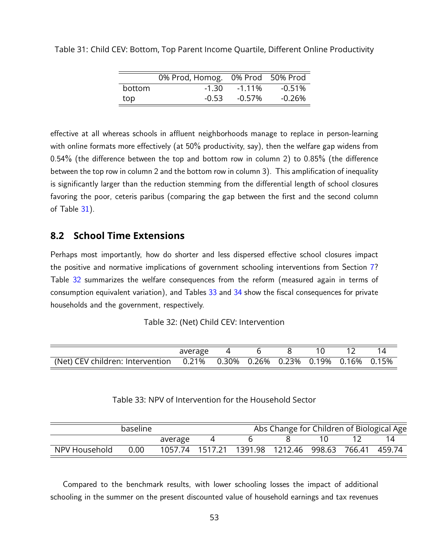|        | 0% Prod, Homog. 0% Prod 50% Prod |           |           |
|--------|----------------------------------|-----------|-----------|
| bottom | -1.30                            | $-1.11\%$ | $-0.51\%$ |
| top    | -0.53                            | $-0.57\%$ | -0.26%    |

<span id="page-52-0"></span>Table 31: Child CEV: Bottom, Top Parent Income Quartile, Different Online Productivity

effective at all whereas schools in affluent neighborhoods manage to replace in person-learning with online formats more effectively (at 50% productivity, say), then the welfare gap widens from 0.54% (the difference between the top and bottom row in column 2) to 0.85% (the difference between the top row in column 2 and the bottom row in column 3). This amplification of inequality is significantly larger than the reduction stemming from the differential length of school closures favoring the poor, ceteris paribus (comparing the gap between the first and the second column of Table  $31$ ).

### **8.2 School Time Extensions**

Perhaps most importantly, how do shorter and less dispersed effective school closures impact the positive and normative implications of government schooling interventions from Section [7?](#page-45-0) Table [32](#page-52-1) summarizes the welfare consequences from the reform (measured again in terms of consumption equivalent variation), and Tables [33](#page-52-2) and [34](#page-53-1) show the fiscal consequences for private households and the government, respectively.

<span id="page-52-1"></span>

|                                                                                   | average |  |  |  |
|-----------------------------------------------------------------------------------|---------|--|--|--|
| (Net) CEV children: Intervention  0.21%  0.30%  0.26%  0.23%  0.19%  0.16%  0.15% |         |  |  |  |

#### Table 33: NPV of Intervention for the Household Sector

<span id="page-52-2"></span>

| baseline      |      |         | Abs Change for Children of Biological Age |                                          |  |  |  |  |
|---------------|------|---------|-------------------------------------------|------------------------------------------|--|--|--|--|
|               |      | average |                                           |                                          |  |  |  |  |
| NPV Household | 0.00 |         | 1057.74 1517.21                           | 1391.98  1212.46  998.63  766.41  459.74 |  |  |  |  |

Compared to the benchmark results, with lower schooling losses the impact of additional schooling in the summer on the present discounted value of household earnings and tax revenues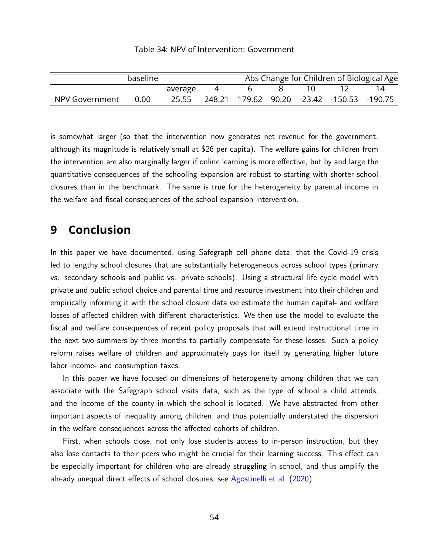#### Table 34: NPV of Intervention: Government

<span id="page-53-1"></span>

|                | baseline |         |  |  |                                                 | Abs Change for Children of Biological Age |
|----------------|----------|---------|--|--|-------------------------------------------------|-------------------------------------------|
|                |          | average |  |  |                                                 |                                           |
| NPV Government | 0.00     | 25.55   |  |  | 248.21  179.62  90.20  -23.42  -150.53  -190.75 |                                           |

is somewhat larger (so that the intervention now generates net revenue for the government, although its magnitude is relatively small at \$26 per capita). The welfare gains for children from the intervention are also marginally larger if online learning is more effective, but by and large the quantitative consequences of the schooling expansion are robust to starting with shorter school closures than in the benchmark. The same is true for the heterogeneity by parental income in the welfare and fiscal consequences of the school expansion intervention.

# <span id="page-53-0"></span>**9 Conclusion**

In this paper we have documented, using Safegraph cell phone data, that the Covid-19 crisis led to lengthy school closures that are substantially heterogeneous across school types (primary vs. secondary schools and public vs. private schools). Using a structural life cycle model with private and public school choice and parental time and resource investment into their children and empirically informing it with the school closure data we estimate the human capital- and welfare losses of affected children with different characteristics. We then use the model to evaluate the fiscal and welfare consequences of recent policy proposals that will extend instructional time in the next two summers by three months to partially compensate for these losses. Such a policy reform raises welfare of children and approximately pays for itself by generating higher future labor income- and consumption taxes.

In this paper we have focused on dimensions of heterogeneity among children that we can associate with the Safegraph school visits data, such as the type of school a child attends, and the income of the county in which the school is located. We have abstracted from other important aspects of inequality among children, and thus potentially understated the dispersion in the welfare consequences across the affected cohorts of children.

First, when schools close, not only lose students access to in-person instruction, but they also lose contacts to their peers who might be crucial for their learning success. This effect can be especially important for children who are already struggling in school, and thus amplify the already unequal direct effects of school closures, see [Agostinelli et al.](#page-55-5) [\(2020\)](#page-55-5).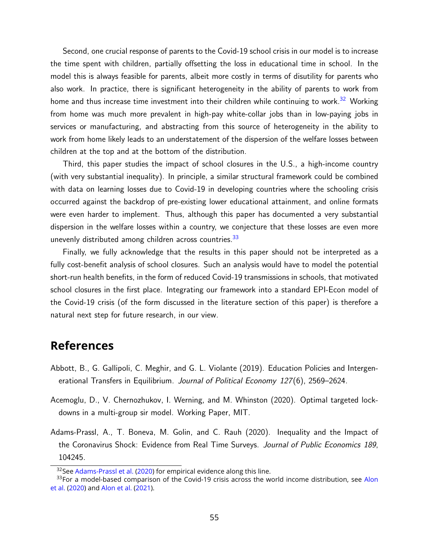Second, one crucial response of parents to the Covid-19 school crisis in our model is to increase the time spent with children, partially offsetting the loss in educational time in school. In the model this is always feasible for parents, albeit more costly in terms of disutility for parents who also work. In practice, there is significant heterogeneity in the ability of parents to work from home and thus increase time investment into their children while continuing to work.<sup>[32](#page-54-2)</sup> Working from home was much more prevalent in high-pay white-collar jobs than in low-paying jobs in services or manufacturing, and abstracting from this source of heterogeneity in the ability to work from home likely leads to an understatement of the dispersion of the welfare losses between children at the top and at the bottom of the distribution.

Third, this paper studies the impact of school closures in the U.S., a high-income country (with very substantial inequality). In principle, a similar structural framework could be combined with data on learning losses due to Covid-19 in developing countries where the schooling crisis occurred against the backdrop of pre-existing lower educational attainment, and online formats were even harder to implement. Thus, although this paper has documented a very substantial dispersion in the welfare losses within a country, we conjecture that these losses are even more unevenly distributed among children across countries. $33$ 

Finally, we fully acknowledge that the results in this paper should not be interpreted as a fully cost-benefit analysis of school closures. Such an analysis would have to model the potential short-run health benefits, in the form of reduced Covid-19 transmissions in schools, that motivated school closures in the first place. Integrating our framework into a standard EPI-Econ model of the Covid-19 crisis (of the form discussed in the literature section of this paper) is therefore a natural next step for future research, in our view.

# **References**

- <span id="page-54-1"></span>Abbott, B., G. Gallipoli, C. Meghir, and G. L. Violante (2019). Education Policies and Intergenerational Transfers in Equilibrium. Journal of Political Economy 127(6), 2569–2624.
- <span id="page-54-0"></span>Acemoglu, D., V. Chernozhukov, I. Werning, and M. Whinston (2020). Optimal targeted lockdowns in a multi-group sir model. Working Paper, MIT.
- <span id="page-54-4"></span>Adams-Prassl, A., T. Boneva, M. Golin, and C. Rauh (2020). Inequality and the Impact of the Coronavirus Shock: Evidence from Real Time Surveys. Journal of Public Economics 189, 104245.

<span id="page-54-3"></span><span id="page-54-2"></span><sup>&</sup>lt;sup>32</sup>See [Adams-Prassl et al.](#page-54-4) [\(2020\)](#page-54-4) for empirical evidence along this line.

 $33$ For a model-based comparison of the Covid-19 crisis across the world income distribution, see [Alon](#page-55-11) [et al.](#page-55-11) [\(2020\)](#page-55-11) and [Alon et al.](#page-55-12) [\(2021\)](#page-55-12).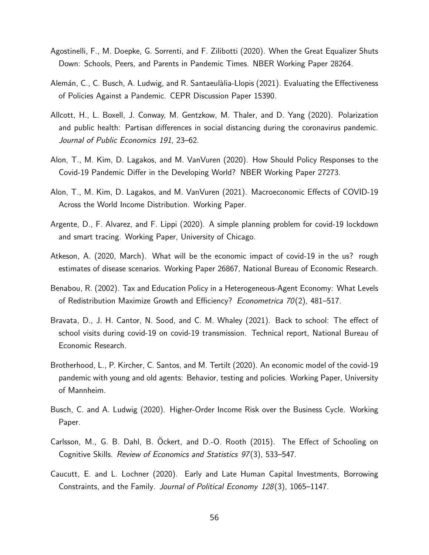- <span id="page-55-5"></span>Agostinelli, F., M. Doepke, G. Sorrenti, and F. Zilibotti (2020). When the Great Equalizer Shuts Down: Schools, Peers, and Parents in Pandemic Times. NBER Working Paper 28264.
- <span id="page-55-1"></span>Alemán, C., C. Busch, A. Ludwig, and R. Santaeulàlia-Llopis (2021). Evaluating the Effectiveness of Policies Against a Pandemic. CEPR Discussion Paper 15390.
- <span id="page-55-6"></span>Allcott, H., L. Boxell, J. Conway, M. Gentzkow, M. Thaler, and D. Yang (2020). Polarization and public health: Partisan differences in social distancing during the coronavirus pandemic. Journal of Public Economics 191, 23–62.
- <span id="page-55-11"></span>Alon, T., M. Kim, D. Lagakos, and M. VanVuren (2020). How Should Policy Responses to the Covid-19 Pandemic Differ in the Developing World? NBER Working Paper 27273.
- <span id="page-55-12"></span>Alon, T., M. Kim, D. Lagakos, and M. VanVuren (2021). Macroeconomic Effects of COVID-19 Across the World Income Distribution. Working Paper.
- <span id="page-55-2"></span>Argente, D., F. Alvarez, and F. Lippi (2020). A simple planning problem for covid-19 lockdown and smart tracing. Working Paper, University of Chicago.
- <span id="page-55-0"></span>Atkeson, A. (2020, March). What will be the economic impact of covid-19 in the us? rough estimates of disease scenarios. Working Paper 26867, National Bureau of Economic Research.
- <span id="page-55-10"></span>Benabou, R. (2002). Tax and Education Policy in a Heterogeneous-Agent Economy: What Levels of Redistribution Maximize Growth and Efficiency? Econometrica 70(2), 481–517.
- <span id="page-55-7"></span>Bravata, D., J. H. Cantor, N. Sood, and C. M. Whaley (2021). Back to school: The effect of school visits during covid-19 on covid-19 transmission. Technical report, National Bureau of Economic Research.
- <span id="page-55-3"></span>Brotherhood, L., P. Kircher, C. Santos, and M. Tertilt (2020). An economic model of the covid-19 pandemic with young and old agents: Behavior, testing and policies. Working Paper, University of Mannheim.
- <span id="page-55-9"></span>Busch, C. and A. Ludwig (2020). Higher-Order Income Risk over the Business Cycle. Working Paper.
- <span id="page-55-8"></span>Carlsson, M., G. B. Dahl, B. Ockert, and D.-O. Rooth (2015). The Effect of Schooling on ¨ Cognitive Skills. Review of Economics and Statistics 97 (3), 533–547.
- <span id="page-55-4"></span>Caucutt, E. and L. Lochner (2020). Early and Late Human Capital Investments, Borrowing Constraints, and the Family. Journal of Political Economy 128(3), 1065–1147.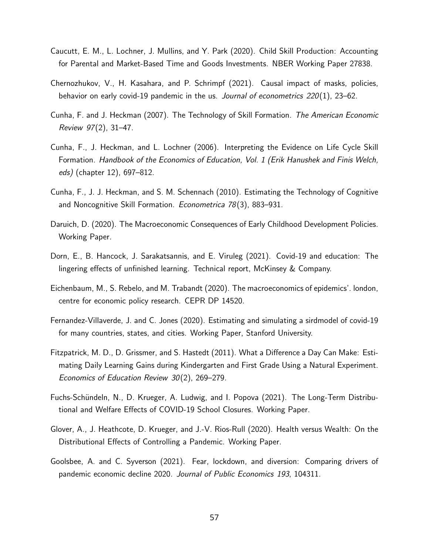- <span id="page-56-7"></span>Caucutt, E. M., L. Lochner, J. Mullins, and Y. Park (2020). Child Skill Production: Accounting for Parental and Market-Based Time and Goods Investments. NBER Working Paper 27838.
- <span id="page-56-9"></span>Chernozhukov, V., H. Kasahara, and P. Schrimpf (2021). Causal impact of masks, policies, behavior on early covid-19 pandemic in the us. Journal of econometrics  $220(1)$ , 23–62.
- <span id="page-56-1"></span>Cunha, F. and J. Heckman (2007). The Technology of Skill Formation. The American Economic Review 97(2), 31–47.
- <span id="page-56-5"></span>Cunha, F., J. Heckman, and L. Lochner (2006). Interpreting the Evidence on Life Cycle Skill Formation. Handbook of the Economics of Education, Vol. 1 (Erik Hanushek and Finis Welch, eds) (chapter 12), 697–812.
- <span id="page-56-6"></span>Cunha, F., J. J. Heckman, and S. M. Schennach (2010). Estimating the Technology of Cognitive and Noncognitive Skill Formation. Econometrica 78(3), 883–931.
- <span id="page-56-12"></span>Daruich, D. (2020). The Macroeconomic Consequences of Early Childhood Development Policies. Working Paper.
- <span id="page-56-10"></span>Dorn, E., B. Hancock, J. Sarakatsannis, and E. Viruleg (2021). Covid-19 and education: The lingering effects of unfinished learning. Technical report, McKinsey & Company.
- <span id="page-56-3"></span>Eichenbaum, M., S. Rebelo, and M. Trabandt (2020). The macroeconomics of epidemics'. london, centre for economic policy research. CEPR DP 14520.
- <span id="page-56-2"></span>Fernandez-Villaverde, J. and C. Jones (2020). Estimating and simulating a sirdmodel of covid-19 for many countries, states, and cities. Working Paper, Stanford University.
- <span id="page-56-11"></span>Fitzpatrick, M. D., D. Grissmer, and S. Hastedt (2011). What a Difference a Day Can Make: Estimating Daily Learning Gains during Kindergarten and First Grade Using a Natural Experiment. Economics of Education Review  $30(2)$ , 269–279.
- <span id="page-56-0"></span>Fuchs-Schündeln, N., D. Krueger, A. Ludwig, and I. Popova (2021). The Long-Term Distributional and Welfare Effects of COVID-19 School Closures. Working Paper.
- <span id="page-56-4"></span>Glover, A., J. Heathcote, D. Krueger, and J.-V. Rios-Rull (2020). Health versus Wealth: On the Distributional Effects of Controlling a Pandemic. Working Paper.
- <span id="page-56-8"></span>Goolsbee, A. and C. Syverson (2021). Fear, lockdown, and diversion: Comparing drivers of pandemic economic decline 2020. Journal of Public Economics 193, 104311.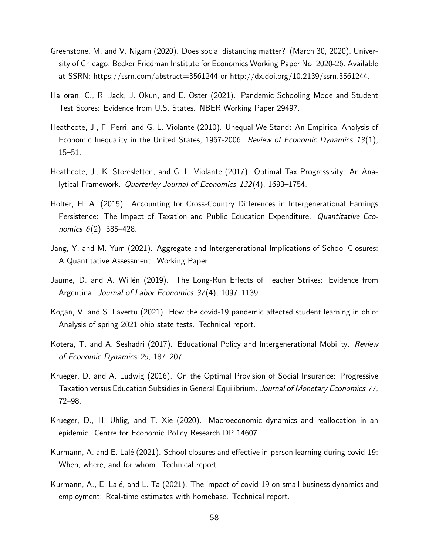- <span id="page-57-0"></span>Greenstone, M. and V. Nigam (2020). Does social distancing matter? (March 30, 2020). University of Chicago, Becker Friedman Institute for Economics Working Paper No. 2020-26. Available at SSRN: https://ssrn.com/abstract=3561244 or http://dx.doi.org/10.2139/ssrn.3561244.
- <span id="page-57-6"></span>Halloran, C., R. Jack, J. Okun, and E. Oster (2021). Pandemic Schooling Mode and Student Test Scores: Evidence from U.S. States. NBER Working Paper 29497.
- <span id="page-57-10"></span>Heathcote, J., F. Perri, and G. L. Violante (2010). Unequal We Stand: An Empirical Analysis of Economic Inequality in the United States, 1967-2006. Review of Economic Dynamics 13(1), 15–51.
- <span id="page-57-11"></span>Heathcote, J., K. Storesletten, and G. L. Violante (2017). Optimal Tax Progressivity: An Analytical Framework. Quarterley Journal of Economics 132(4), 1693-1754.
- <span id="page-57-12"></span>Holter, H. A. (2015). Accounting for Cross-Country Differences in Intergenerational Earnings Persistence: The Impact of Taxation and Public Education Expenditure. Quantitative Economics 6(2), 385–428.
- <span id="page-57-3"></span>Jang, Y. and M. Yum (2021). Aggregate and Intergenerational Implications of School Closures: A Quantitative Assessment. Working Paper.
- <span id="page-57-7"></span>Jaume, D. and A. Willén (2019). The Long-Run Effects of Teacher Strikes: Evidence from Argentina. Journal of Labor Economics 37(4), 1097-1139.
- <span id="page-57-5"></span>Kogan, V. and S. Lavertu (2021). How the covid-19 pandemic affected student learning in ohio: Analysis of spring 2021 ohio state tests. Technical report.
- <span id="page-57-2"></span>Kotera, T. and A. Seshadri (2017). Educational Policy and Intergenerational Mobility. Review of Economic Dynamics 25, 187–207.
- <span id="page-57-9"></span>Krueger, D. and A. Ludwig (2016). On the Optimal Provision of Social Insurance: Progressive Taxation versus Education Subsidies in General Equilibrium. Journal of Monetary Economics 77, 72–98.
- <span id="page-57-1"></span>Krueger, D., H. Uhlig, and T. Xie (2020). Macroeconomic dynamics and reallocation in an epidemic. Centre for Economic Policy Research DP 14607.
- <span id="page-57-8"></span>Kurmann, A. and E. Lalé (2021). School closures and effective in-person learning during covid-19: When, where, and for whom. Technical report.
- <span id="page-57-4"></span>Kurmann, A., E. Lalé, and L. Ta (2021). The impact of covid-19 on small business dynamics and employment: Real-time estimates with homebase. Technical report.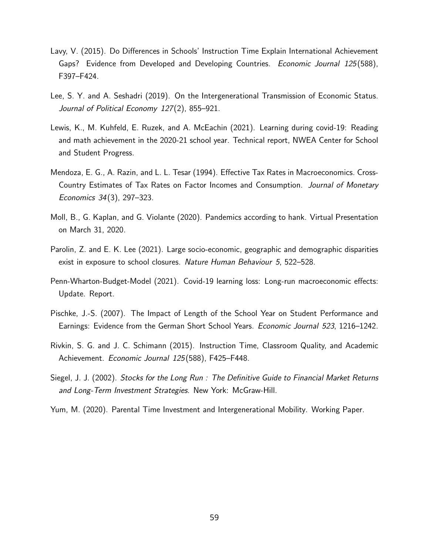- <span id="page-58-5"></span>Lavy, V. (2015). Do Differences in Schools' Instruction Time Explain International Achievement Gaps? Evidence from Developed and Developing Countries. *Economic Journal 125*(588), F397–F424.
- <span id="page-58-1"></span>Lee, S. Y. and A. Seshadri (2019). On the Intergenerational Transmission of Economic Status. Journal of Political Economy 127(2), 855–921.
- <span id="page-58-4"></span>Lewis, K., M. Kuhfeld, E. Ruzek, and A. McEachin (2021). Learning during covid-19: Reading and math achievement in the 2020-21 school year. Technical report, NWEA Center for School and Student Progress.
- <span id="page-58-10"></span>Mendoza, E. G., A. Razin, and L. L. Tesar (1994). Effective Tax Rates in Macroeconomics. Cross-Country Estimates of Tax Rates on Factor Incomes and Consumption. Journal of Monetary Economics 34(3), 297–323.
- <span id="page-58-0"></span>Moll, B., G. Kaplan, and G. Violante (2020). Pandemics according to hank. Virtual Presentation on March 31, 2020.
- <span id="page-58-3"></span>Parolin, Z. and E. K. Lee (2021). Large socio-economic, geographic and demographic disparities exist in exposure to school closures. Nature Human Behaviour 5, 522–528.
- <span id="page-58-8"></span>Penn-Wharton-Budget-Model (2021). Covid-19 learning loss: Long-run macroeconomic effects: Update. Report.
- <span id="page-58-7"></span>Pischke, J.-S. (2007). The Impact of Length of the School Year on Student Performance and Earnings: Evidence from the German Short School Years. Economic Journal 523, 1216–1242.
- <span id="page-58-6"></span>Rivkin, S. G. and J. C. Schimann (2015). Instruction Time, Classroom Quality, and Academic Achievement. Economic Journal 125(588), F425–F448.
- <span id="page-58-9"></span>Siegel, J. J. (2002). Stocks for the Long Run : The Definitive Guide to Financial Market Returns and Long-Term Investment Strategies. New York: McGraw-Hill.
- <span id="page-58-2"></span>Yum, M. (2020). Parental Time Investment and Intergenerational Mobility. Working Paper.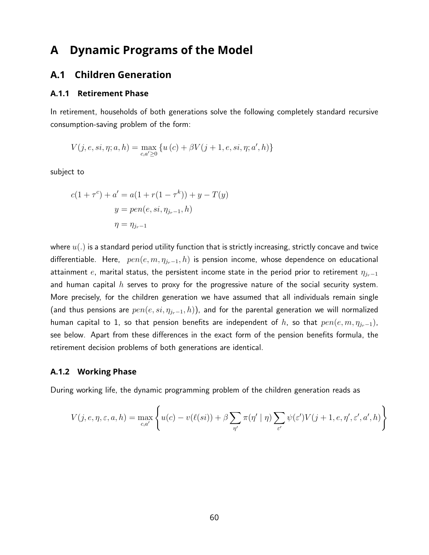# <span id="page-59-0"></span>**A Dynamic Programs of the Model**

## **A.1 Children Generation**

#### **A.1.1 Retirement Phase**

In retirement, households of both generations solve the following completely standard recursive consumption-saving problem of the form:

$$
V(j, e, si, \eta; a, h) = \max_{c, a' \ge 0} \{ u(c) + \beta V(j + 1, e, si, \eta; a', h) \}
$$

subject to

$$
c(1 + \tau^{c}) + a' = a(1 + r(1 - \tau^{k})) + y - T(y)
$$
  

$$
y = pen(e, si, \eta_{j_{r}-1}, h)
$$
  

$$
\eta = \eta_{j_{r}-1}
$$

where  $u(.)$  is a standard period utility function that is strictly increasing, strictly concave and twice differentiable. Here,  $pen(e, m, \eta_{jr-1}, h)$  is pension income, whose dependence on educational attainment e, marital status, the persistent income state in the period prior to retirement  $\eta_{i-1}$ and human capital  $h$  serves to proxy for the progressive nature of the social security system. More precisely, for the children generation we have assumed that all individuals remain single (and thus pensions are  $pen(e, si, \eta_{j_r-1}, h)$ ), and for the parental generation we will normalized human capital to 1, so that pension benefits are independent of h, so that  $pen(e, m, \eta_{j_r-1})$ , see below. Apart from these differences in the exact form of the pension benefits formula, the retirement decision problems of both generations are identical.

#### <span id="page-59-1"></span>**A.1.2 Working Phase**

During working life, the dynamic programming problem of the children generation reads as

$$
V(j, e, \eta, \varepsilon, a, h) = \max_{c, a'} \left\{ u(c) - v(\ell(si)) + \beta \sum_{\eta'} \pi(\eta' \mid \eta) \sum_{\varepsilon'} \psi(\varepsilon') V(j + 1, e, \eta', \varepsilon', a', h) \right\}
$$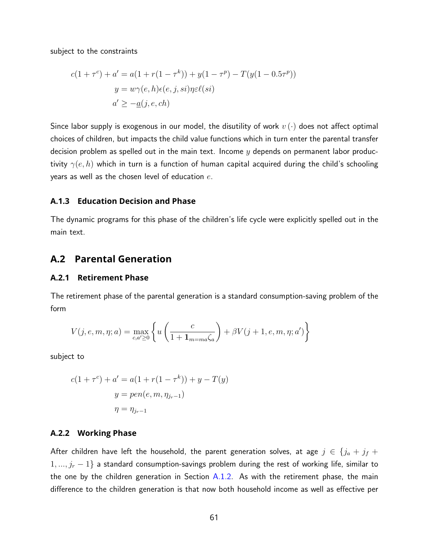subject to the constraints

$$
c(1+\tau^c) + a' = a(1+r(1-\tau^k)) + y(1-\tau^p) - T(y(1-0.5\tau^p))
$$

$$
y = w\gamma(e, h)\epsilon(e, j, si)\eta \epsilon \ell(ii)
$$

$$
a' \ge -a(j, e, ch)
$$

Since labor supply is exogenous in our model, the disutility of work  $v(\cdot)$  does not affect optimal choices of children, but impacts the child value functions which in turn enter the parental transfer decision problem as spelled out in the main text. Income  $y$  depends on permanent labor productivity  $\gamma(e, h)$  which in turn is a function of human capital acquired during the child's schooling years as well as the chosen level of education  $e$ .

#### **A.1.3 Education Decision and Phase**

The dynamic programs for this phase of the children's life cycle were explicitly spelled out in the main text.

### <span id="page-60-0"></span>**A.2 Parental Generation**

#### **A.2.1 Retirement Phase**

The retirement phase of the parental generation is a standard consumption-saving problem of the form

$$
V(j, e, m, \eta; a) = \max_{c, a' \ge 0} \left\{ u \left( \frac{c}{1 + \mathbf{1}_{m = ma} \zeta_a} \right) + \beta V(j + 1, e, m, \eta; a') \right\}
$$

subject to

$$
c(1 + \tau^{c}) + a' = a(1 + r(1 - \tau^{k})) + y - T(y)
$$
  

$$
y = pen(e, m, \eta_{j_{r}-1})
$$
  

$$
\eta = \eta_{j_{r}-1}
$$

### **A.2.2 Working Phase**

After children have left the household, the parent generation solves, at age  $j \in \{j_a + j_f + j_f\}$  $1, ..., j_r - 1$ } a standard consumption-savings problem during the rest of working life, similar to the one by the children generation in Section  $A.1.2$ . As with the retirement phase, the main difference to the children generation is that now both household income as well as effective per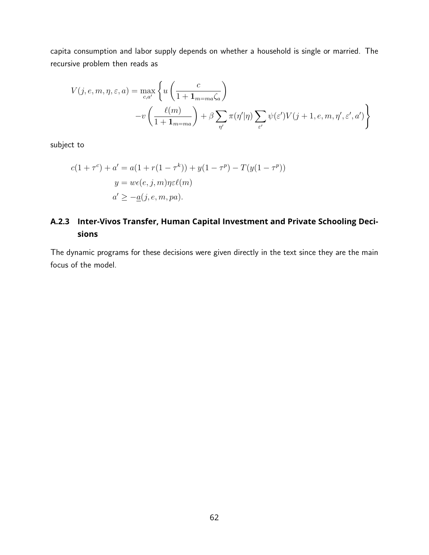capita consumption and labor supply depends on whether a household is single or married. The recursive problem then reads as

$$
V(j, e, m, \eta, \varepsilon, a) = \max_{c, a'} \left\{ u \left( \frac{c}{1 + \mathbf{1}_{m = ma} \zeta_a} \right) -v \left( \frac{\ell(m)}{1 + \mathbf{1}_{m = ma}} \right) + \beta \sum_{\eta'} \pi(\eta'|\eta) \sum_{\varepsilon'} \psi(\varepsilon') V(j + 1, e, m, \eta', \varepsilon', a') \right\}
$$

subject to

$$
c(1 + \tau^{c}) + a' = a(1 + r(1 - \tau^{k})) + y(1 - \tau^{p}) - T(y(1 - \tau^{p}))
$$
  

$$
y = w\epsilon(e, j, m)\eta \epsilon \ell(m)
$$
  

$$
a' \ge -a(j, e, m, pa).
$$

## **A.2.3 Inter-Vivos Transfer, Human Capital Investment and Private Schooling Decisions**

The dynamic programs for these decisions were given directly in the text since they are the main focus of the model.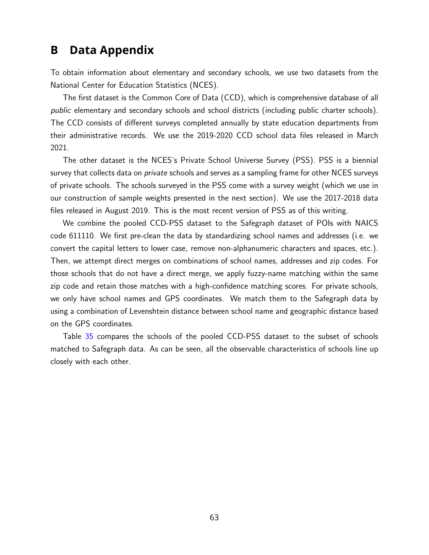# <span id="page-62-0"></span>**B Data Appendix**

To obtain information about elementary and secondary schools, we use two datasets from the National Center for Education Statistics (NCES).

The first dataset is the Common Core of Data (CCD), which is comprehensive database of all public elementary and secondary schools and school districts (including public charter schools). The CCD consists of different surveys completed annually by state education departments from their administrative records. We use the 2019-2020 CCD school data files released in March 2021.

The other dataset is the NCES's Private School Universe Survey (PSS). PSS is a biennial survey that collects data on *private* schools and serves as a sampling frame for other NCES surveys of private schools. The schools surveyed in the PSS come with a survey weight (which we use in our construction of sample weights presented in the next section). We use the 2017-2018 data files released in August 2019. This is the most recent version of PSS as of this writing.

We combine the pooled CCD-PSS dataset to the Safegraph dataset of POIs with NAICS code 611110. We first pre-clean the data by standardizing school names and addresses (i.e. we convert the capital letters to lower case, remove non-alphanumeric characters and spaces, etc.). Then, we attempt direct merges on combinations of school names, addresses and zip codes. For those schools that do not have a direct merge, we apply fuzzy-name matching within the same zip code and retain those matches with a high-confidence matching scores. For private schools, we only have school names and GPS coordinates. We match them to the Safegraph data by using a combination of Levenshtein distance between school name and geographic distance based on the GPS coordinates.

Table [35](#page-63-0) compares the schools of the pooled CCD-PSS dataset to the subset of schools matched to Safegraph data. As can be seen, all the observable characteristics of schools line up closely with each other.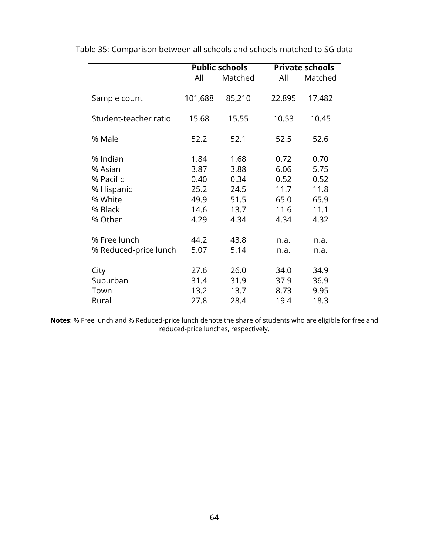|                       |         | <b>Public schools</b> | <b>Private schools</b> |         |  |
|-----------------------|---------|-----------------------|------------------------|---------|--|
|                       | All     | Matched               | All                    | Matched |  |
| Sample count          | 101,688 | 85,210                | 22,895                 | 17,482  |  |
| Student-teacher ratio | 15.68   | 15.55                 | 10.53                  | 10.45   |  |
| % Male                | 52.2    | 52.1                  | 52.5                   | 52.6    |  |
| % Indian              | 1.84    | 1.68                  | 0.72                   | 0.70    |  |
| % Asian               | 3.87    | 3.88                  | 6.06                   | 5.75    |  |
| % Pacific             | 0.40    | 0.34                  | 0.52                   | 0.52    |  |
| % Hispanic            | 25.2    | 24.5                  | 11.7                   | 11.8    |  |
| % White               | 49.9    | 51.5                  | 65.0                   | 65.9    |  |
| % Black               | 14.6    | 13.7                  | 11.6                   | 11.1    |  |
| % Other               | 4.29    | 4.34                  | 4.34                   | 4.32    |  |
|                       |         |                       |                        |         |  |
| % Free lunch          | 44.2    | 43.8                  | n.a.                   | n.a.    |  |
| % Reduced-price lunch | 5.07    | 5.14                  | n.a.                   | n.a.    |  |
| City                  | 27.6    | 26.0                  | 34.0                   | 34.9    |  |
| Suburban              | 31.4    | 31.9                  | 37.9                   | 36.9    |  |
| Town                  | 13.2    | 13.7                  | 8.73                   | 9.95    |  |
| Rural                 | 27.8    | 28.4                  | 19.4                   | 18.3    |  |

<span id="page-63-0"></span>Table 35: Comparison between all schools and schools matched to SG data

**Notes**: % Free lunch and % Reduced-price lunch denote the share of students who are eligible for free and reduced-price lunches, respectively.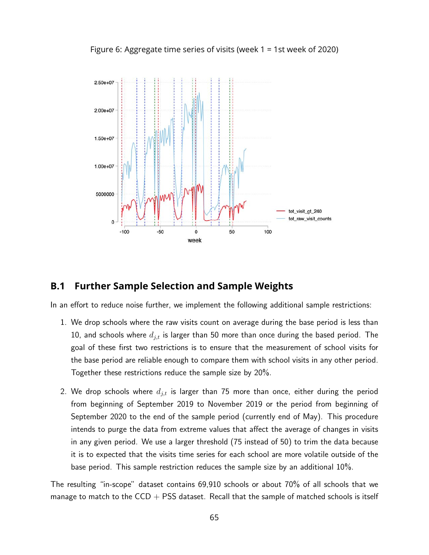<span id="page-64-0"></span>Figure 6: Aggregate time series of visits (week 1 = 1st week of 2020)



## <span id="page-64-1"></span>**B.1 Further Sample Selection and Sample Weights**

In an effort to reduce noise further, we implement the following additional sample restrictions:

- 1. We drop schools where the raw visits count on average during the base period is less than 10, and schools where  $d_{j,t}$  is larger than 50 more than once during the based period. The goal of these first two restrictions is to ensure that the measurement of school visits for the base period are reliable enough to compare them with school visits in any other period. Together these restrictions reduce the sample size by 20%.
- 2. We drop schools where  $d_{j,t}$  is larger than 75 more than once, either during the period from beginning of September 2019 to November 2019 or the period from beginning of September 2020 to the end of the sample period (currently end of May). This procedure intends to purge the data from extreme values that affect the average of changes in visits in any given period. We use a larger threshold (75 instead of 50) to trim the data because it is to expected that the visits time series for each school are more volatile outside of the base period. This sample restriction reduces the sample size by an additional 10%.

The resulting "in-scope" dataset contains 69,910 schools or about 70% of all schools that we manage to match to the  $CCD + PSS$  dataset. Recall that the sample of matched schools is itself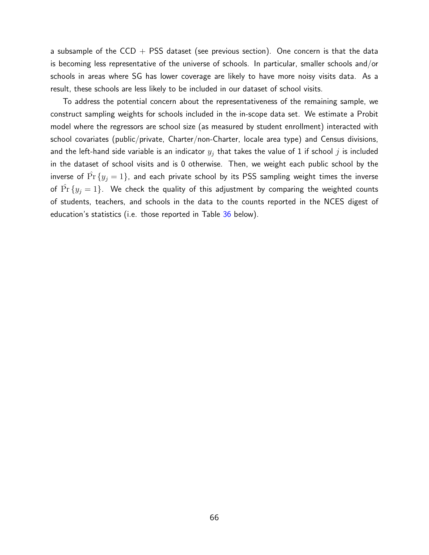a subsample of the CCD + PSS dataset (see previous section). One concern is that the data is becoming less representative of the universe of schools. In particular, smaller schools and/or schools in areas where SG has lower coverage are likely to have more noisy visits data. As a result, these schools are less likely to be included in our dataset of school visits.

To address the potential concern about the representativeness of the remaining sample, we construct sampling weights for schools included in the in-scope data set. We estimate a Probit model where the regressors are school size (as measured by student enrollment) interacted with school covariates (public/private, Charter/non-Charter, locale area type) and Census divisions, and the left-hand side variable is an indicator  $y_j$  that takes the value of 1 if school  $j$  is included in the dataset of school visits and is 0 otherwise. Then, we weight each public school by the inverse of  $\Pr\left\{ y_j = 1 \right\}$ , and each private school by its PSS sampling weight times the inverse of  $\Pr\{y_j = 1\}$ . We check the quality of this adjustment by comparing the weighted counts of students, teachers, and schools in the data to the counts reported in the NCES digest of education's statistics (i.e. those reported in Table  $36$  below).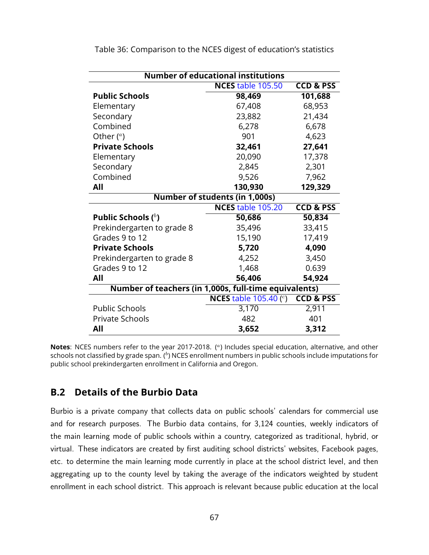| <b>Number of educational institutions</b>             |                                 |                      |  |  |  |  |  |
|-------------------------------------------------------|---------------------------------|----------------------|--|--|--|--|--|
|                                                       | <b>NCES</b> table 105.50        | <b>CCD &amp; PSS</b> |  |  |  |  |  |
| <b>Public Schools</b>                                 | 98,469                          | 101,688              |  |  |  |  |  |
| Elementary                                            | 67,408                          | 68,953               |  |  |  |  |  |
| Secondary                                             | 23,882                          | 21,434               |  |  |  |  |  |
| Combined                                              | 6,278                           | 6,678                |  |  |  |  |  |
| Other $(^\alpha)$                                     | 901                             | 4,623                |  |  |  |  |  |
| <b>Private Schools</b>                                | 32,461                          | 27,641               |  |  |  |  |  |
| Elementary                                            | 20,090                          | 17,378               |  |  |  |  |  |
| Secondary                                             | 2,845                           | 2,301                |  |  |  |  |  |
| Combined                                              | 9,526                           | 7,962                |  |  |  |  |  |
| All                                                   | 130,930                         | 129,329              |  |  |  |  |  |
| <b>Number of students (in 1,000s)</b>                 |                                 |                      |  |  |  |  |  |
|                                                       | <b>NCES table 105.20</b>        | <b>CCD &amp; PSS</b> |  |  |  |  |  |
| Public Schools $(^{b})$                               | 50,686                          | 50,834               |  |  |  |  |  |
| Prekindergarten to grade 8                            | 35,496                          | 33,415               |  |  |  |  |  |
| Grades 9 to 12                                        | 15,190                          | 17,419               |  |  |  |  |  |
| <b>Private Schools</b>                                | 5,720                           | 4,090                |  |  |  |  |  |
| Prekindergarten to grade 8                            | 4,252                           | 3,450                |  |  |  |  |  |
| Grades 9 to 12                                        | 1,468                           | 0.639                |  |  |  |  |  |
| All                                                   | 56,406                          | 54,924               |  |  |  |  |  |
| Number of teachers (in 1,000s, full-time equivalents) |                                 |                      |  |  |  |  |  |
|                                                       | <b>NCES</b> table 105.40 $(^c)$ | <b>CCD &amp; PSS</b> |  |  |  |  |  |
| <b>Public Schools</b>                                 | 3,170                           | 2,911                |  |  |  |  |  |
| <b>Private Schools</b>                                | 482                             | 401                  |  |  |  |  |  |
| All                                                   | 3,652                           | 3,312                |  |  |  |  |  |

<span id="page-66-1"></span>Table 36: Comparison to the NCES digest of education's statistics

Notes: NCES numbers refer to the year 2017-2018. (<sup>a</sup>) Includes special education, alternative, and other schools not classified by grade span. ( $^b$ ) NCES enrollment numbers in public schools include imputations for public school prekindergarten enrollment in California and Oregon.

## <span id="page-66-0"></span>**B.2 Details of the Burbio Data**

Burbio is a private company that collects data on public schools' calendars for commercial use and for research purposes. The Burbio data contains, for 3,124 counties, weekly indicators of the main learning mode of public schools within a country, categorized as traditional, hybrid, or virtual. These indicators are created by first auditing school districts' websites, Facebook pages, etc. to determine the main learning mode currently in place at the school district level, and then aggregating up to the county level by taking the average of the indicators weighted by student enrollment in each school district. This approach is relevant because public education at the local